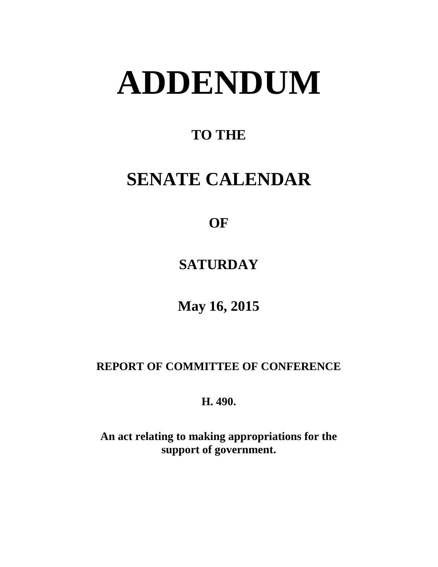# **ADDENDUM**

# **TO THE**

# **SENATE CALENDAR**

# **OF**

# **SATURDAY**

# **May 16, 2015**

## **REPORT OF COMMITTEE OF CONFERENCE**

## **H. 490.**

**An act relating to making appropriations for the support of government.**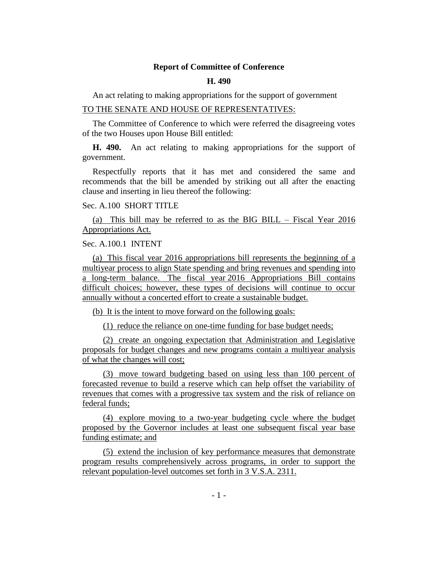#### **Report of Committee of Conference**

#### **H. 490**

An act relating to making appropriations for the support of government

#### TO THE SENATE AND HOUSE OF REPRESENTATIVES:

The Committee of Conference to which were referred the disagreeing votes of the two Houses upon House Bill entitled:

**H. 490.** An act relating to making appropriations for the support of government.

Respectfully reports that it has met and considered the same and recommends that the bill be amended by striking out all after the enacting clause and inserting in lieu thereof the following:

#### Sec. A.100 SHORT TITLE

(a) This bill may be referred to as the BIG BILL – Fiscal Year 2016 Appropriations Act.

#### Sec. A.100.1 INTENT

(a) This fiscal year 2016 appropriations bill represents the beginning of a multiyear process to align State spending and bring revenues and spending into a long-term balance. The fiscal year 2016 Appropriations Bill contains difficult choices; however, these types of decisions will continue to occur annually without a concerted effort to create a sustainable budget.

(b) It is the intent to move forward on the following goals:

(1) reduce the reliance on one-time funding for base budget needs;

(2) create an ongoing expectation that Administration and Legislative proposals for budget changes and new programs contain a multiyear analysis of what the changes will cost;

(3) move toward budgeting based on using less than 100 percent of forecasted revenue to build a reserve which can help offset the variability of revenues that comes with a progressive tax system and the risk of reliance on federal funds;

(4) explore moving to a two-year budgeting cycle where the budget proposed by the Governor includes at least one subsequent fiscal year base funding estimate; and

(5) extend the inclusion of key performance measures that demonstrate program results comprehensively across programs, in order to support the relevant population-level outcomes set forth in 3 V.S.A. 2311.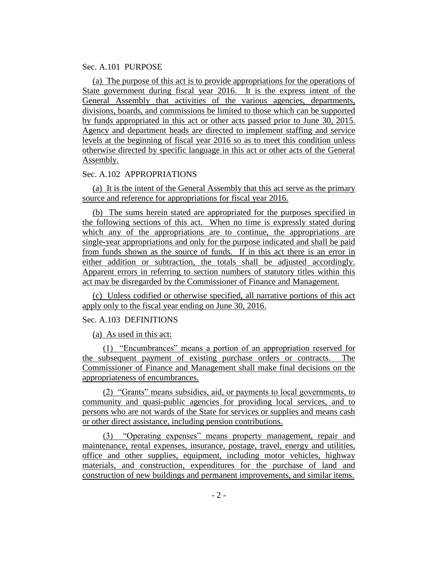#### Sec. A.101 PURPOSE

(a) The purpose of this act is to provide appropriations for the operations of State government during fiscal year 2016. It is the express intent of the General Assembly that activities of the various agencies, departments, divisions, boards, and commissions be limited to those which can be supported by funds appropriated in this act or other acts passed prior to June 30, 2015. Agency and department heads are directed to implement staffing and service levels at the beginning of fiscal year 2016 so as to meet this condition unless otherwise directed by specific language in this act or other acts of the General Assembly.

#### Sec. A.102 APPROPRIATIONS

(a) It is the intent of the General Assembly that this act serve as the primary source and reference for appropriations for fiscal year 2016.

(b) The sums herein stated are appropriated for the purposes specified in the following sections of this act. When no time is expressly stated during which any of the appropriations are to continue, the appropriations are single-year appropriations and only for the purpose indicated and shall be paid from funds shown as the source of funds. If in this act there is an error in either addition or subtraction, the totals shall be adjusted accordingly. Apparent errors in referring to section numbers of statutory titles within this act may be disregarded by the Commissioner of Finance and Management.

(c) Unless codified or otherwise specified, all narrative portions of this act apply only to the fiscal year ending on June 30, 2016.

#### Sec. A.103 DEFINITIONS

(a) As used in this act:

(1) "Encumbrances" means a portion of an appropriation reserved for the subsequent payment of existing purchase orders or contracts. The Commissioner of Finance and Management shall make final decisions on the appropriateness of encumbrances.

(2) "Grants" means subsidies, aid, or payments to local governments, to community and quasi-public agencies for providing local services, and to persons who are not wards of the State for services or supplies and means cash or other direct assistance, including pension contributions.

(3) "Operating expenses" means property management, repair and maintenance, rental expenses, insurance, postage, travel, energy and utilities, office and other supplies, equipment, including motor vehicles, highway materials, and construction, expenditures for the purchase of land and construction of new buildings and permanent improvements, and similar items.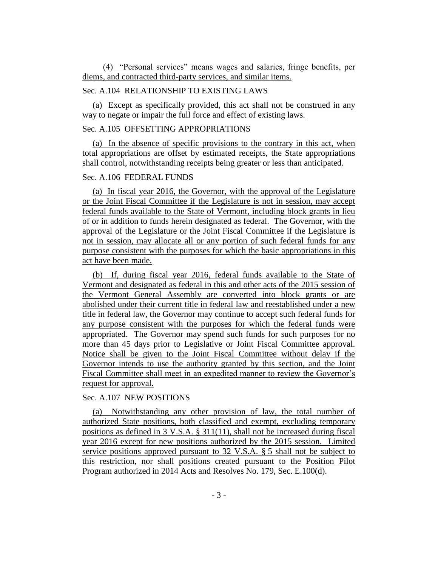(4) "Personal services" means wages and salaries, fringe benefits, per diems, and contracted third-party services, and similar items.

#### Sec. A.104 RELATIONSHIP TO EXISTING LAWS

(a) Except as specifically provided, this act shall not be construed in any way to negate or impair the full force and effect of existing laws.

#### Sec. A.105 OFFSETTING APPROPRIATIONS

(a) In the absence of specific provisions to the contrary in this act, when total appropriations are offset by estimated receipts, the State appropriations shall control, notwithstanding receipts being greater or less than anticipated.

#### Sec. A.106 FEDERAL FUNDS

(a) In fiscal year 2016, the Governor, with the approval of the Legislature or the Joint Fiscal Committee if the Legislature is not in session, may accept federal funds available to the State of Vermont, including block grants in lieu of or in addition to funds herein designated as federal. The Governor, with the approval of the Legislature or the Joint Fiscal Committee if the Legislature is not in session, may allocate all or any portion of such federal funds for any purpose consistent with the purposes for which the basic appropriations in this act have been made.

(b) If, during fiscal year 2016, federal funds available to the State of Vermont and designated as federal in this and other acts of the 2015 session of the Vermont General Assembly are converted into block grants or are abolished under their current title in federal law and reestablished under a new title in federal law, the Governor may continue to accept such federal funds for any purpose consistent with the purposes for which the federal funds were appropriated. The Governor may spend such funds for such purposes for no more than 45 days prior to Legislative or Joint Fiscal Committee approval. Notice shall be given to the Joint Fiscal Committee without delay if the Governor intends to use the authority granted by this section, and the Joint Fiscal Committee shall meet in an expedited manner to review the Governor's request for approval.

#### Sec. A.107 NEW POSITIONS

(a) Notwithstanding any other provision of law, the total number of authorized State positions, both classified and exempt, excluding temporary positions as defined in 3 V.S.A. § 311(11), shall not be increased during fiscal year 2016 except for new positions authorized by the 2015 session. Limited service positions approved pursuant to 32 V.S.A. § 5 shall not be subject to this restriction, nor shall positions created pursuant to the Position Pilot Program authorized in 2014 Acts and Resolves No. 179, Sec. E.100(d).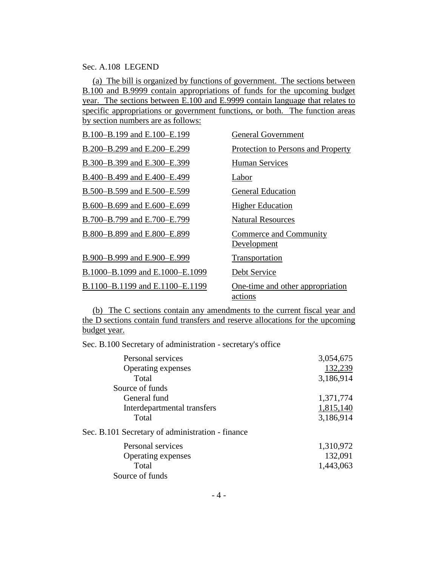#### Sec. A.108 LEGEND

(a) The bill is organized by functions of government. The sections between B.100 and B.9999 contain appropriations of funds for the upcoming budget year. The sections between E.100 and E.9999 contain language that relates to specific appropriations or government functions, or both. The function areas by section numbers are as follows:

| B.100-B.199 and E.100-E.199     | <b>General Government</b>                   |
|---------------------------------|---------------------------------------------|
| B.200-B.299 and E.200-E.299     | Protection to Persons and Property          |
| B.300-B.399 and E.300-E.399     | <b>Human Services</b>                       |
| B.400-B.499 and E.400-E.499     | Labor                                       |
| B.500–B.599 and E.500–E.599     | <b>General Education</b>                    |
| B.600–B.699 and E.600–E.699     | <b>Higher Education</b>                     |
| B.700-B.799 and E.700-E.799     | <b>Natural Resources</b>                    |
| B.800-B.899 and E.800-E.899     | Commerce and Community<br>Development       |
| B.900-B.999 and E.900-E.999     | Transportation                              |
| B.1000-B.1099 and E.1000-E.1099 | Debt Service                                |
| B.1100-B.1199 and E.1100-E.1199 | One-time and other appropriation<br>actions |

(b) The C sections contain any amendments to the current fiscal year and the D sections contain fund transfers and reserve allocations for the upcoming budget year.

Sec. B.100 Secretary of administration - secretary's office

| Personal services                                | 3,054,675 |
|--------------------------------------------------|-----------|
| Operating expenses                               | 132,239   |
| Total                                            | 3,186,914 |
| Source of funds                                  |           |
| General fund                                     | 1,371,774 |
| Interdepartmental transfers                      | 1,815,140 |
| Total                                            | 3,186,914 |
| Sec. B.101 Secretary of administration - finance |           |
| Personal services                                | 1,310,972 |
| <b>Operating expenses</b>                        | 132,091   |
| Total                                            | 1,443,063 |
| Source of funds                                  |           |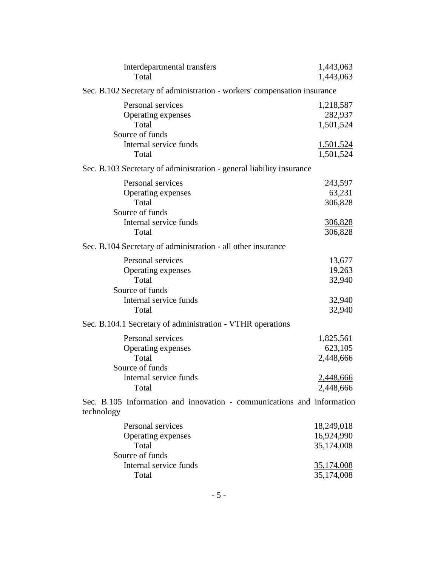| Interdepartmental transfers<br>Total                                                                   | 1,443,063<br>1,443,063                                             |
|--------------------------------------------------------------------------------------------------------|--------------------------------------------------------------------|
| Sec. B.102 Secretary of administration - workers' compensation insurance                               |                                                                    |
| Personal services<br>Operating expenses<br>Total<br>Source of funds                                    | 1,218,587<br>282,937<br>1,501,524                                  |
| Internal service funds<br>Total                                                                        | <u>1,501,524</u><br>1,501,524                                      |
| Sec. B.103 Secretary of administration - general liability insurance                                   |                                                                    |
| Personal services<br>Operating expenses<br>Total<br>Source of funds<br>Internal service funds<br>Total | 243,597<br>63,231<br>306,828<br><u>306,828</u><br>306,828          |
| Sec. B.104 Secretary of administration - all other insurance                                           |                                                                    |
| Personal services<br>Operating expenses<br>Total<br>Source of funds<br>Internal service funds<br>Total | 13,677<br>19,263<br>32,940<br>32,940<br>32,940                     |
| Sec. B.104.1 Secretary of administration - VTHR operations                                             |                                                                    |
| Personal services<br>Operating expenses<br>Total<br>Source of funds<br>Internal service funds<br>Total | 1,825,561<br>623,105<br>2,448,666<br>2,448,666<br>2,448,666        |
| Sec. B.105 Information and innovation - communications and information<br>technology                   |                                                                    |
| Personal services<br>Operating expenses<br>Total<br>Source of funds<br>Internal service funds<br>Total | 18,249,018<br>16,924,990<br>35,174,008<br>35,174,008<br>35,174,008 |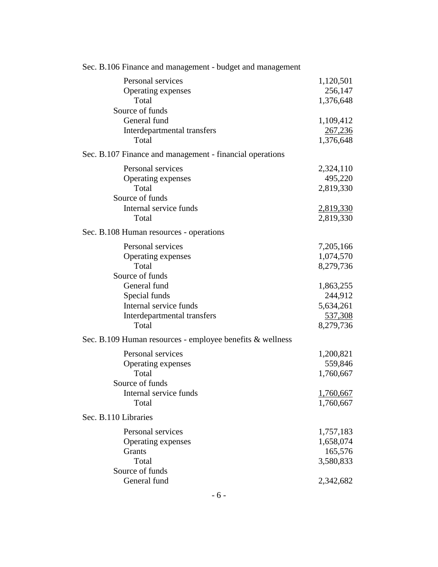| Sec. B.106 Finance and management - budget and management |           |
|-----------------------------------------------------------|-----------|
| Personal services                                         | 1,120,501 |
| Operating expenses                                        | 256,147   |
| Total                                                     | 1,376,648 |
| Source of funds                                           |           |
| General fund                                              | 1,109,412 |
| Interdepartmental transfers                               | 267,236   |
| Total                                                     | 1,376,648 |
| Sec. B.107 Finance and management - financial operations  |           |
| Personal services                                         | 2,324,110 |
| Operating expenses                                        | 495,220   |
| Total                                                     | 2,819,330 |
| Source of funds                                           |           |
| Internal service funds                                    | 2,819,330 |
| Total                                                     | 2,819,330 |
| Sec. B.108 Human resources - operations                   |           |
| Personal services                                         | 7,205,166 |
| Operating expenses                                        | 1,074,570 |
| Total                                                     | 8,279,736 |
| Source of funds                                           |           |
| General fund                                              | 1,863,255 |
| Special funds                                             | 244,912   |
| Internal service funds                                    | 5,634,261 |
| Interdepartmental transfers                               | 537,308   |
| Total                                                     | 8,279,736 |
| Sec. B.109 Human resources - employee benefits & wellness |           |
| Personal services                                         | 1,200,821 |
| Operating expenses                                        | 559,846   |
| Total                                                     | 1,760,667 |
| Source of funds                                           |           |
| Internal service funds                                    | 1,760,667 |
| Total                                                     | 1,760,667 |
| Sec. B.110 Libraries                                      |           |
| Personal services                                         | 1,757,183 |
| Operating expenses                                        | 1,658,074 |
| Grants                                                    | 165,576   |
| Total                                                     | 3,580,833 |
| Source of funds                                           |           |
| General fund                                              | 2,342,682 |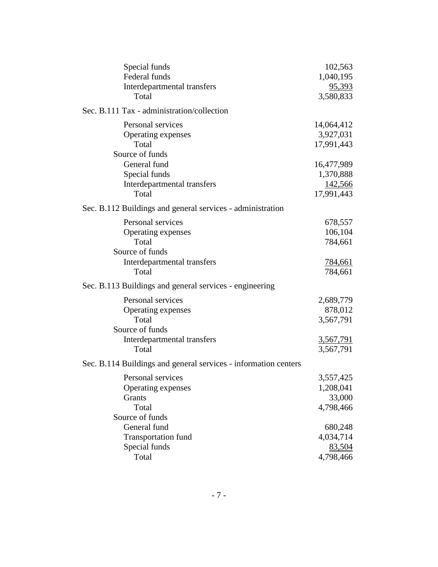| Special funds                                                   | 102,563          |
|-----------------------------------------------------------------|------------------|
| Federal funds                                                   | 1,040,195        |
| Interdepartmental transfers                                     | 95,393           |
| Total                                                           | 3,580,833        |
| Sec. B.111 Tax - administration/collection                      |                  |
| Personal services                                               | 14,064,412       |
| Operating expenses                                              | 3,927,031        |
| Total                                                           | 17,991,443       |
| Source of funds                                                 |                  |
| General fund                                                    | 16,477,989       |
| Special funds                                                   | 1,370,888        |
| Interdepartmental transfers                                     | 142,566          |
| Total                                                           | 17,991,443       |
| Sec. B.112 Buildings and general services - administration      |                  |
| Personal services                                               | 678,557          |
| Operating expenses                                              | 106,104          |
| Total                                                           | 784,661          |
| Source of funds                                                 |                  |
| Interdepartmental transfers                                     | <u>784,661</u>   |
| Total                                                           | 784,661          |
| Sec. B.113 Buildings and general services - engineering         |                  |
| Personal services                                               | 2,689,779        |
| Operating expenses                                              | 878,012          |
| Total                                                           | 3,567,791        |
| Source of funds                                                 |                  |
| Interdepartmental transfers                                     | <u>3,567,791</u> |
| Total                                                           | 3,567,791        |
| Sec. B.114 Buildings and general services - information centers |                  |
| Personal services                                               | 3,557,425        |
| Operating expenses                                              | 1,208,041        |
| Grants                                                          | 33,000           |
| Total                                                           | 4,798,466        |
| Source of funds                                                 |                  |
| General fund                                                    | 680,248          |
| <b>Transportation fund</b>                                      | 4,034,714        |
| Special funds                                                   | 83,504           |
| Total                                                           | 4,798,466        |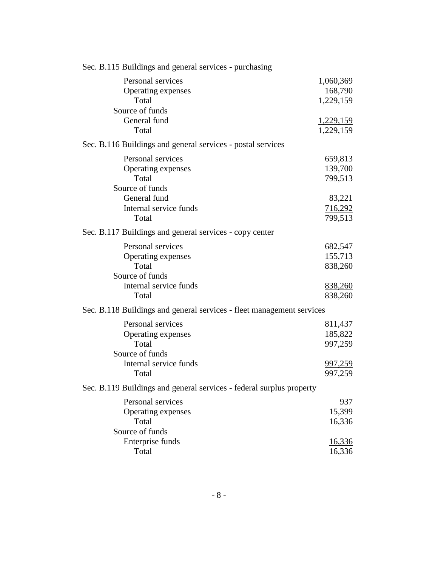| Sec. B.115 Buildings and general services - purchasing                                                 |                                                            |
|--------------------------------------------------------------------------------------------------------|------------------------------------------------------------|
| Personal services<br>Operating expenses<br>Total                                                       | 1,060,369<br>168,790<br>1,229,159                          |
| Source of funds<br>General fund<br>Total                                                               | 1,229,159<br>1,229,159                                     |
| Sec. B.116 Buildings and general services - postal services                                            |                                                            |
| Personal services<br>Operating expenses<br>Total<br>Source of funds<br>General fund                    | 659,813<br>139,700<br>799,513<br>83,221                    |
| Internal service funds<br>Total                                                                        | 716,292<br>799,513                                         |
| Sec. B.117 Buildings and general services - copy center                                                |                                                            |
| Personal services<br>Operating expenses<br>Total<br>Source of funds<br>Internal service funds<br>Total | 682,547<br>155,713<br>838,260<br>838,260<br>838,260        |
| Sec. B.118 Buildings and general services - fleet management services                                  |                                                            |
| Personal services<br>Operating expenses<br>Total<br>Source of funds<br>Internal service funds<br>Total | 811,437<br>185,822<br>997,259<br><u>997,259</u><br>997,259 |
| Sec. B.119 Buildings and general services - federal surplus property                                   |                                                            |
| Personal services<br>Operating expenses<br>Total<br>Source of funds<br>Enterprise funds                | 937<br>15,399<br>16,336<br><u>16,336</u>                   |
| Total                                                                                                  | 16,336                                                     |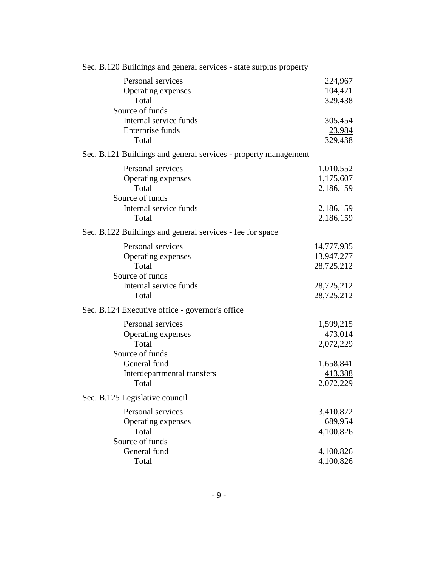| Sec. B.120 Buildings and general services - state surplus property |                   |
|--------------------------------------------------------------------|-------------------|
| Personal services                                                  | 224,967           |
| Operating expenses                                                 | 104,471           |
| Total                                                              | 329,438           |
| Source of funds                                                    |                   |
| Internal service funds                                             | 305,454           |
| Enterprise funds                                                   | 23,984            |
| Total                                                              | 329,438           |
| Sec. B.121 Buildings and general services - property management    |                   |
| Personal services                                                  | 1,010,552         |
| Operating expenses                                                 | 1,175,607         |
| Total                                                              | 2,186,159         |
| Source of funds                                                    |                   |
| Internal service funds                                             | 2,186,159         |
| Total                                                              | 2,186,159         |
| Sec. B.122 Buildings and general services - fee for space          |                   |
| Personal services                                                  | 14,777,935        |
| Operating expenses                                                 | 13,947,277        |
| Total                                                              | 28,725,212        |
| Source of funds                                                    |                   |
| Internal service funds                                             | <u>28,725,212</u> |
| Total                                                              | 28,725,212        |
| Sec. B.124 Executive office - governor's office                    |                   |
| Personal services                                                  | 1,599,215         |
| Operating expenses                                                 | 473,014           |
| Total                                                              | 2,072,229         |
| Source of funds                                                    |                   |
| General fund                                                       | 1,658,841         |
| Interdepartmental transfers                                        | 413,388           |
| Total                                                              | 2,072,229         |
| Sec. B.125 Legislative council                                     |                   |
| Personal services                                                  | 3,410,872         |
| Operating expenses                                                 | 689,954           |
| Total                                                              | 4,100,826         |
| Source of funds                                                    |                   |
| General fund                                                       | 4,100,826         |
| Total                                                              | 4,100,826         |
|                                                                    |                   |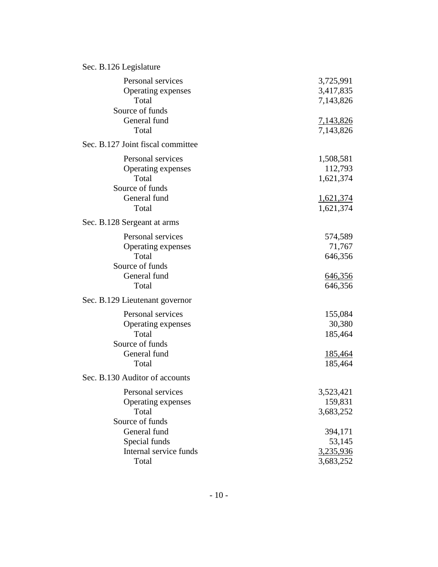| Sec. B.126 Legislature                                                              |                                                  |
|-------------------------------------------------------------------------------------|--------------------------------------------------|
| Personal services<br>Operating expenses<br>Total<br>Source of funds<br>General fund | 3,725,991<br>3,417,835<br>7,143,826<br>7,143,826 |
| Total                                                                               | 7,143,826                                        |
| Sec. B.127 Joint fiscal committee                                                   |                                                  |
| Personal services<br>Operating expenses<br>Total<br>Source of funds<br>General fund | 1,508,581<br>112,793<br>1,621,374<br>1,621,374   |
| Total                                                                               | 1,621,374                                        |
|                                                                                     |                                                  |
| Sec. B.128 Sergeant at arms                                                         |                                                  |
| Personal services                                                                   | 574,589                                          |
| Operating expenses<br>Total                                                         | 71,767                                           |
| Source of funds                                                                     | 646,356                                          |
| General fund                                                                        | 646,356                                          |
| Total                                                                               | 646,356                                          |
| Sec. B.129 Lieutenant governor                                                      |                                                  |
| Personal services                                                                   | 155,084                                          |
| Operating expenses                                                                  | 30,380                                           |
| Total                                                                               | 185,464                                          |
| Source of funds                                                                     |                                                  |
| General fund                                                                        | <u>185,464</u>                                   |
| Total                                                                               | 185,464                                          |
| Sec. B.130 Auditor of accounts                                                      |                                                  |
| Personal services                                                                   | 3,523,421                                        |
| Operating expenses                                                                  | 159,831                                          |
| Total                                                                               | 3,683,252                                        |
| Source of funds                                                                     |                                                  |
| General fund                                                                        | 394,171                                          |
| Special funds                                                                       | 53,145                                           |
| Internal service funds                                                              | 3,235,936                                        |
| Total                                                                               | 3,683,252                                        |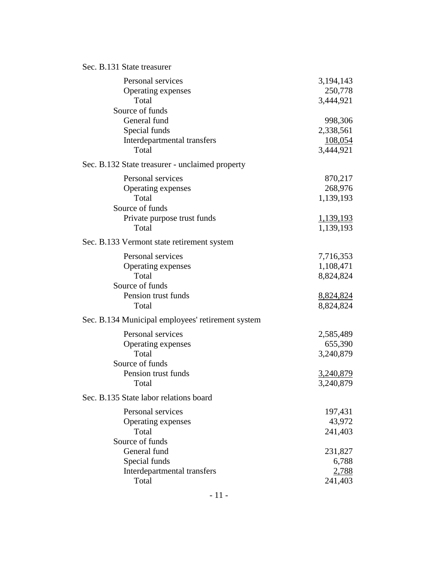| Sec. B.131 State treasurer |  |  |
|----------------------------|--|--|
|----------------------------|--|--|

| Personal services<br>Operating expenses<br>Total                                                            | 3,194,143<br>250,778<br>3,444,921                           |
|-------------------------------------------------------------------------------------------------------------|-------------------------------------------------------------|
| Source of funds<br>General fund<br>Special funds<br>Interdepartmental transfers<br>Total                    | 998,306<br>2,338,561<br>108,054<br>3,444,921                |
| Sec. B.132 State treasurer - unclaimed property                                                             |                                                             |
| Personal services<br>Operating expenses<br>Total<br>Source of funds<br>Private purpose trust funds<br>Total | 870,217<br>268,976<br>1,139,193<br>1,139,193<br>1,139,193   |
| Sec. B.133 Vermont state retirement system                                                                  |                                                             |
| Personal services<br>Operating expenses<br>Total<br>Source of funds<br>Pension trust funds                  | 7,716,353<br>1,108,471<br>8,824,824<br>8,824,824            |
| Total                                                                                                       | 8,824,824                                                   |
| Sec. B.134 Municipal employees' retirement system                                                           |                                                             |
| Personal services<br>Operating expenses<br>Total<br>Source of funds<br>Pension trust funds<br>Total         | 2,585,489<br>655,390<br>3,240,879<br>3,240,879<br>3,240,879 |
| Sec. B.135 State labor relations board                                                                      |                                                             |
| Personal services<br>Operating expenses<br>Total<br>Source of funds                                         | 197,431<br>43,972<br>241,403                                |
| General fund<br>Special funds<br>Interdepartmental transfers<br>Total                                       | 231,827<br>6,788<br>2,788<br>241,403                        |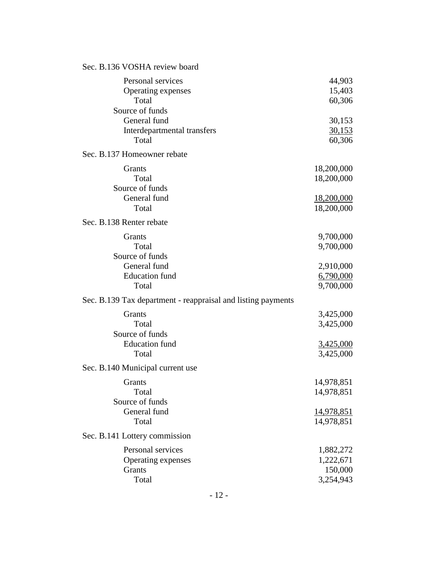| Sec. B.136 VOSHA review board                                           |                                 |
|-------------------------------------------------------------------------|---------------------------------|
| Personal services<br>Operating expenses<br>Total                        | 44,903<br>15,403<br>60,306      |
| Source of funds<br>General fund<br>Interdepartmental transfers<br>Total | 30,153<br>30,153<br>60,306      |
| Sec. B.137 Homeowner rebate                                             |                                 |
| Grants<br>Total<br>Source of funds                                      | 18,200,000<br>18,200,000        |
| General fund<br>Total                                                   | <u>18,200,000</u><br>18,200,000 |
| Sec. B.138 Renter rebate                                                |                                 |
| Grants                                                                  | 9,700,000                       |
| Total<br>Source of funds                                                | 9,700,000                       |
| General fund                                                            | 2,910,000                       |
| <b>Education</b> fund                                                   | 6,790,000                       |
| Total                                                                   | 9,700,000                       |
| Sec. B.139 Tax department - reappraisal and listing payments            |                                 |
| Grants                                                                  | 3,425,000                       |
| Total                                                                   | 3,425,000                       |
| Source of funds<br><b>Education</b> fund                                | 3,425,000                       |
| Total                                                                   | 3,425,000                       |
| Sec. B.140 Municipal current use                                        |                                 |
| Grants                                                                  | 14,978,851                      |
| Total                                                                   | 14,978,851                      |
| Source of funds                                                         |                                 |
| General fund                                                            | <u>14,978,851</u>               |
| Total                                                                   | 14,978,851                      |
| Sec. B.141 Lottery commission                                           |                                 |
| Personal services                                                       | 1,882,272                       |
| Operating expenses                                                      | 1,222,671                       |
| Grants                                                                  | 150,000                         |
| Total                                                                   | 3,254,943                       |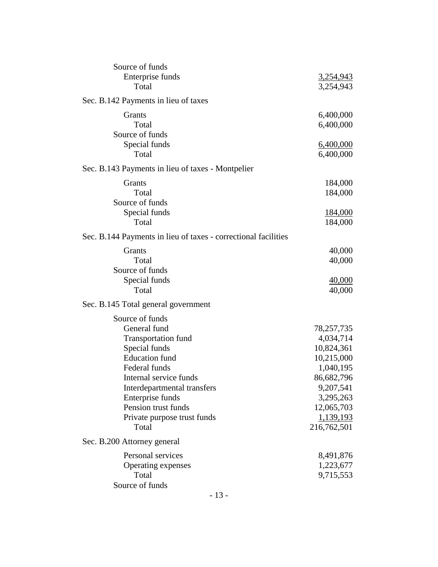| Source of funds                                                |                               |
|----------------------------------------------------------------|-------------------------------|
| Enterprise funds<br>Total                                      | <u>3,254,943</u><br>3,254,943 |
| Sec. B.142 Payments in lieu of taxes                           |                               |
| Grants                                                         | 6,400,000                     |
| Total                                                          | 6,400,000                     |
| Source of funds                                                |                               |
| Special funds                                                  | 6,400,000                     |
| Total                                                          | 6,400,000                     |
| Sec. B.143 Payments in lieu of taxes - Montpelier              |                               |
| Grants                                                         | 184,000                       |
| Total                                                          | 184,000                       |
| Source of funds                                                |                               |
| Special funds                                                  | 184,000                       |
| Total                                                          | 184,000                       |
| Sec. B.144 Payments in lieu of taxes - correctional facilities |                               |
| Grants                                                         | 40,000                        |
| Total                                                          | 40,000                        |
| Source of funds                                                |                               |
| Special funds                                                  | 40,000                        |
| Total                                                          | 40,000                        |
| Sec. B.145 Total general government                            |                               |
| Source of funds                                                |                               |
| General fund                                                   | 78,257,735                    |
| <b>Transportation fund</b>                                     | 4,034,714                     |
| Special funds                                                  | 10,824,361                    |
| <b>Education</b> fund                                          | 10,215,000                    |
| Federal funds                                                  | 1,040,195                     |
| Internal service funds                                         | 86,682,796                    |
| Interdepartmental transfers                                    | 9,207,541                     |
| Enterprise funds                                               | 3,295,263                     |
| Pension trust funds                                            | 12,065,703                    |
| Private purpose trust funds                                    | 1,139,193                     |
| Total                                                          | 216,762,501                   |
| Sec. B.200 Attorney general                                    |                               |
| Personal services                                              | 8,491,876                     |
| Operating expenses                                             | 1,223,677                     |
| Total                                                          | 9,715,553                     |
| Source of funds                                                |                               |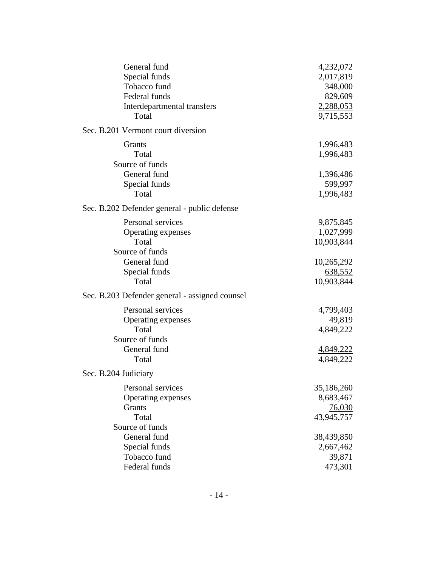| General fund                                   | 4,232,072  |
|------------------------------------------------|------------|
| Special funds                                  | 2,017,819  |
| Tobacco fund                                   | 348,000    |
| Federal funds                                  | 829,609    |
| Interdepartmental transfers                    | 2,288,053  |
| Total                                          | 9,715,553  |
| Sec. B.201 Vermont court diversion             |            |
| <b>Grants</b>                                  | 1,996,483  |
| Total                                          | 1,996,483  |
| Source of funds                                |            |
| General fund                                   | 1,396,486  |
| Special funds                                  | 599,997    |
| Total                                          | 1,996,483  |
| Sec. B.202 Defender general - public defense   |            |
| Personal services                              | 9,875,845  |
| Operating expenses                             | 1,027,999  |
| Total                                          | 10,903,844 |
| Source of funds                                |            |
| General fund                                   | 10,265,292 |
| Special funds                                  | 638,552    |
| Total                                          | 10,903,844 |
| Sec. B.203 Defender general - assigned counsel |            |
| Personal services                              | 4,799,403  |
| Operating expenses                             | 49,819     |
| Total                                          | 4,849,222  |
| Source of funds                                |            |
| General fund                                   | 4,849,222  |
| Total                                          | 4,849,222  |
| Sec. B.204 Judiciary                           |            |
| Personal services                              | 35,186,260 |
| Operating expenses                             | 8,683,467  |
| Grants                                         | 76,030     |
| Total                                          | 43,945,757 |
| Source of funds                                |            |
| General fund                                   | 38,439,850 |
| Special funds                                  | 2,667,462  |
| Tobacco fund                                   | 39,871     |
| Federal funds                                  | 473,301    |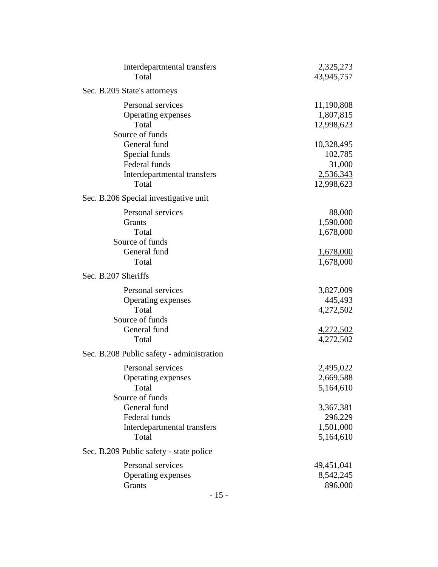| Interdepartmental transfers<br>Total                                                                 | 2,325,273<br>43,945,757                                            |
|------------------------------------------------------------------------------------------------------|--------------------------------------------------------------------|
| Sec. B.205 State's attorneys                                                                         |                                                                    |
| Personal services<br>Operating expenses<br>Total<br>Source of funds                                  | 11,190,808<br>1,807,815<br>12,998,623                              |
| General fund<br>Special funds<br>Federal funds<br>Interdepartmental transfers<br>Total               | 10,328,495<br>102,785<br>31,000<br>2,536,343<br>12,998,623         |
| Sec. B.206 Special investigative unit                                                                |                                                                    |
| Personal services<br>Grants<br>Total<br>Source of funds<br>General fund<br>Total                     | 88,000<br>1,590,000<br>1,678,000<br>1,678,000<br>1,678,000         |
| Sec. B.207 Sheriffs                                                                                  |                                                                    |
| Personal services<br>Operating expenses<br>Total<br>Source of funds<br>General fund<br>Total         | 3,827,009<br>445,493<br>4,272,502<br><u>4,272,502</u><br>4,272,502 |
| Sec. B.208 Public safety - administration                                                            |                                                                    |
| Personal services<br>Operating expenses<br>Total<br>Source of funds<br>General fund<br>Federal funds | 2,495,022<br>2,669,588<br>5,164,610<br>3,367,381<br>296,229        |
| Interdepartmental transfers<br>Total                                                                 | <u>1,501,000</u><br>5,164,610                                      |
| Sec. B.209 Public safety - state police                                                              |                                                                    |
| Personal services<br>Operating expenses<br>Grants                                                    | 49,451,041<br>8,542,245<br>896,000                                 |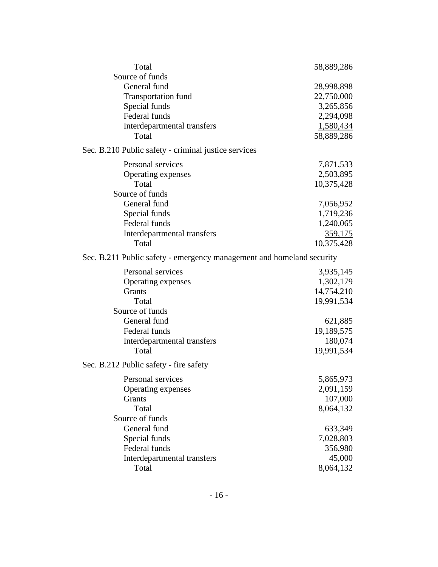| Total                                                                 | 58,889,286 |
|-----------------------------------------------------------------------|------------|
| Source of funds                                                       |            |
| General fund                                                          | 28,998,898 |
| <b>Transportation fund</b>                                            | 22,750,000 |
| Special funds                                                         | 3,265,856  |
| Federal funds                                                         | 2,294,098  |
| Interdepartmental transfers                                           | 1,580,434  |
| Total                                                                 | 58,889,286 |
| Sec. B.210 Public safety - criminal justice services                  |            |
| Personal services                                                     | 7,871,533  |
| Operating expenses                                                    | 2,503,895  |
| Total                                                                 | 10,375,428 |
| Source of funds                                                       |            |
| General fund                                                          | 7,056,952  |
| Special funds                                                         | 1,719,236  |
| Federal funds                                                         | 1,240,065  |
| Interdepartmental transfers                                           | 359,175    |
| Total                                                                 | 10,375,428 |
| Sec. B.211 Public safety - emergency management and homeland security |            |
| Personal services                                                     | 3,935,145  |
| Operating expenses                                                    | 1,302,179  |
| Grants                                                                | 14,754,210 |
| Total                                                                 | 19,991,534 |
| Source of funds                                                       |            |
| General fund                                                          | 621,885    |
| Federal funds                                                         | 19,189,575 |
| Interdepartmental transfers                                           | 180,074    |
| Total                                                                 | 19,991,534 |
| Sec. B.212 Public safety - fire safety                                |            |
| Personal services                                                     | 5,865,973  |
| Operating expenses                                                    | 2,091,159  |
| Grants                                                                | 107,000    |
| Total                                                                 | 8,064,132  |
| Source of funds                                                       |            |
| General fund                                                          | 633,349    |
| Special funds                                                         | 7,028,803  |
| Federal funds                                                         | 356,980    |
| Interdepartmental transfers                                           | 45,000     |
| Total                                                                 | 8,064,132  |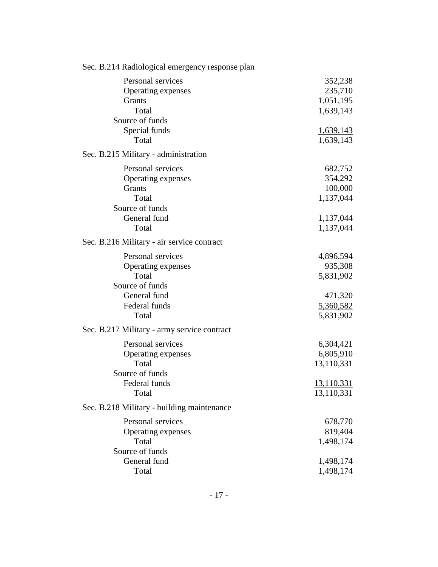| Sec. B.214 Radiological emergency response plan |                  |
|-------------------------------------------------|------------------|
| Personal services                               | 352,238          |
| Operating expenses                              | 235,710          |
| Grants                                          | 1,051,195        |
| Total                                           | 1,639,143        |
| Source of funds                                 |                  |
| Special funds                                   | <u>1,639,143</u> |
| Total                                           | 1,639,143        |
| Sec. B.215 Military - administration            |                  |
| Personal services                               | 682,752          |
| Operating expenses                              | 354,292          |
| Grants                                          | 100,000          |
| Total                                           | 1,137,044        |
| Source of funds                                 |                  |
| General fund                                    | 1,137,044        |
| Total                                           | 1,137,044        |
| Sec. B.216 Military - air service contract      |                  |
| Personal services                               | 4,896,594        |
| Operating expenses                              | 935,308          |
| Total                                           | 5,831,902        |
| Source of funds                                 |                  |
| General fund                                    | 471,320          |
| Federal funds                                   | 5,360,582        |
| Total                                           | 5,831,902        |
| Sec. B.217 Military - army service contract     |                  |
| Personal services                               | 6,304,421        |
| Operating expenses                              | 6,805,910        |
| Total                                           | 13,110,331       |
| Source of funds                                 |                  |
| Federal funds                                   | 13,110,331       |
| Total                                           | 13,110,331       |
| Sec. B.218 Military - building maintenance      |                  |
| Personal services                               | 678,770          |
| Operating expenses                              | 819,404          |
| Total                                           | 1,498,174        |
| Source of funds                                 |                  |
| General fund                                    | 1,498,174        |
| Total                                           | 1,498,174        |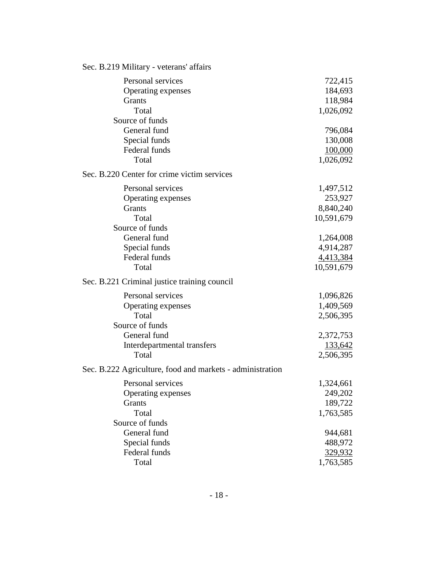| Sec. B.219 Military - veterans' affairs                   |            |
|-----------------------------------------------------------|------------|
| Personal services                                         | 722,415    |
| Operating expenses                                        | 184,693    |
| Grants                                                    | 118,984    |
| Total                                                     | 1,026,092  |
| Source of funds                                           |            |
| General fund                                              | 796,084    |
| Special funds                                             | 130,008    |
| Federal funds                                             | 100,000    |
| Total                                                     | 1,026,092  |
| Sec. B.220 Center for crime victim services               |            |
| Personal services                                         | 1,497,512  |
| Operating expenses                                        | 253,927    |
| <b>Grants</b>                                             | 8,840,240  |
| Total                                                     | 10,591,679 |
| Source of funds                                           |            |
| General fund                                              | 1,264,008  |
| Special funds                                             | 4,914,287  |
| Federal funds                                             | 4,413,384  |
| Total                                                     | 10,591,679 |
| Sec. B.221 Criminal justice training council              |            |
| Personal services                                         | 1,096,826  |
| Operating expenses                                        | 1,409,569  |
| Total                                                     | 2,506,395  |
| Source of funds                                           |            |
| General fund                                              | 2,372,753  |
| Interdepartmental transfers                               | 133,642    |
| Total                                                     | 2,506,395  |
| Sec. B.222 Agriculture, food and markets - administration |            |
| Personal services                                         | 1,324,661  |
| Operating expenses                                        | 249,202    |
| Grants                                                    | 189,722    |
| Total                                                     | 1,763,585  |
| Source of funds                                           |            |
| General fund                                              | 944,681    |
| Special funds                                             | 488,972    |
| Federal funds                                             | 329,932    |
| Total                                                     | 1,763,585  |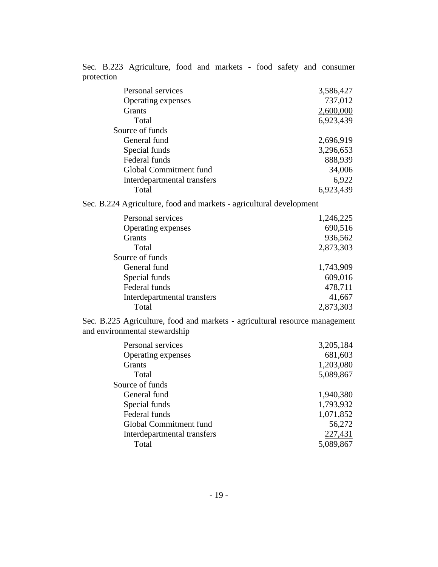Sec. B.223 Agriculture, food and markets - food safety and consumer protection

| 3,586,427 |
|-----------|
| 737,012   |
| 2,600,000 |
| 6,923,439 |
|           |
| 2,696,919 |
| 3,296,653 |
| 888,939   |
| 34,006    |
| 6,922     |
| 6,923,439 |
|           |

Sec. B.224 Agriculture, food and markets - agricultural development

| Personal services           | 1,246,225 |
|-----------------------------|-----------|
| Operating expenses          | 690,516   |
| <b>Grants</b>               | 936,562   |
| Total                       | 2,873,303 |
| Source of funds             |           |
| General fund                | 1,743,909 |
| Special funds               | 609,016   |
| Federal funds               | 478,711   |
| Interdepartmental transfers | 41,667    |
| Total                       | 2,873,303 |

Sec. B.225 Agriculture, food and markets - agricultural resource management and environmental stewardship

| Personal services             | 3,205,184 |
|-------------------------------|-----------|
| Operating expenses            | 681,603   |
| <b>Grants</b>                 | 1,203,080 |
| Total                         | 5,089,867 |
| Source of funds               |           |
| General fund                  | 1,940,380 |
| Special funds                 | 1,793,932 |
| Federal funds                 | 1,071,852 |
| <b>Global Commitment fund</b> | 56,272    |
| Interdepartmental transfers   | 227,431   |
| Total                         | 5,089,867 |
|                               |           |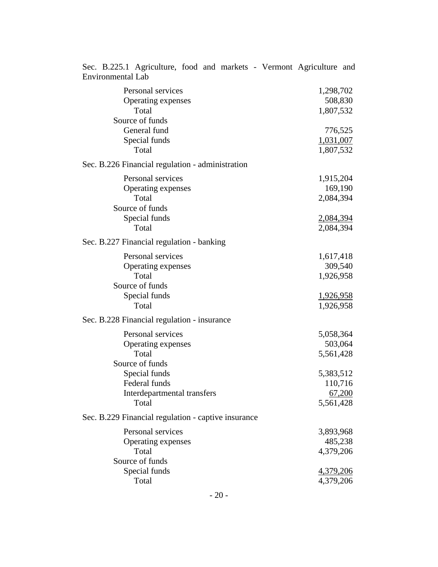| Personal services<br>Operating expenses<br>Total    | 1,298,702<br>508,830<br>1,807,532 |
|-----------------------------------------------------|-----------------------------------|
| Source of funds                                     |                                   |
| General fund                                        | 776,525                           |
| Special funds                                       | 1,031,007                         |
| Total                                               | 1,807,532                         |
| Sec. B.226 Financial regulation - administration    |                                   |
| Personal services                                   | 1,915,204                         |
| Operating expenses                                  | 169,190                           |
| Total                                               | 2,084,394                         |
| Source of funds                                     |                                   |
| Special funds                                       | 2,084,394                         |
| Total                                               | 2,084,394                         |
| Sec. B.227 Financial regulation - banking           |                                   |
| Personal services                                   | 1,617,418                         |
| Operating expenses                                  | 309,540                           |
| Total                                               | 1,926,958                         |
| Source of funds                                     |                                   |
| Special funds                                       | <u>1,926,958</u>                  |
| Total                                               | 1,926,958                         |
| Sec. B.228 Financial regulation - insurance         |                                   |
| Personal services                                   | 5,058,364                         |
| Operating expenses                                  | 503,064                           |
| Total                                               | 5,561,428                         |
| Source of funds                                     |                                   |
| Special funds                                       | 5,383,512                         |
| Federal funds                                       | 110,716                           |
| Interdepartmental transfers                         | 67,200                            |
| Total                                               | 5,561,428                         |
| Sec. B.229 Financial regulation - captive insurance |                                   |
| Personal services                                   | 3,893,968                         |
| Operating expenses                                  | 485,238                           |
| Total                                               | 4,379,206                         |
| Source of funds                                     |                                   |
| Special funds                                       | 4,379,206                         |
| Total                                               | 4,379,206                         |
|                                                     |                                   |

Sec. B.225.1 Agriculture, food and markets - Vermont Agriculture and Environmental Lab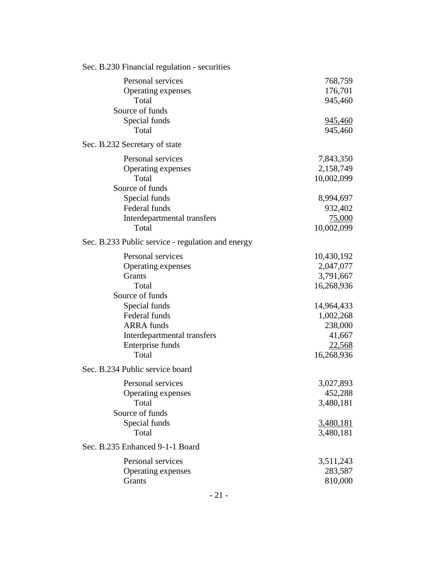| Sec. B.230 Financial regulation - securities      |            |
|---------------------------------------------------|------------|
| Personal services                                 | 768,759    |
| Operating expenses                                | 176,701    |
| Total                                             | 945,460    |
| Source of funds                                   |            |
| Special funds                                     | 945,460    |
| Total                                             | 945,460    |
| Sec. B.232 Secretary of state                     |            |
| Personal services                                 | 7,843,350  |
| Operating expenses                                | 2,158,749  |
| Total                                             | 10,002,099 |
| Source of funds                                   |            |
| Special funds                                     | 8,994,697  |
| Federal funds                                     | 932,402    |
| Interdepartmental transfers                       | 75,000     |
| Total                                             | 10,002,099 |
| Sec. B.233 Public service - regulation and energy |            |
| Personal services                                 | 10,430,192 |
| Operating expenses                                | 2,047,077  |
| Grants                                            | 3,791,667  |
| Total                                             | 16,268,936 |
| Source of funds                                   |            |
| Special funds                                     | 14,964,433 |
| Federal funds                                     | 1,002,268  |
| <b>ARRA</b> funds                                 | 238,000    |
| Interdepartmental transfers                       | 41,667     |
| Enterprise funds                                  | 22,568     |
| Total                                             | 16,268,936 |
| Sec. B.234 Public service board                   |            |
| Personal services                                 | 3,027,893  |
| Operating expenses                                | 452,288    |
| Total                                             | 3,480,181  |
| Source of funds                                   |            |
| Special funds                                     | 3,480,181  |
| Total                                             | 3,480,181  |
| Sec. B.235 Enhanced 9-1-1 Board                   |            |
| Personal services                                 | 3,511,243  |
| Operating expenses                                | 283,587    |
| Grants                                            | 810,000    |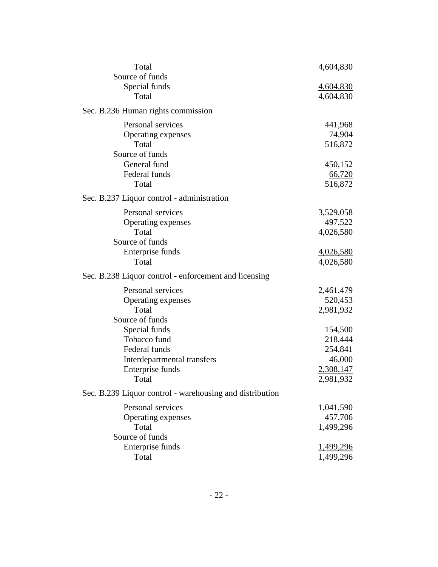| Total                                                    | 4,604,830        |
|----------------------------------------------------------|------------------|
| Source of funds                                          |                  |
| Special funds                                            | 4,604,830        |
| Total                                                    | 4,604,830        |
| Sec. B.236 Human rights commission                       |                  |
| Personal services                                        | 441,968          |
| Operating expenses                                       | 74,904           |
| Total                                                    | 516,872          |
| Source of funds                                          |                  |
| General fund                                             | 450,152          |
| Federal funds                                            | <u>66,720</u>    |
| Total                                                    | 516,872          |
| Sec. B.237 Liquor control - administration               |                  |
| Personal services                                        | 3,529,058        |
| Operating expenses                                       | 497,522          |
| Total                                                    | 4,026,580        |
| Source of funds                                          |                  |
| Enterprise funds                                         | <u>4,026,580</u> |
| Total                                                    | 4,026,580        |
| Sec. B.238 Liquor control - enforcement and licensing    |                  |
| Personal services                                        | 2,461,479        |
| Operating expenses                                       | 520,453          |
| Total                                                    | 2,981,932        |
| Source of funds                                          |                  |
| Special funds                                            | 154,500          |
| Tobacco fund                                             | 218,444          |
| Federal funds                                            | 254,841          |
| Interdepartmental transfers                              | 46,000           |
| Enterprise funds                                         | 2,308,147        |
| Total                                                    | 2,981,932        |
| Sec. B.239 Liquor control - warehousing and distribution |                  |
| Personal services                                        | 1,041,590        |
| Operating expenses                                       | 457,706          |
| Total                                                    | 1,499,296        |
| Source of funds                                          |                  |
| Enterprise funds                                         | <u>1,499,296</u> |
| Total                                                    | 1,499,296        |
|                                                          |                  |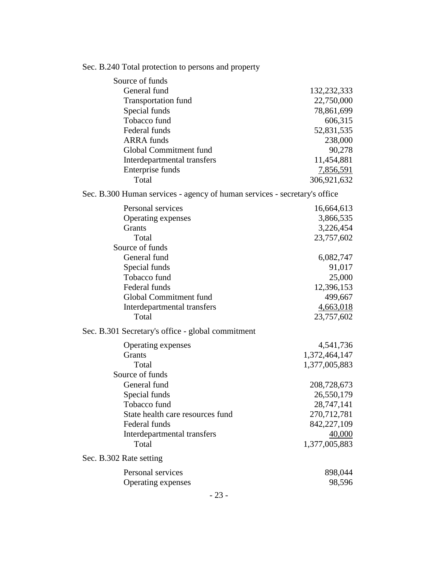| Sec. B.240 Total protection to persons and property |  |  |  |
|-----------------------------------------------------|--|--|--|
|-----------------------------------------------------|--|--|--|

| Source of funds                                                           |               |
|---------------------------------------------------------------------------|---------------|
| General fund                                                              | 132, 232, 333 |
| <b>Transportation fund</b>                                                | 22,750,000    |
| Special funds                                                             | 78,861,699    |
| Tobacco fund                                                              | 606,315       |
| Federal funds                                                             | 52,831,535    |
| <b>ARRA</b> funds                                                         | 238,000       |
| Global Commitment fund                                                    | 90,278        |
| Interdepartmental transfers                                               | 11,454,881    |
| Enterprise funds                                                          | 7,856,591     |
| Total                                                                     | 306,921,632   |
| Sec. B.300 Human services - agency of human services - secretary's office |               |
| Personal services                                                         | 16,664,613    |
| Operating expenses                                                        | 3,866,535     |
| Grants                                                                    | 3,226,454     |
| Total                                                                     | 23,757,602    |
| Source of funds                                                           |               |
| General fund                                                              | 6,082,747     |
| Special funds                                                             | 91,017        |
| Tobacco fund                                                              | 25,000        |
| Federal funds                                                             | 12,396,153    |
| Global Commitment fund                                                    | 499,667       |
| Interdepartmental transfers                                               | 4,663,018     |
| Total                                                                     | 23,757,602    |
| Sec. B.301 Secretary's office - global commitment                         |               |
| Operating expenses                                                        | 4,541,736     |
| Grants                                                                    | 1,372,464,147 |
| Total                                                                     | 1,377,005,883 |
| Source of funds                                                           |               |
| General fund                                                              | 208,728,673   |
| Special funds                                                             | 26,550,179    |
| Tobacco fund                                                              | 28,747,141    |
| State health care resources fund                                          | 270,712,781   |
| Federal funds                                                             | 842,227,109   |
| Interdepartmental transfers                                               | <u>40,000</u> |
| Total                                                                     | 1,377,005,883 |
| Sec. B.302 Rate setting                                                   |               |
| Personal services                                                         | 898,044       |
| Operating expenses                                                        | 98,596        |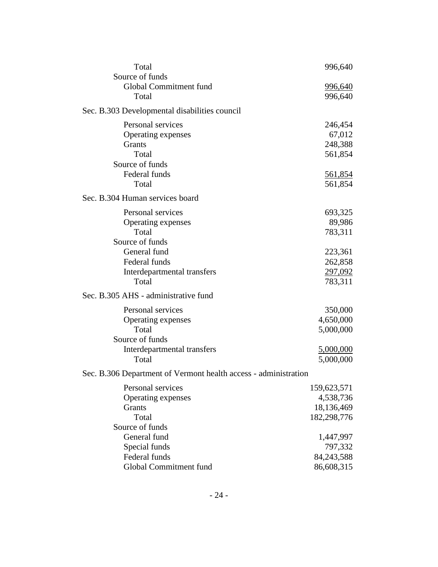| Total                                                           | 996,640        |
|-----------------------------------------------------------------|----------------|
| Source of funds                                                 |                |
| Global Commitment fund                                          | <u>996,640</u> |
| Total                                                           | 996,640        |
| Sec. B.303 Developmental disabilities council                   |                |
| Personal services                                               | 246,454        |
| Operating expenses                                              | 67,012         |
| Grants                                                          | 248,388        |
| Total                                                           | 561,854        |
| Source of funds                                                 |                |
| Federal funds                                                   | 561,854        |
| Total                                                           | 561,854        |
| Sec. B.304 Human services board                                 |                |
| Personal services                                               | 693,325        |
| Operating expenses                                              | 89,986         |
| Total                                                           | 783,311        |
| Source of funds                                                 |                |
| General fund                                                    | 223,361        |
| Federal funds                                                   | 262,858        |
| Interdepartmental transfers                                     | 297,092        |
| Total                                                           | 783,311        |
| Sec. B.305 AHS - administrative fund                            |                |
| Personal services                                               | 350,000        |
| Operating expenses                                              | 4,650,000      |
| Total                                                           | 5,000,000      |
| Source of funds                                                 |                |
| Interdepartmental transfers                                     | 5,000,000      |
| Total                                                           | 5,000,000      |
| Sec. B.306 Department of Vermont health access - administration |                |
| Personal services                                               | 159,623,571    |
| Operating expenses                                              | 4,538,736      |
| Grants                                                          | 18,136,469     |
| Total                                                           | 182,298,776    |
| Source of funds                                                 |                |
| General fund                                                    | 1,447,997      |
| Special funds                                                   | 797,332        |
| Federal funds                                                   | 84,243,588     |
| Global Commitment fund                                          | 86,608,315     |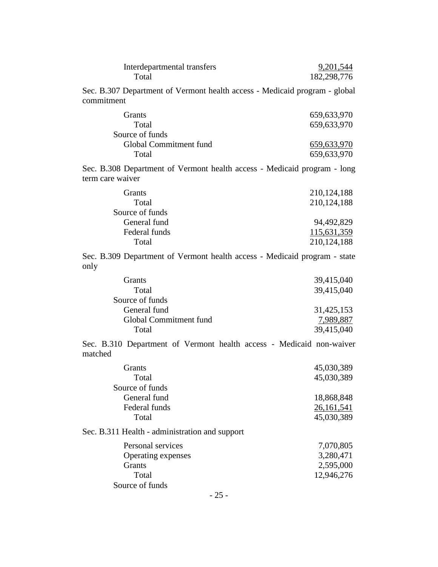| Interdepartmental transfers<br>Total                                                         | 9,201,544<br>182,298,776 |
|----------------------------------------------------------------------------------------------|--------------------------|
| Sec. B.307 Department of Vermont health access - Medicaid program - global<br>commitment     |                          |
| Grants                                                                                       | 659,633,970              |
| Total                                                                                        | 659,633,970              |
| Source of funds                                                                              |                          |
| Global Commitment fund                                                                       | 659,633,970              |
| Total                                                                                        | 659,633,970              |
| Sec. B.308 Department of Vermont health access - Medicaid program - long<br>term care waiver |                          |
| Grants                                                                                       | 210, 124, 188            |
| Total                                                                                        | 210,124,188              |
| Source of funds                                                                              |                          |
| General fund                                                                                 | 94,492,829               |
| Federal funds                                                                                | 115,631,359              |
| Total                                                                                        | 210, 124, 188            |
| Sec. B.309 Department of Vermont health access - Medicaid program - state<br>only            |                          |
| Grants                                                                                       | 39,415,040               |
| Total                                                                                        | 39,415,040               |
| Source of funds                                                                              |                          |
| General fund                                                                                 | 31,425,153               |
| Global Commitment fund                                                                       | 7,989,887                |
| Total                                                                                        | 39,415,040               |
| Sec. B.310 Department of Vermont health access - Medicaid non-waiver<br>matched              |                          |
| Grants                                                                                       | 45,030,389               |
| Total                                                                                        | 45,030,389               |
| Source of funds                                                                              |                          |
| General fund                                                                                 | 18,868,848               |
| Federal funds                                                                                | 26, 161, 541             |
| Total                                                                                        | 45,030,389               |
| Sec. B.311 Health - administration and support                                               |                          |
| Personal services                                                                            | 7,070,805                |
| Operating expenses                                                                           | 3,280,471                |
| Grants                                                                                       | 2,595,000                |
| Total                                                                                        | 12,946,276               |
| Source of funds                                                                              |                          |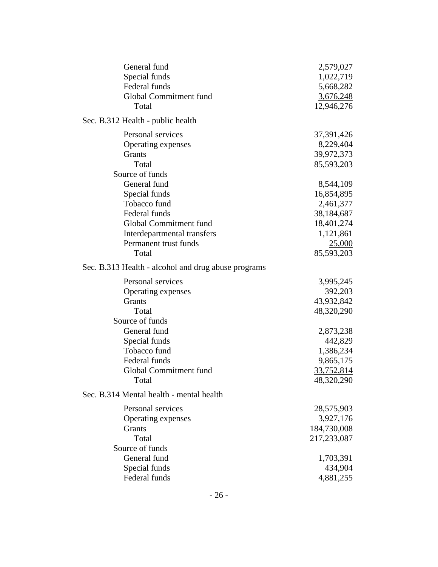| General fund                                        | 2,579,027        |
|-----------------------------------------------------|------------------|
| Special funds                                       | 1,022,719        |
| Federal funds                                       | 5,668,282        |
| Global Commitment fund                              | <u>3,676,248</u> |
| Total                                               | 12,946,276       |
| Sec. B.312 Health - public health                   |                  |
| Personal services                                   | 37,391,426       |
| Operating expenses                                  | 8,229,404        |
| Grants                                              | 39,972,373       |
| Total                                               | 85,593,203       |
| Source of funds                                     |                  |
| General fund                                        | 8,544,109        |
| Special funds                                       | 16,854,895       |
| Tobacco fund                                        | 2,461,377        |
| Federal funds                                       | 38,184,687       |
| Global Commitment fund                              | 18,401,274       |
| Interdepartmental transfers                         | 1,121,861        |
| Permanent trust funds                               | 25,000           |
| Total                                               | 85,593,203       |
| Sec. B.313 Health - alcohol and drug abuse programs |                  |
| Personal services                                   | 3,995,245        |
| Operating expenses                                  | 392,203          |
| Grants                                              | 43,932,842       |
| Total                                               | 48,320,290       |
| Source of funds                                     |                  |
| General fund                                        | 2,873,238        |
| Special funds                                       | 442,829          |
| Tobacco fund                                        | 1,386,234        |
| Federal funds                                       | 9,865,175        |
| Global Commitment fund                              | 33,752,814       |
| Total                                               | 48,320,290       |
| Sec. B.314 Mental health - mental health            |                  |
| Personal services                                   | 28,575,903       |
| Operating expenses                                  | 3,927,176        |
| Grants                                              | 184,730,008      |
| Total                                               | 217,233,087      |
| Source of funds                                     |                  |
| General fund                                        | 1,703,391        |
| Special funds                                       | 434,904          |
| Federal funds                                       | 4,881,255        |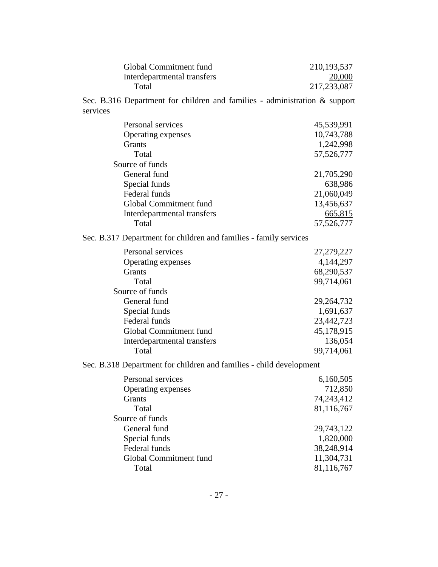| Global Commitment fund      | 210, 193, 537 |
|-----------------------------|---------------|
| Interdepartmental transfers | 20,000        |
| Total                       | 217, 233, 087 |

Sec. B.316 Department for children and families - administration & support services

| Personal services                                                   | 45,539,991 |
|---------------------------------------------------------------------|------------|
| Operating expenses                                                  | 10,743,788 |
| Grants                                                              | 1,242,998  |
| Total                                                               | 57,526,777 |
| Source of funds                                                     |            |
| General fund                                                        | 21,705,290 |
| Special funds                                                       | 638,986    |
| Federal funds                                                       | 21,060,049 |
| Global Commitment fund                                              | 13,456,637 |
| Interdepartmental transfers                                         | 665,815    |
| Total                                                               | 57,526,777 |
| Sec. B.317 Department for children and families - family services   |            |
| Personal services                                                   | 27,279,227 |
| Operating expenses                                                  | 4,144,297  |
| Grants                                                              | 68,290,537 |
| Total                                                               | 99,714,061 |
| Source of funds                                                     |            |
| General fund                                                        | 29,264,732 |
| Special funds                                                       | 1,691,637  |
| Federal funds                                                       | 23,442,723 |
| Global Commitment fund                                              | 45,178,915 |
| Interdepartmental transfers                                         | 136,054    |
| Total                                                               | 99,714,061 |
| Sec. B.318 Department for children and families - child development |            |
| Personal services                                                   | 6,160,505  |
| Operating expenses                                                  | 712,850    |
| Grants                                                              | 74,243,412 |
| Total                                                               | 81,116,767 |
| Source of funds                                                     |            |
| General fund                                                        | 29,743,122 |
| Special funds                                                       | 1,820,000  |
| Federal funds                                                       | 38,248,914 |
| Global Commitment fund                                              | 11,304,731 |
| Total                                                               | 81,116,767 |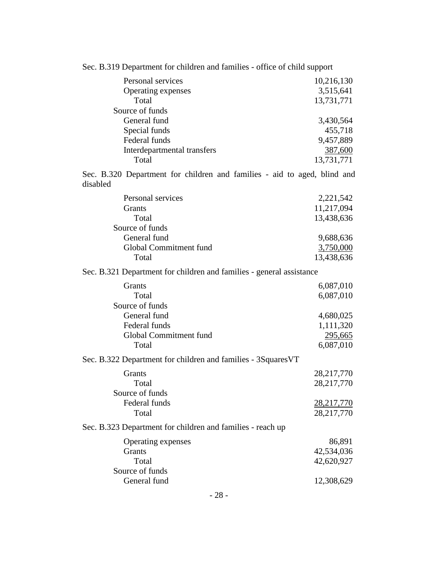| Sec. B.319 Department for children and families - office of child support            |                   |  |
|--------------------------------------------------------------------------------------|-------------------|--|
| Personal services                                                                    | 10,216,130        |  |
| Operating expenses                                                                   | 3,515,641         |  |
| Total                                                                                | 13,731,771        |  |
| Source of funds                                                                      |                   |  |
| General fund                                                                         | 3,430,564         |  |
| Special funds                                                                        | 455,718           |  |
| Federal funds                                                                        | 9,457,889         |  |
| Interdepartmental transfers                                                          | 387,600           |  |
| Total                                                                                | 13,731,771        |  |
| Sec. B.320 Department for children and families - aid to aged, blind and<br>disabled |                   |  |
| Personal services                                                                    | 2,221,542         |  |
| Grants                                                                               | 11,217,094        |  |
| Total                                                                                | 13,438,636        |  |
| Source of funds                                                                      |                   |  |
| General fund                                                                         | 9,688,636         |  |
| Global Commitment fund                                                               | 3,750,000         |  |
| Total                                                                                | 13,438,636        |  |
| Sec. B.321 Department for children and families - general assistance                 |                   |  |
| Grants                                                                               | 6,087,010         |  |
| Total                                                                                | 6,087,010         |  |
| Source of funds                                                                      |                   |  |
| General fund                                                                         | 4,680,025         |  |
| Federal funds                                                                        | 1,111,320         |  |
| Global Commitment fund                                                               | <u>295,665</u>    |  |
| Total                                                                                | 6,087,010         |  |
| Sec. B.322 Department for children and families - 3Squares VT                        |                   |  |
| Grants                                                                               | 28,217,770        |  |
| Total                                                                                | 28,217,770        |  |
| Source of funds                                                                      |                   |  |
| Federal funds                                                                        | <u>28,217,770</u> |  |
| Total                                                                                | 28,217,770        |  |
| Sec. B.323 Department for children and families - reach up                           |                   |  |
| Operating expenses                                                                   | 86,891            |  |
| Grants                                                                               | 42,534,036        |  |
| Total                                                                                | 42,620,927        |  |
| Source of funds                                                                      |                   |  |
| General fund                                                                         | 12,308,629        |  |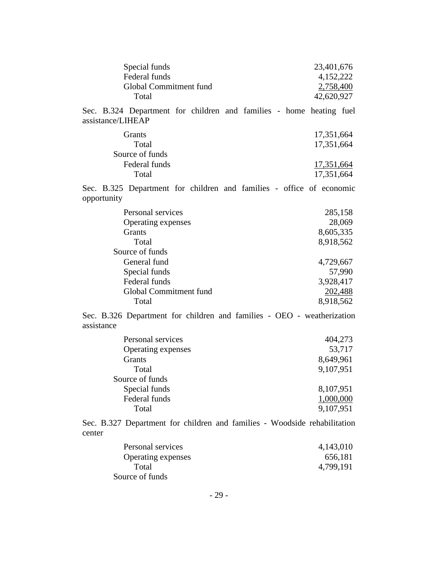| Special funds          | 23,401,676 |
|------------------------|------------|
| Federal funds          | 4,152,222  |
| Global Commitment fund | 2,758,400  |
| Total                  | 42,620,927 |

Sec. B.324 Department for children and families - home heating fuel assistance/LIHEAP

| 17,351,664 |
|------------|
| 17,351,664 |
|            |
| 17,351,664 |
| 17,351,664 |
|            |

Sec. B.325 Department for children and families - office of economic opportunity

| Personal services      | 285,158   |
|------------------------|-----------|
| Operating expenses     | 28,069    |
| <b>Grants</b>          | 8,605,335 |
| Total                  | 8,918,562 |
| Source of funds        |           |
| General fund           | 4,729,667 |
| Special funds          | 57,990    |
| Federal funds          | 3,928,417 |
| Global Commitment fund | 202,488   |
| Total                  | 8,918,562 |
|                        |           |

Sec. B.326 Department for children and families - OEO - weatherization assistance

| Personal services  | 404,273   |
|--------------------|-----------|
| Operating expenses | 53,717    |
| <b>Grants</b>      | 8,649,961 |
| Total              | 9,107,951 |
| Source of funds    |           |
| Special funds      | 8,107,951 |
| Federal funds      | 1,000,000 |
| Total              | 9,107,951 |

Sec. B.327 Department for children and families - Woodside rehabilitation center

| Personal services  | 4,143,010 |
|--------------------|-----------|
| Operating expenses | 656,181   |
| Total              | 4,799,191 |
| Source of funds    |           |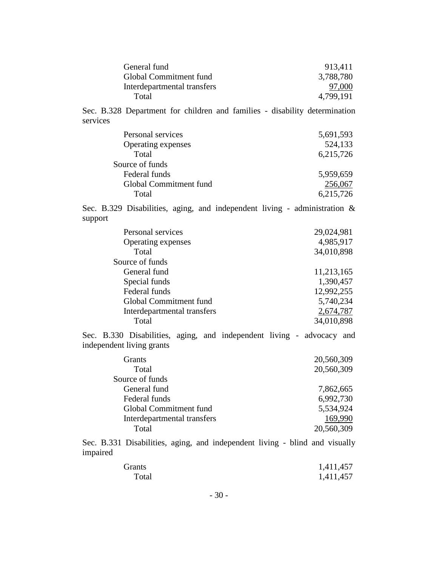| General fund                | 913,411   |
|-----------------------------|-----------|
| Global Commitment fund      | 3,788,780 |
| Interdepartmental transfers | 97,000    |
| Total                       | 4,799,191 |

Sec. B.328 Department for children and families - disability determination services

| Personal services      | 5,691,593 |
|------------------------|-----------|
| Operating expenses     | 524,133   |
| Total                  | 6,215,726 |
| Source of funds        |           |
| Federal funds          | 5,959,659 |
| Global Commitment fund | 256,067   |
| Total                  | 6,215,726 |

Sec. B.329 Disabilities, aging, and independent living - administration & support

| Personal services           | 29,024,981 |
|-----------------------------|------------|
| Operating expenses          | 4,985,917  |
| Total                       | 34,010,898 |
| Source of funds             |            |
| General fund                | 11,213,165 |
| Special funds               | 1,390,457  |
| Federal funds               | 12,992,255 |
| Global Commitment fund      | 5,740,234  |
| Interdepartmental transfers | 2,674,787  |
| Total                       | 34,010,898 |
|                             |            |

Sec. B.330 Disabilities, aging, and independent living - advocacy and independent living grants

| Grants                      | 20,560,309 |
|-----------------------------|------------|
| Total                       | 20,560,309 |
| Source of funds             |            |
| General fund                | 7,862,665  |
| Federal funds               | 6,992,730  |
| Global Commitment fund      | 5,534,924  |
| Interdepartmental transfers | 169,990    |
| Total                       | 20,560,309 |

Sec. B.331 Disabilities, aging, and independent living - blind and visually impaired

| Grants | 1,411,457 |
|--------|-----------|
| Total  | 1,411,457 |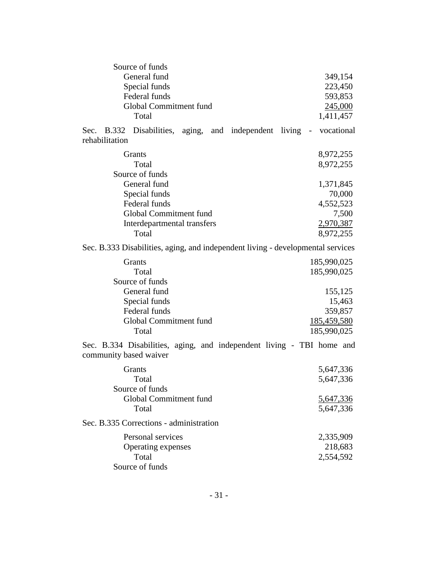| Source of funds                                                                                 |                    |
|-------------------------------------------------------------------------------------------------|--------------------|
| General fund                                                                                    | 349,154            |
| Special funds                                                                                   | 223,450            |
| Federal funds                                                                                   | 593,853            |
| Global Commitment fund                                                                          | 245,000            |
| Total                                                                                           | 1,411,457          |
| Sec. B.332 Disabilities, aging, and independent living -<br>rehabilitation                      | vocational         |
| Grants                                                                                          | 8,972,255          |
| Total                                                                                           | 8,972,255          |
| Source of funds                                                                                 |                    |
| General fund                                                                                    | 1,371,845          |
| Special funds                                                                                   | 70,000             |
| Federal funds                                                                                   | 4,552,523          |
| Global Commitment fund                                                                          | 7,500              |
| Interdepartmental transfers                                                                     | 2,970,387          |
| Total                                                                                           | 8,972,255          |
| Sec. B.333 Disabilities, aging, and independent living - developmental services                 |                    |
| Grants                                                                                          | 185,990,025        |
| Total                                                                                           | 185,990,025        |
| Source of funds                                                                                 |                    |
| General fund                                                                                    | 155,125            |
| Special funds                                                                                   | 15,463             |
| Federal funds                                                                                   | 359,857            |
| Global Commitment fund                                                                          | <u>185,459,580</u> |
| Total                                                                                           | 185,990,025        |
| Sec. B.334 Disabilities, aging, and independent living - TBI home and<br>community based waiver |                    |
| Grants                                                                                          | 5,647,336          |
| Total                                                                                           | 5,647,336          |
| Source of funds                                                                                 |                    |
| Global Commitment fund                                                                          | 5,647,336          |
| Total                                                                                           | 5,647,336          |
| Sec. B.335 Corrections - administration                                                         |                    |
| Personal services                                                                               | 2,335,909          |
| Operating expenses                                                                              | 218,683            |
| Total                                                                                           | 2,554,592          |
| Source of funds                                                                                 |                    |
|                                                                                                 |                    |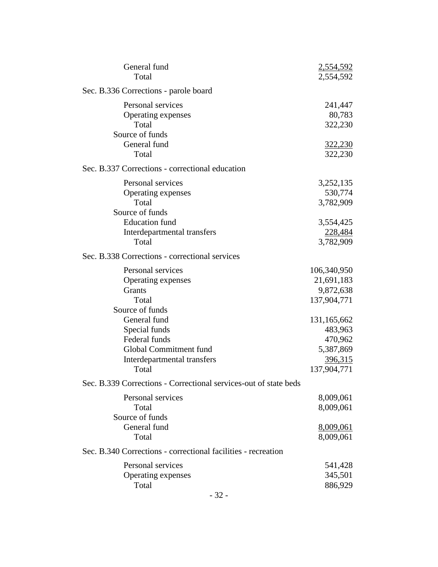| General fund<br>Total                                                                            | 2,554,592<br>2,554,592                                               |
|--------------------------------------------------------------------------------------------------|----------------------------------------------------------------------|
| Sec. B.336 Corrections - parole board                                                            |                                                                      |
| Personal services<br>Operating expenses<br>Total<br>Source of funds                              | 241,447<br>80,783<br>322,230                                         |
| General fund<br>Total                                                                            | 322,230<br>322,230                                                   |
| Sec. B.337 Corrections - correctional education                                                  |                                                                      |
| Personal services<br>Operating expenses<br>Total<br>Source of funds                              | 3,252,135<br>530,774<br>3,782,909                                    |
| <b>Education</b> fund<br>Interdepartmental transfers<br>Total                                    | 3,554,425<br>228,484<br>3,782,909                                    |
| Sec. B.338 Corrections - correctional services                                                   |                                                                      |
| Personal services<br>Operating expenses<br>Grants<br>Total<br>Source of funds<br>General fund    | 106,340,950<br>21,691,183<br>9,872,638<br>137,904,771<br>131,165,662 |
| Special funds<br>Federal funds<br>Global Commitment fund<br>Interdepartmental transfers<br>Total | 483,963<br>470,962<br>5,387,869<br>396,315<br>137,904,771            |
| Sec. B.339 Corrections - Correctional services-out of state beds                                 |                                                                      |
| Personal services<br>Total<br>Source of funds<br>General fund                                    | 8,009,061<br>8,009,061<br>8,009,061                                  |
| Total                                                                                            | 8,009,061                                                            |
| Sec. B.340 Corrections - correctional facilities - recreation                                    |                                                                      |
| Personal services<br>Operating expenses<br>Total                                                 | 541,428<br>345,501<br>886,929                                        |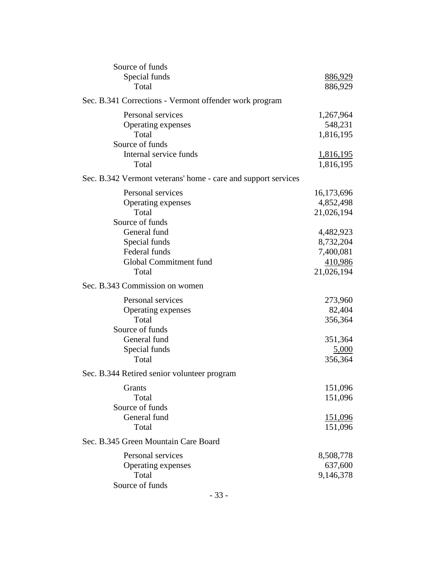| Source of funds<br>Special funds                              | 886,929          |
|---------------------------------------------------------------|------------------|
| Total                                                         | 886,929          |
| Sec. B.341 Corrections - Vermont offender work program        |                  |
| Personal services                                             | 1,267,964        |
| Operating expenses                                            | 548,231          |
| Total                                                         | 1,816,195        |
| Source of funds                                               |                  |
| Internal service funds                                        | <u>1,816,195</u> |
| Total                                                         | 1,816,195        |
| Sec. B.342 Vermont veterans' home - care and support services |                  |
| Personal services                                             | 16,173,696       |
| Operating expenses                                            | 4,852,498        |
| Total                                                         | 21,026,194       |
| Source of funds                                               |                  |
| General fund                                                  | 4,482,923        |
| Special funds                                                 | 8,732,204        |
| Federal funds                                                 | 7,400,081        |
| Global Commitment fund                                        | 410,986          |
| Total                                                         | 21,026,194       |
| Sec. B.343 Commission on women                                |                  |
| Personal services                                             | 273,960          |
| Operating expenses                                            | 82,404           |
| Total                                                         | 356,364          |
| Source of funds                                               |                  |
| General fund                                                  | 351,364          |
| Special funds                                                 | 5,000            |
| Total                                                         | 356,364          |
| Sec. B.344 Retired senior volunteer program                   |                  |
| Grants                                                        | 151,096          |
| Total                                                         | 151,096          |
| Source of funds                                               |                  |
| General fund                                                  | 151,096          |
| Total                                                         | 151,096          |
| Sec. B.345 Green Mountain Care Board                          |                  |
| Personal services                                             | 8,508,778        |
| Operating expenses                                            | 637,600          |
| Total                                                         | 9,146,378        |
| Source of funds                                               |                  |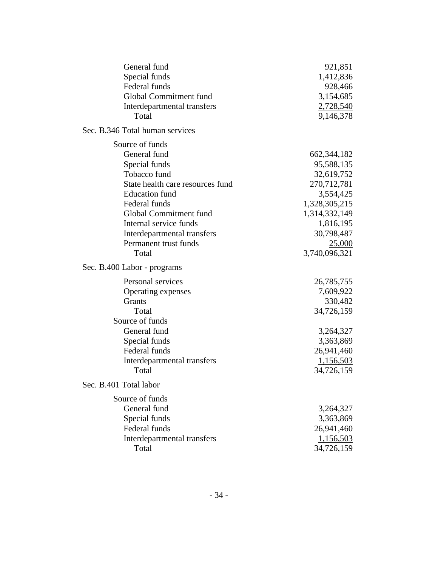| General fund                     | 921,851       |
|----------------------------------|---------------|
| Special funds                    | 1,412,836     |
| Federal funds                    | 928,466       |
| Global Commitment fund           | 3,154,685     |
| Interdepartmental transfers      | 2,728,540     |
| Total                            | 9,146,378     |
| Sec. B.346 Total human services  |               |
| Source of funds                  |               |
| General fund                     | 662, 344, 182 |
| Special funds                    | 95,588,135    |
| Tobacco fund                     | 32,619,752    |
| State health care resources fund | 270,712,781   |
| <b>Education</b> fund            | 3,554,425     |
| Federal funds                    | 1,328,305,215 |
| Global Commitment fund           | 1,314,332,149 |
| Internal service funds           | 1,816,195     |
| Interdepartmental transfers      | 30,798,487    |
| Permanent trust funds            | 25,000        |
| Total                            | 3,740,096,321 |
| Sec. B.400 Labor - programs      |               |
| Personal services                | 26,785,755    |
| Operating expenses               | 7,609,922     |
| <b>Grants</b>                    | 330,482       |
| Total                            | 34,726,159    |
| Source of funds                  |               |
| General fund                     | 3,264,327     |
| Special funds                    | 3,363,869     |
| Federal funds                    | 26,941,460    |
| Interdepartmental transfers      | 1,156,503     |
| Total                            | 34,726,159    |
| Sec. B.401 Total labor           |               |
| Source of funds                  |               |
| General fund                     | 3,264,327     |
| Special funds                    | 3,363,869     |
| Federal funds                    | 26,941,460    |
| Interdepartmental transfers      | 1,156,503     |
| Total                            | 34,726,159    |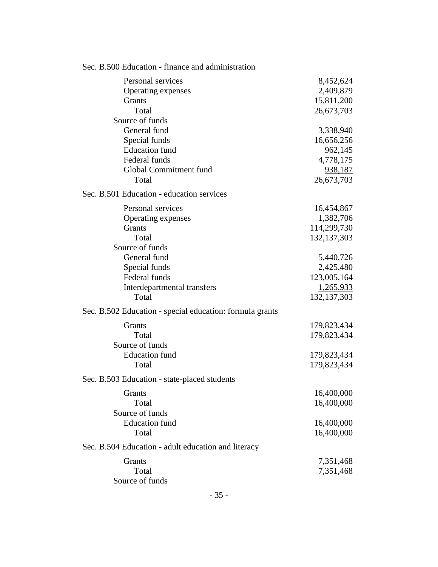| Sec. B.500 Education - finance and administration        |                   |
|----------------------------------------------------------|-------------------|
| Personal services                                        | 8,452,624         |
| Operating expenses                                       | 2,409,879         |
| Grants                                                   | 15,811,200        |
| Total                                                    | 26,673,703        |
| Source of funds                                          |                   |
| General fund                                             | 3,338,940         |
| Special funds                                            | 16,656,256        |
| <b>Education</b> fund                                    | 962,145           |
| Federal funds                                            | 4,778,175         |
| Global Commitment fund                                   | 938,187           |
| Total                                                    | 26,673,703        |
| Sec. B.501 Education - education services                |                   |
| Personal services                                        | 16,454,867        |
| Operating expenses                                       | 1,382,706         |
| Grants                                                   | 114,299,730       |
| Total                                                    | 132, 137, 303     |
| Source of funds                                          |                   |
| General fund                                             | 5,440,726         |
| Special funds                                            | 2,425,480         |
| Federal funds                                            | 123,005,164       |
| Interdepartmental transfers                              | 1,265,933         |
| Total                                                    | 132, 137, 303     |
| Sec. B.502 Education - special education: formula grants |                   |
| Grants                                                   | 179,823,434       |
| Total                                                    | 179,823,434       |
| Source of funds                                          |                   |
| <b>Education</b> fund                                    | 179,823,434       |
| Total                                                    | 179,823,434       |
| Sec. B.503 Education - state-placed students             |                   |
| Grants                                                   | 16,400,000        |
| Total                                                    | 16,400,000        |
| Source of funds                                          |                   |
| <b>Education</b> fund                                    | <u>16,400,000</u> |
| Total                                                    | 16,400,000        |
| Sec. B.504 Education - adult education and literacy      |                   |
| Grants                                                   | 7,351,468         |
| Total                                                    | 7,351,468         |
| Source of funds                                          |                   |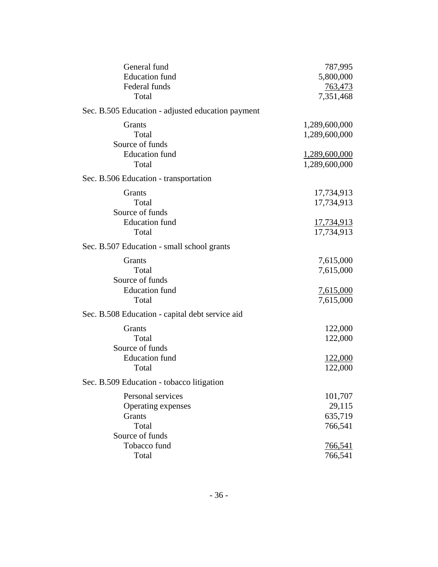| General fund                                      | 787,995          |
|---------------------------------------------------|------------------|
| <b>Education</b> fund                             | 5,800,000        |
| Federal funds                                     | 763,473          |
| Total                                             | 7,351,468        |
| Sec. B.505 Education - adjusted education payment |                  |
| Grants                                            | 1,289,600,000    |
| Total                                             | 1,289,600,000    |
| Source of funds                                   |                  |
| <b>Education</b> fund                             | 1,289,600,000    |
| Total                                             | 1,289,600,000    |
| Sec. B.506 Education - transportation             |                  |
| Grants                                            | 17,734,913       |
| Total                                             | 17,734,913       |
| Source of funds                                   |                  |
| <b>Education</b> fund                             | 17,734,913       |
| Total                                             | 17,734,913       |
| Sec. B.507 Education - small school grants        |                  |
| Grants                                            | 7,615,000        |
| Total                                             | 7,615,000        |
| Source of funds                                   |                  |
| <b>Education</b> fund                             | <u>7,615,000</u> |
| Total                                             | 7,615,000        |
| Sec. B.508 Education - capital debt service aid   |                  |
| Grants                                            | 122,000          |
| Total                                             | 122,000          |
| Source of funds                                   |                  |
| <b>Education</b> fund                             | <u>122,000</u>   |
| Total                                             | 122,000          |
| Sec. B.509 Education - tobacco litigation         |                  |
| Personal services                                 | 101,707          |
| Operating expenses                                | 29,115           |
| Grants                                            | 635,719          |
| Total                                             | 766,541          |
| Source of funds                                   |                  |
| Tobacco fund                                      | 766,541          |
| Total                                             | 766,541          |
|                                                   |                  |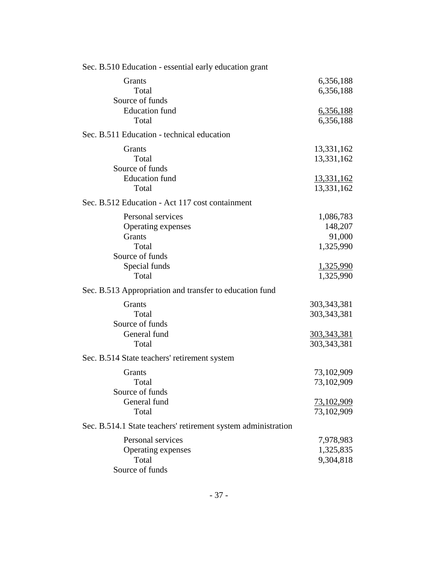| Sec. B.510 Education - essential early education grant        |                    |
|---------------------------------------------------------------|--------------------|
| Grants                                                        | 6,356,188          |
| Total                                                         | 6,356,188          |
| Source of funds                                               |                    |
| <b>Education</b> fund                                         | 6,356,188          |
| Total                                                         | 6,356,188          |
| Sec. B.511 Education - technical education                    |                    |
| Grants                                                        | 13,331,162         |
| Total                                                         | 13,331,162         |
| Source of funds                                               |                    |
| <b>Education</b> fund                                         | <u>13,331,162</u>  |
| Total                                                         | 13,331,162         |
| Sec. B.512 Education - Act 117 cost containment               |                    |
| Personal services                                             | 1,086,783          |
| Operating expenses                                            | 148,207            |
| Grants                                                        | 91,000             |
| Total                                                         | 1,325,990          |
| Source of funds                                               |                    |
| Special funds                                                 | 1,325,990          |
| Total                                                         | 1,325,990          |
| Sec. B.513 Appropriation and transfer to education fund       |                    |
| Grants                                                        | 303, 343, 381      |
| Total                                                         | 303, 343, 381      |
| Source of funds                                               |                    |
| General fund                                                  | <u>303,343,381</u> |
| Total                                                         | 303,343,381        |
| Sec. B.514 State teachers' retirement system                  |                    |
| Grants                                                        | 73,102,909         |
| Total                                                         | 73,102,909         |
| Source of funds                                               |                    |
| General fund                                                  | 73,102,909         |
| Total                                                         | 73,102,909         |
| Sec. B.514.1 State teachers' retirement system administration |                    |
| Personal services                                             | 7,978,983          |
| Operating expenses                                            | 1,325,835          |
| Total                                                         | 9,304,818          |
| Source of funds                                               |                    |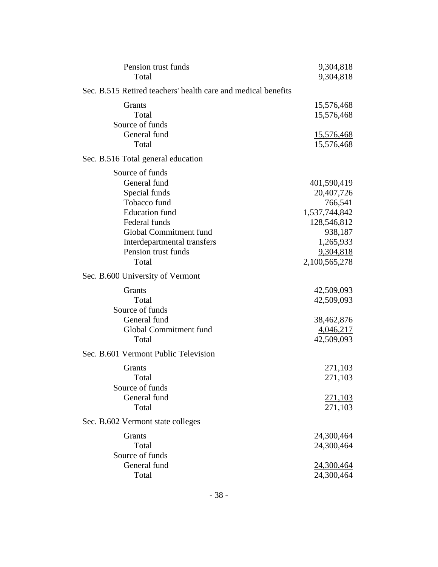| Pension trust funds<br>Total                                                                                                                                                                        | 9,304,818<br>9,304,818                                                                                                     |
|-----------------------------------------------------------------------------------------------------------------------------------------------------------------------------------------------------|----------------------------------------------------------------------------------------------------------------------------|
| Sec. B.515 Retired teachers' health care and medical benefits                                                                                                                                       |                                                                                                                            |
| Grants<br>Total<br>Source of funds<br>General fund<br>Total                                                                                                                                         | 15,576,468<br>15,576,468<br><u>15,576,468</u><br>15,576,468                                                                |
| Sec. B.516 Total general education                                                                                                                                                                  |                                                                                                                            |
| Source of funds<br>General fund<br>Special funds<br>Tobacco fund<br><b>Education</b> fund<br>Federal funds<br>Global Commitment fund<br>Interdepartmental transfers<br>Pension trust funds<br>Total | 401,590,419<br>20,407,726<br>766,541<br>1,537,744,842<br>128,546,812<br>938,187<br>1,265,933<br>9,304,818<br>2,100,565,278 |
| Sec. B.600 University of Vermont                                                                                                                                                                    |                                                                                                                            |
| Grants<br>Total<br>Source of funds<br>General fund<br>Global Commitment fund<br>Total                                                                                                               | 42,509,093<br>42,509,093<br>38,462,876<br>4,046,217<br>42,509,093                                                          |
| Sec. B.601 Vermont Public Television                                                                                                                                                                |                                                                                                                            |
| Grants<br>Total<br>Source of funds<br>General fund<br>Total                                                                                                                                         | 271,103<br>271,103<br>271,103<br>271,103                                                                                   |
| Sec. B.602 Vermont state colleges                                                                                                                                                                   |                                                                                                                            |
| Grants<br>Total<br>Source of funds<br>General fund                                                                                                                                                  | 24,300,464<br>24,300,464<br>24,300,464                                                                                     |
| Total                                                                                                                                                                                               | 24,300,464                                                                                                                 |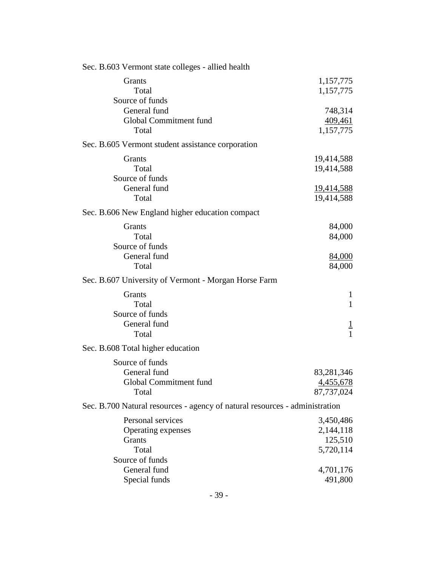| Sec. B.603 Vermont state colleges - allied health                           |                                 |
|-----------------------------------------------------------------------------|---------------------------------|
| Grants<br>Total<br>Source of funds                                          | 1,157,775<br>1,157,775          |
| General fund                                                                | 748,314                         |
| Global Commitment fund                                                      | 409,461                         |
| Total                                                                       | 1,157,775                       |
| Sec. B.605 Vermont student assistance corporation                           |                                 |
| Grants                                                                      | 19,414,588                      |
| Total                                                                       | 19,414,588                      |
| Source of funds                                                             |                                 |
| General fund<br>Total                                                       | <u>19,414,588</u><br>19,414,588 |
| Sec. B.606 New England higher education compact                             |                                 |
|                                                                             |                                 |
| Grants                                                                      | 84,000                          |
| Total<br>Source of funds                                                    | 84,000                          |
| General fund                                                                | 84,000                          |
| Total                                                                       | 84,000                          |
| Sec. B.607 University of Vermont - Morgan Horse Farm                        |                                 |
| Grants                                                                      | $\mathbf{1}$                    |
| Total                                                                       | $\mathbf{1}$                    |
| Source of funds                                                             |                                 |
| General fund                                                                |                                 |
| Total                                                                       | $\frac{1}{1}$                   |
| Sec. B.608 Total higher education                                           |                                 |
| Source of funds                                                             |                                 |
| General fund                                                                | 83,281,346                      |
| Global Commitment fund                                                      | 4,455,678                       |
| Total                                                                       | 87,737,024                      |
| Sec. B.700 Natural resources - agency of natural resources - administration |                                 |
| Personal services                                                           | 3,450,486                       |
| Operating expenses                                                          | 2,144,118                       |
| Grants                                                                      | 125,510                         |
| Total<br>Source of funds                                                    | 5,720,114                       |
| General fund                                                                | 4,701,176                       |
| Special funds                                                               | 491,800                         |
|                                                                             |                                 |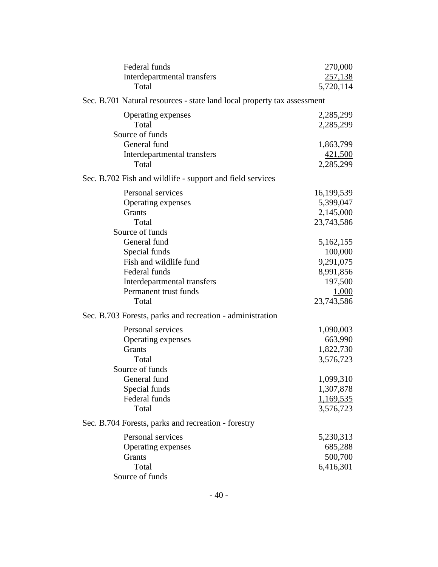| Federal funds                                                           | 270,000    |
|-------------------------------------------------------------------------|------------|
| Interdepartmental transfers                                             | 257,138    |
| Total                                                                   | 5,720,114  |
| Sec. B.701 Natural resources - state land local property tax assessment |            |
| Operating expenses                                                      | 2,285,299  |
| Total                                                                   | 2,285,299  |
| Source of funds                                                         |            |
| General fund                                                            | 1,863,799  |
| Interdepartmental transfers                                             | 421,500    |
| Total                                                                   | 2,285,299  |
| Sec. B.702 Fish and wildlife - support and field services               |            |
| Personal services                                                       | 16,199,539 |
| Operating expenses                                                      | 5,399,047  |
| Grants                                                                  | 2,145,000  |
| Total                                                                   | 23,743,586 |
| Source of funds                                                         |            |
| General fund                                                            | 5,162,155  |
| Special funds                                                           | 100,000    |
| Fish and wildlife fund                                                  | 9,291,075  |
| Federal funds                                                           | 8,991,856  |
| Interdepartmental transfers                                             | 197,500    |
| Permanent trust funds                                                   | 1,000      |
| Total                                                                   | 23,743,586 |
| Sec. B.703 Forests, parks and recreation - administration               |            |
| Personal services                                                       | 1,090,003  |
| Operating expenses                                                      | 663,990    |
| Grants                                                                  | 1,822,730  |
| Total                                                                   | 3,576,723  |
| Source of funds                                                         |            |
| General fund                                                            | 1,099,310  |
| Special funds                                                           | 1,307,878  |
| Federal funds                                                           | 1,169,535  |
| Total                                                                   | 3,576,723  |
| Sec. B.704 Forests, parks and recreation - forestry                     |            |
| Personal services                                                       | 5,230,313  |
| Operating expenses                                                      | 685,288    |
| Grants                                                                  | 500,700    |
| Total                                                                   | 6,416,301  |
| Source of funds                                                         |            |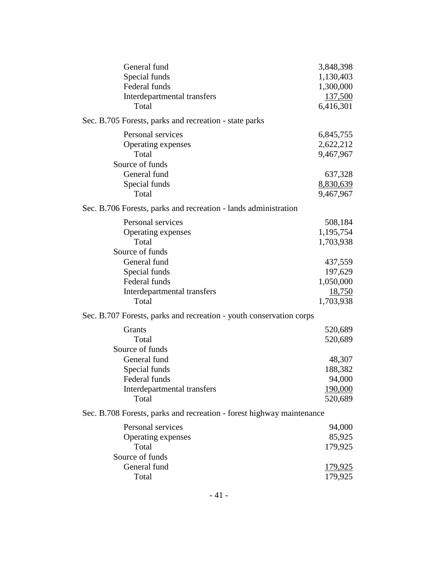| General fund                                                          | 3,848,398      |
|-----------------------------------------------------------------------|----------------|
| Special funds                                                         | 1,130,403      |
| Federal funds                                                         | 1,300,000      |
| Interdepartmental transfers                                           | <u>137,500</u> |
| Total                                                                 | 6,416,301      |
| Sec. B.705 Forests, parks and recreation - state parks                |                |
| Personal services                                                     | 6,845,755      |
| Operating expenses                                                    | 2,622,212      |
| Total                                                                 | 9,467,967      |
| Source of funds                                                       |                |
| General fund                                                          | 637,328        |
| Special funds                                                         | 8,830,639      |
| Total                                                                 | 9,467,967      |
| Sec. B.706 Forests, parks and recreation - lands administration       |                |
| Personal services                                                     | 508,184        |
| Operating expenses                                                    | 1,195,754      |
| Total                                                                 | 1,703,938      |
| Source of funds                                                       |                |
| General fund                                                          | 437,559        |
| Special funds                                                         | 197,629        |
| Federal funds                                                         | 1,050,000      |
| Interdepartmental transfers                                           | <u>18,750</u>  |
| Total                                                                 | 1,703,938      |
| Sec. B.707 Forests, parks and recreation - youth conservation corps   |                |
| Grants                                                                | 520,689        |
| Total                                                                 | 520,689        |
| Source of funds                                                       |                |
| General fund                                                          | 48,307         |
| Special funds                                                         | 188,382        |
| Federal funds                                                         | 94,000         |
| Interdepartmental transfers                                           | 190,000        |
| Total                                                                 | 520,689        |
| Sec. B.708 Forests, parks and recreation - forest highway maintenance |                |
| Personal services                                                     | 94,000         |
| Operating expenses                                                    | 85,925         |
| Total                                                                 | 179,925        |
| Source of funds                                                       |                |
| General fund                                                          | <u>179,925</u> |
| Total                                                                 | 179,925        |
|                                                                       |                |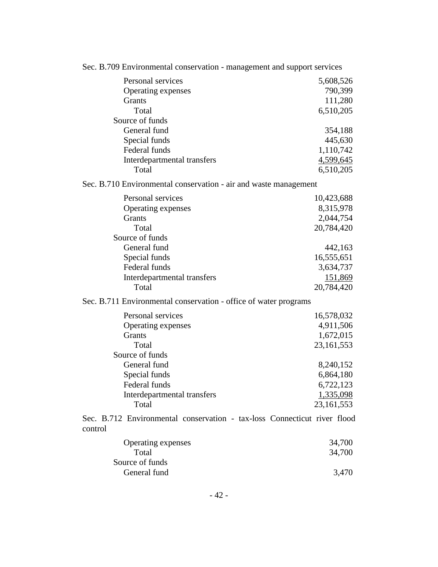| Sec. B.709 Environmental conservation - management and support services             |              |
|-------------------------------------------------------------------------------------|--------------|
| Personal services                                                                   | 5,608,526    |
| Operating expenses                                                                  | 790,399      |
| Grants                                                                              | 111,280      |
| Total                                                                               | 6,510,205    |
| Source of funds                                                                     |              |
| General fund                                                                        | 354,188      |
| Special funds                                                                       | 445,630      |
| Federal funds                                                                       | 1,110,742    |
| Interdepartmental transfers                                                         | 4,599,645    |
| Total                                                                               | 6,510,205    |
| Sec. B.710 Environmental conservation - air and waste management                    |              |
| Personal services                                                                   | 10,423,688   |
| Operating expenses                                                                  | 8,315,978    |
| Grants                                                                              | 2,044,754    |
| Total                                                                               | 20,784,420   |
| Source of funds                                                                     |              |
| General fund                                                                        | 442,163      |
| Special funds                                                                       | 16,555,651   |
| Federal funds                                                                       | 3,634,737    |
| Interdepartmental transfers                                                         | 151,869      |
| Total                                                                               | 20,784,420   |
| Sec. B.711 Environmental conservation - office of water programs                    |              |
| Personal services                                                                   | 16,578,032   |
| Operating expenses                                                                  | 4,911,506    |
| Grants                                                                              | 1,672,015    |
| Total                                                                               | 23, 161, 553 |
| Source of funds                                                                     |              |
| General fund                                                                        | 8,240,152    |
| Special funds                                                                       | 6,864,180    |
| Federal funds                                                                       | 6,722,123    |
| Interdepartmental transfers                                                         | 1,335,098    |
| Total                                                                               | 23,161,553   |
| Sec. B.712 Environmental conservation - tax-loss Connecticut river flood<br>control |              |
| Operating expenses                                                                  | 34,700       |
| Total                                                                               | 34,700       |
| Source of funds                                                                     |              |
| General fund                                                                        | 3,470        |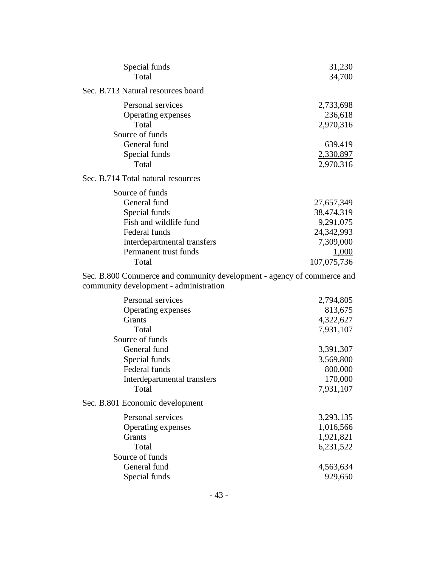| Special funds<br>Total                                                                                                                                       | 31,230<br>34,700                                                                         |
|--------------------------------------------------------------------------------------------------------------------------------------------------------------|------------------------------------------------------------------------------------------|
| Sec. B.713 Natural resources board                                                                                                                           |                                                                                          |
| Personal services<br>Operating expenses<br>Total                                                                                                             | 2,733,698<br>236,618<br>2,970,316                                                        |
| Source of funds<br>General fund<br>Special funds<br>Total                                                                                                    | 639,419<br>2,330,897<br>2,970,316                                                        |
| Sec. B.714 Total natural resources                                                                                                                           |                                                                                          |
| Source of funds<br>General fund<br>Special funds<br>Fish and wildlife fund<br>Federal funds<br>Interdepartmental transfers<br>Permanent trust funds<br>Total | 27,657,349<br>38,474,319<br>9,291,075<br>24,342,993<br>7,309,000<br>1,000<br>107,075,736 |
| Sec. B.800 Commerce and community development - agency of commerce and<br>community development - administration                                             |                                                                                          |
| Personal services<br>Operating expenses<br>Grants<br>Total<br>Source of funds<br>General fund<br>Special funds<br>Federal funds                              | 2,794,805<br>813,675<br>4,322,627<br>7,931,107<br>3,391,307<br>3,569,800<br>800,000      |
| Interdepartmental transfers<br>Total                                                                                                                         | 170,000<br>7,931,107                                                                     |
| Sec. B.801 Economic development                                                                                                                              |                                                                                          |
| Personal services<br>Operating expenses<br>Grants<br>Total<br>Source of funds                                                                                | 3,293,135<br>1,016,566<br>1,921,821<br>6,231,522                                         |
| General fund<br>Special funds                                                                                                                                | 4,563,634<br>929,650                                                                     |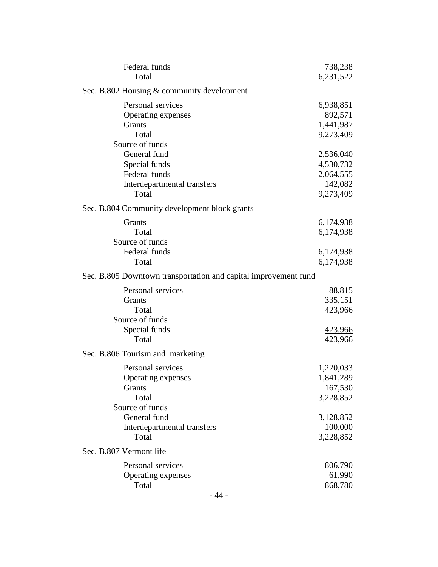| Federal funds<br>Total                                                                                    | <u>738,238</u><br>6,231,522                                 |
|-----------------------------------------------------------------------------------------------------------|-------------------------------------------------------------|
| Sec. B.802 Housing & community development                                                                |                                                             |
| Personal services<br>Operating expenses<br>Grants<br>Total                                                | 6,938,851<br>892,571<br>1,441,987<br>9,273,409              |
| Source of funds<br>General fund<br>Special funds<br>Federal funds<br>Interdepartmental transfers<br>Total | 2,536,040<br>4,530,732<br>2,064,555<br>142,082<br>9,273,409 |
| Sec. B.804 Community development block grants                                                             |                                                             |
| Grants<br>Total<br>Source of funds                                                                        | 6,174,938<br>6,174,938                                      |
| Federal funds<br>Total                                                                                    | <u>6,174,938</u><br>6,174,938                               |
| Sec. B.805 Downtown transportation and capital improvement fund                                           |                                                             |
| Personal services<br><b>Grants</b><br>Total<br>Source of funds<br>Special funds<br>Total                  | 88,815<br>335,151<br>423,966<br>423,966<br>423,966          |
| Sec. B.806 Tourism and marketing                                                                          |                                                             |
| Personal services<br>Operating expenses<br><b>Grants</b><br>Total<br>Source of funds                      | 1,220,033<br>1,841,289<br>167,530<br>3,228,852              |
| General fund<br>Interdepartmental transfers<br>Total                                                      | 3,128,852<br>100,000<br>3,228,852                           |
| Sec. B.807 Vermont life                                                                                   |                                                             |
| Personal services<br>Operating expenses<br>Total                                                          | 806,790<br>61,990<br>868,780                                |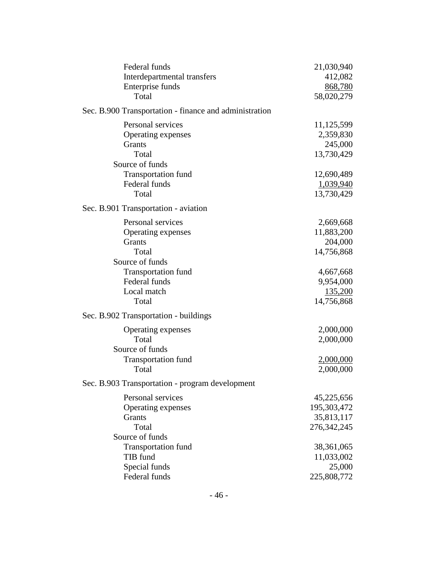| Federal funds                                          | 21,030,940       |
|--------------------------------------------------------|------------------|
| Interdepartmental transfers                            | 412,082          |
| Enterprise funds                                       | 868,780          |
| Total                                                  | 58,020,279       |
| Sec. B.900 Transportation - finance and administration |                  |
| Personal services                                      | 11,125,599       |
| Operating expenses                                     | 2,359,830        |
| <b>Grants</b>                                          | 245,000          |
| Total                                                  | 13,730,429       |
| Source of funds                                        |                  |
| <b>Transportation fund</b>                             | 12,690,489       |
| Federal funds                                          | 1,039,940        |
| Total                                                  | 13,730,429       |
| Sec. B.901 Transportation - aviation                   |                  |
| Personal services                                      | 2,669,668        |
| Operating expenses                                     | 11,883,200       |
| Grants                                                 | 204,000          |
| Total                                                  | 14,756,868       |
| Source of funds                                        |                  |
| <b>Transportation fund</b>                             | 4,667,668        |
| Federal funds                                          | 9,954,000        |
| Local match                                            | 135,200          |
| Total                                                  | 14,756,868       |
| Sec. B.902 Transportation - buildings                  |                  |
| Operating expenses                                     | 2,000,000        |
| Total                                                  | 2,000,000        |
| Source of funds                                        |                  |
| <b>Transportation fund</b>                             | <u>2,000,000</u> |
| Total                                                  | 2,000,000        |
| Sec. B.903 Transportation - program development        |                  |
| Personal services                                      | 45,225,656       |
| Operating expenses                                     | 195,303,472      |
| Grants                                                 | 35,813,117       |
| Total                                                  | 276, 342, 245    |
| Source of funds                                        |                  |
| <b>Transportation fund</b>                             | 38,361,065       |
| TIB fund                                               | 11,033,002       |
| Special funds                                          | 25,000           |
| Federal funds                                          | 225,808,772      |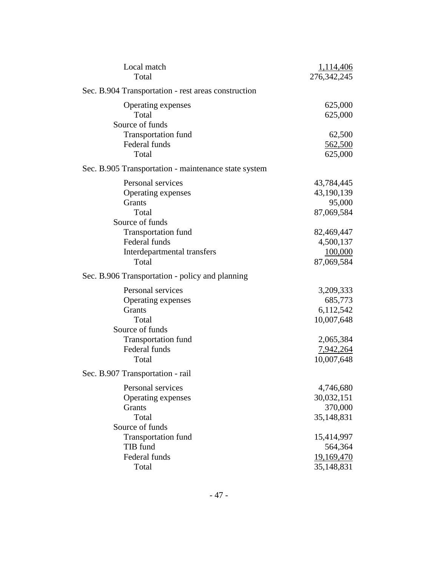| Local match                                          | 1,114,406     |
|------------------------------------------------------|---------------|
| Total                                                | 276, 342, 245 |
| Sec. B.904 Transportation - rest areas construction  |               |
| Operating expenses                                   | 625,000       |
| Total                                                | 625,000       |
| Source of funds                                      |               |
| <b>Transportation fund</b>                           | 62,500        |
| Federal funds                                        | 562,500       |
| Total                                                | 625,000       |
| Sec. B.905 Transportation - maintenance state system |               |
| Personal services                                    | 43,784,445    |
| Operating expenses                                   | 43,190,139    |
| <b>Grants</b>                                        | 95,000        |
| Total                                                | 87,069,584    |
| Source of funds                                      |               |
| <b>Transportation fund</b>                           | 82,469,447    |
| Federal funds                                        | 4,500,137     |
| Interdepartmental transfers                          | 100,000       |
| Total                                                | 87,069,584    |
| Sec. B.906 Transportation - policy and planning      |               |
| Personal services                                    | 3,209,333     |
| Operating expenses                                   | 685,773       |
| Grants                                               | 6,112,542     |
| Total                                                | 10,007,648    |
| Source of funds                                      |               |
| <b>Transportation fund</b>                           | 2,065,384     |
| Federal funds                                        | 7,942,264     |
| Total                                                | 10,007,648    |
| Sec. B.907 Transportation - rail                     |               |
| Personal services                                    | 4,746,680     |
| Operating expenses                                   | 30,032,151    |
| Grants                                               | 370,000       |
| Total                                                | 35,148,831    |
| Source of funds                                      |               |
| <b>Transportation fund</b>                           | 15,414,997    |
| TIB fund                                             | 564,364       |
| Federal funds                                        | 19,169,470    |
| Total                                                | 35,148,831    |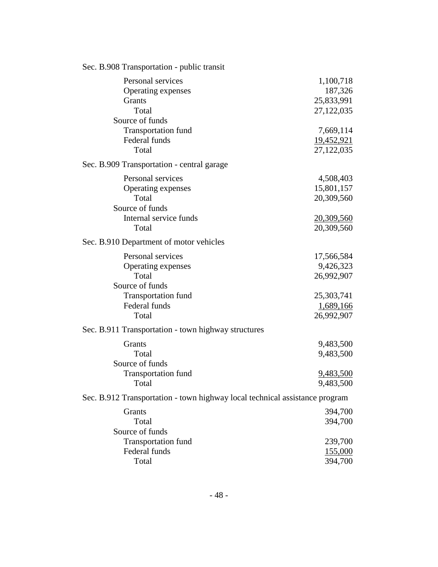| Sec. B.908 Transportation - public transit                                                             |                                                     |
|--------------------------------------------------------------------------------------------------------|-----------------------------------------------------|
| Personal services<br>Operating expenses<br>Grants<br>Total<br>Source of funds                          | 1,100,718<br>187,326<br>25,833,991<br>27,122,035    |
| <b>Transportation fund</b><br>Federal funds<br>Total                                                   | 7,669,114<br>19,452,921<br>27,122,035               |
| Sec. B.909 Transportation - central garage                                                             |                                                     |
| Personal services<br>Operating expenses<br>Total<br>Source of funds<br>Internal service funds<br>Total | 4,508,403<br>15,801,157<br>20,309,560<br>20,309,560 |
|                                                                                                        | 20,309,560                                          |
| Sec. B.910 Department of motor vehicles                                                                |                                                     |
| Personal services<br>Operating expenses<br>Total<br>Source of funds                                    | 17,566,584<br>9,426,323<br>26,992,907               |
| <b>Transportation fund</b><br>Federal funds<br>Total                                                   | 25,303,741<br>1,689,166<br>26,992,907               |
| Sec. B.911 Transportation - town highway structures                                                    |                                                     |
| Grants<br>Total<br>Source of funds                                                                     | 9,483,500<br>9,483,500                              |
| <b>Transportation fund</b><br>Total                                                                    | 9,483,500<br>9,483,500                              |
| Sec. B.912 Transportation - town highway local technical assistance program                            |                                                     |
| Grants<br>Total<br>Source of funds                                                                     | 394,700<br>394,700                                  |
| <b>Transportation fund</b><br>Federal funds<br>Total                                                   | 239,700<br><u>155,000</u><br>394,700                |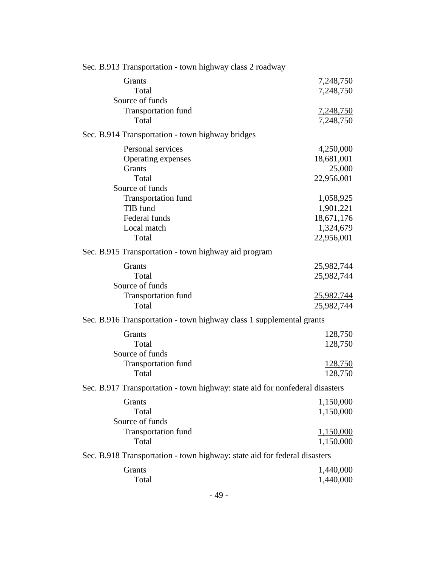| Sec. B.913 Transportation - town highway class 2 roadway                     |                  |
|------------------------------------------------------------------------------|------------------|
| Grants                                                                       | 7,248,750        |
| Total                                                                        | 7,248,750        |
| Source of funds                                                              |                  |
| <b>Transportation fund</b>                                                   | <u>7,248,750</u> |
| Total                                                                        | 7,248,750        |
| Sec. B.914 Transportation - town highway bridges                             |                  |
| Personal services                                                            | 4,250,000        |
| Operating expenses                                                           | 18,681,001       |
| Grants                                                                       | 25,000           |
| Total                                                                        | 22,956,001       |
| Source of funds                                                              |                  |
| <b>Transportation fund</b>                                                   | 1,058,925        |
| TIB fund                                                                     | 1,901,221        |
| Federal funds                                                                | 18,671,176       |
| Local match                                                                  | 1,324,679        |
| Total                                                                        | 22,956,001       |
| Sec. B.915 Transportation - town highway aid program                         |                  |
| Grants                                                                       | 25,982,744       |
| Total                                                                        | 25,982,744       |
| Source of funds                                                              |                  |
| <b>Transportation fund</b>                                                   | 25,982,744       |
| Total                                                                        | 25,982,744       |
| Sec. B.916 Transportation - town highway class 1 supplemental grants         |                  |
| Grants                                                                       | 128,750          |
| Total                                                                        | 128,750          |
| Source of funds                                                              |                  |
| <b>Transportation fund</b>                                                   | <u>128,750</u>   |
| Total                                                                        | 128,750          |
| Sec. B.917 Transportation - town highway: state aid for nonfederal disasters |                  |
| Grants                                                                       | 1,150,000        |
| Total                                                                        | 1,150,000        |
| Source of funds                                                              |                  |
| <b>Transportation fund</b>                                                   | 1,150,000        |
| Total                                                                        | 1,150,000        |
| Sec. B.918 Transportation - town highway: state aid for federal disasters    |                  |
| Grants                                                                       | 1,440,000        |
| Total                                                                        | 1,440,000        |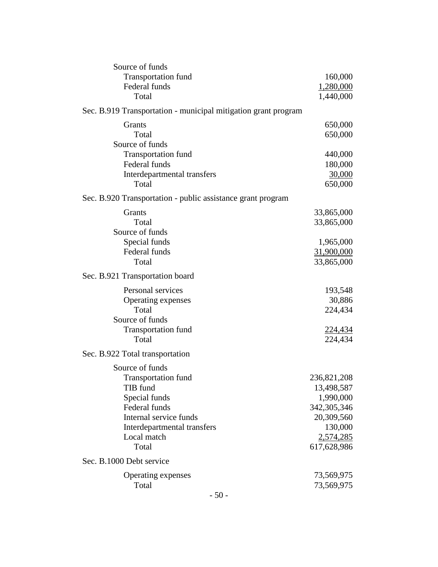| Source of funds                                                |               |
|----------------------------------------------------------------|---------------|
| <b>Transportation fund</b>                                     | 160,000       |
| Federal funds                                                  | 1,280,000     |
| Total                                                          | 1,440,000     |
| Sec. B.919 Transportation - municipal mitigation grant program |               |
| Grants                                                         | 650,000       |
| Total                                                          | 650,000       |
| Source of funds                                                |               |
| <b>Transportation fund</b>                                     | 440,000       |
| Federal funds                                                  | 180,000       |
| Interdepartmental transfers                                    | 30,000        |
| Total                                                          | 650,000       |
| Sec. B.920 Transportation - public assistance grant program    |               |
| Grants                                                         | 33,865,000    |
| Total                                                          | 33,865,000    |
| Source of funds                                                |               |
| Special funds                                                  | 1,965,000     |
| Federal funds                                                  | 31,900,000    |
| Total                                                          | 33,865,000    |
| Sec. B.921 Transportation board                                |               |
| Personal services                                              | 193,548       |
| Operating expenses                                             | 30,886        |
| Total                                                          | 224,434       |
| Source of funds                                                |               |
| <b>Transportation fund</b>                                     | 224,434       |
| Total                                                          | 224,434       |
| Sec. B.922 Total transportation                                |               |
| Source of funds                                                |               |
| <b>Transportation fund</b>                                     | 236,821,208   |
| TIB fund                                                       | 13,498,587    |
| Special funds                                                  | 1,990,000     |
| Federal funds                                                  | 342, 305, 346 |
| Internal service funds                                         | 20,309,560    |
| Interdepartmental transfers                                    | 130,000       |
| Local match                                                    | 2,574,285     |
| Total                                                          | 617,628,986   |
| Sec. B.1000 Debt service                                       |               |
| Operating expenses                                             | 73,569,975    |
| Total                                                          | 73,569,975    |
|                                                                |               |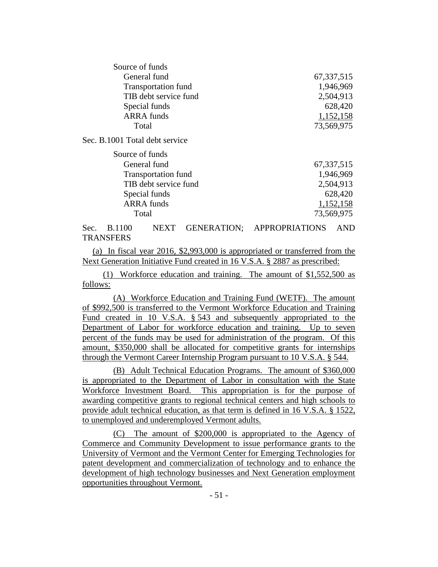| Source of funds                |              |
|--------------------------------|--------------|
| General fund                   | 67, 337, 515 |
| <b>Transportation fund</b>     | 1,946,969    |
| TIB debt service fund          | 2,504,913    |
| Special funds                  | 628,420      |
| <b>ARRA</b> funds              | 1,152,158    |
| Total                          | 73,569,975   |
| Sec. B.1001 Total debt service |              |
| Source of funds                |              |
| General fund                   | 67, 337, 515 |
| <b>Transportation fund</b>     | 1,946,969    |
| TIB debt service fund          | 2,504,913    |
| Special funds                  | 628,420      |
| <b>ARRA</b> funds              | 1,152,158    |
| Total                          | 73,569,975   |
|                                |              |

Sec. B.1100 NEXT GENERATION; APPROPRIATIONS AND **TRANSFERS** 

(a) In fiscal year 2016, \$2,993,000 is appropriated or transferred from the Next Generation Initiative Fund created in 16 V.S.A. § 2887 as prescribed:

(1) Workforce education and training. The amount of \$1,552,500 as follows:

(A) Workforce Education and Training Fund (WETF). The amount of \$992,500 is transferred to the Vermont Workforce Education and Training Fund created in 10 V.S.A. § 543 and subsequently appropriated to the Department of Labor for workforce education and training. Up to seven percent of the funds may be used for administration of the program. Of this amount, \$350,000 shall be allocated for competitive grants for internships through the Vermont Career Internship Program pursuant to 10 V.S.A. § 544.

(B) Adult Technical Education Programs. The amount of \$360,000 is appropriated to the Department of Labor in consultation with the State Workforce Investment Board. This appropriation is for the purpose of awarding competitive grants to regional technical centers and high schools to provide adult technical education, as that term is defined in 16 V.S.A. § 1522, to unemployed and underemployed Vermont adults.

(C) The amount of \$200,000 is appropriated to the Agency of Commerce and Community Development to issue performance grants to the University of Vermont and the Vermont Center for Emerging Technologies for patent development and commercialization of technology and to enhance the development of high technology businesses and Next Generation employment opportunities throughout Vermont.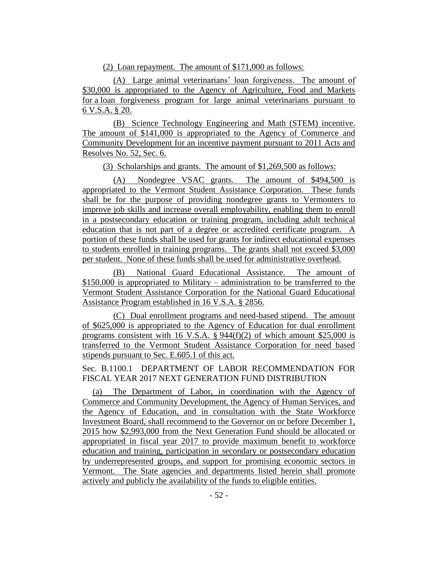(2) Loan repayment. The amount of \$171,000 as follows:

(A) Large animal veterinarians' loan forgiveness. The amount of \$30,000 is appropriated to the Agency of Agriculture, Food and Markets for a loan forgiveness program for large animal veterinarians pursuant to 6 V.S.A. § 20.

(B) Science Technology Engineering and Math (STEM) incentive. The amount of \$141,000 is appropriated to the Agency of Commerce and Community Development for an incentive payment pursuant to 2011 Acts and Resolves No. 52, Sec. 6.

(3) Scholarships and grants. The amount of \$1,269,500 as follows:

(A) Nondegree VSAC grants. The amount of \$494,500 is appropriated to the Vermont Student Assistance Corporation. These funds shall be for the purpose of providing nondegree grants to Vermonters to improve job skills and increase overall employability, enabling them to enroll in a postsecondary education or training program, including adult technical education that is not part of a degree or accredited certificate program. A portion of these funds shall be used for grants for indirect educational expenses to students enrolled in training programs. The grants shall not exceed \$3,000 per student. None of these funds shall be used for administrative overhead.

(B) National Guard Educational Assistance. The amount of \$150,000 is appropriated to Military – administration to be transferred to the Vermont Student Assistance Corporation for the National Guard Educational Assistance Program established in 16 V.S.A. § 2856.

(C) Dual enrollment programs and need-based stipend. The amount of \$625,000 is appropriated to the Agency of Education for dual enrollment programs consistent with 16 V.S.A.  $\S$  944(f)(2) of which amount \$25,000 is transferred to the Vermont Student Assistance Corporation for need based stipends pursuant to Sec. E.605.1 of this act.

Sec. B.1100.1 DEPARTMENT OF LABOR RECOMMENDATION FOR FISCAL YEAR 2017 NEXT GENERATION FUND DISTRIBUTION

(a) The Department of Labor, in coordination with the Agency of Commerce and Community Development, the Agency of Human Services, and the Agency of Education, and in consultation with the State Workforce Investment Board, shall recommend to the Governor on or before December 1, 2015 how \$2,993,000 from the Next Generation Fund should be allocated or appropriated in fiscal year 2017 to provide maximum benefit to workforce education and training, participation in secondary or postsecondary education by underrepresented groups, and support for promising economic sectors in Vermont. The State agencies and departments listed herein shall promote actively and publicly the availability of the funds to eligible entities.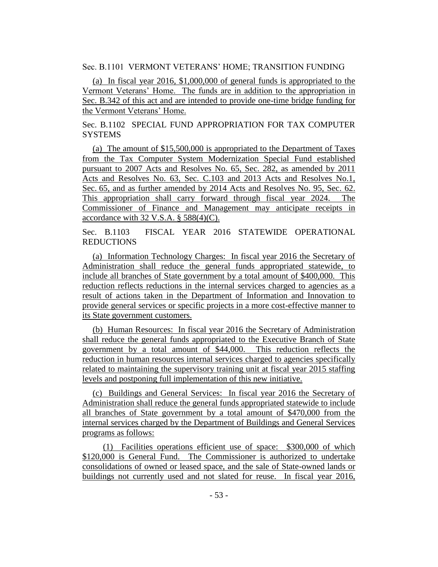Sec. B.1101 VERMONT VETERANS' HOME; TRANSITION FUNDING

(a) In fiscal year 2016, \$1,000,000 of general funds is appropriated to the Vermont Veterans' Home. The funds are in addition to the appropriation in Sec. B.342 of this act and are intended to provide one-time bridge funding for the Vermont Veterans' Home.

Sec. B.1102 SPECIAL FUND APPROPRIATION FOR TAX COMPUTER **SYSTEMS** 

(a) The amount of \$15,500,000 is appropriated to the Department of Taxes from the Tax Computer System Modernization Special Fund established pursuant to 2007 Acts and Resolves No. 65, Sec. 282, as amended by 2011 Acts and Resolves No. 63, Sec. C.103 and 2013 Acts and Resolves No.1, Sec. 65, and as further amended by 2014 Acts and Resolves No. 95, Sec. 62. This appropriation shall carry forward through fiscal year 2024. The Commissioner of Finance and Management may anticipate receipts in accordance with  $32$  V.S.A. §  $588(4)(C)$ .

Sec. B.1103 FISCAL YEAR 2016 STATEWIDE OPERATIONAL REDUCTIONS

(a) Information Technology Charges: In fiscal year 2016 the Secretary of Administration shall reduce the general funds appropriated statewide, to include all branches of State government by a total amount of \$400,000. This reduction reflects reductions in the internal services charged to agencies as a result of actions taken in the Department of Information and Innovation to provide general services or specific projects in a more cost-effective manner to its State government customers.

(b) Human Resources: In fiscal year 2016 the Secretary of Administration shall reduce the general funds appropriated to the Executive Branch of State government by a total amount of \$44,000. This reduction reflects the reduction in human resources internal services charged to agencies specifically related to maintaining the supervisory training unit at fiscal year 2015 staffing levels and postponing full implementation of this new initiative.

(c) Buildings and General Services: In fiscal year 2016 the Secretary of Administration shall reduce the general funds appropriated statewide to include all branches of State government by a total amount of \$470,000 from the internal services charged by the Department of Buildings and General Services programs as follows:

(1) Facilities operations efficient use of space: \$300,000 of which \$120,000 is General Fund. The Commissioner is authorized to undertake consolidations of owned or leased space, and the sale of State-owned lands or buildings not currently used and not slated for reuse. In fiscal year 2016,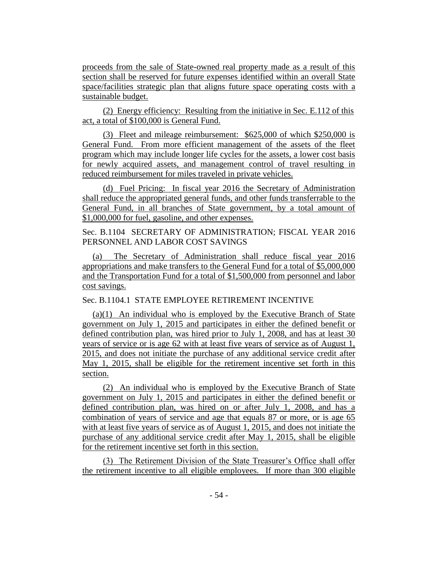proceeds from the sale of State-owned real property made as a result of this section shall be reserved for future expenses identified within an overall State space/facilities strategic plan that aligns future space operating costs with a sustainable budget.

(2) Energy efficiency: Resulting from the initiative in Sec. E.112 of this act, a total of \$100,000 is General Fund.

(3) Fleet and mileage reimbursement: \$625,000 of which \$250,000 is General Fund. From more efficient management of the assets of the fleet program which may include longer life cycles for the assets, a lower cost basis for newly acquired assets, and management control of travel resulting in reduced reimbursement for miles traveled in private vehicles.

(d) Fuel Pricing: In fiscal year 2016 the Secretary of Administration shall reduce the appropriated general funds, and other funds transferrable to the General Fund, in all branches of State government, by a total amount of \$1,000,000 for fuel, gasoline, and other expenses.

Sec. B.1104 SECRETARY OF ADMINISTRATION; FISCAL YEAR 2016 PERSONNEL AND LABOR COST SAVINGS

(a) The Secretary of Administration shall reduce fiscal year 2016 appropriations and make transfers to the General Fund for a total of \$5,000,000 and the Transportation Fund for a total of \$1,500,000 from personnel and labor cost savings.

Sec. B.1104.1 STATE EMPLOYEE RETIREMENT INCENTIVE

(a)(1) An individual who is employed by the Executive Branch of State government on July 1, 2015 and participates in either the defined benefit or defined contribution plan, was hired prior to July 1, 2008, and has at least 30 years of service or is age 62 with at least five years of service as of August 1, 2015, and does not initiate the purchase of any additional service credit after May 1, 2015, shall be eligible for the retirement incentive set forth in this section.

(2) An individual who is employed by the Executive Branch of State government on July 1, 2015 and participates in either the defined benefit or defined contribution plan, was hired on or after July 1, 2008, and has a combination of years of service and age that equals 87 or more, or is age 65 with at least five years of service as of August 1, 2015, and does not initiate the purchase of any additional service credit after May 1, 2015, shall be eligible for the retirement incentive set forth in this section.

(3) The Retirement Division of the State Treasurer's Office shall offer the retirement incentive to all eligible employees. If more than 300 eligible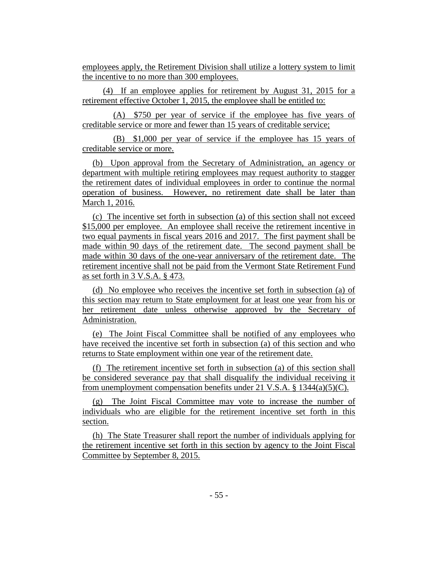employees apply, the Retirement Division shall utilize a lottery system to limit the incentive to no more than 300 employees.

(4) If an employee applies for retirement by August 31, 2015 for a retirement effective October 1, 2015, the employee shall be entitled to:

(A) \$750 per year of service if the employee has five years of creditable service or more and fewer than 15 years of creditable service;

(B) \$1,000 per year of service if the employee has 15 years of creditable service or more.

(b) Upon approval from the Secretary of Administration, an agency or department with multiple retiring employees may request authority to stagger the retirement dates of individual employees in order to continue the normal operation of business. However, no retirement date shall be later than March 1, 2016.

(c) The incentive set forth in subsection (a) of this section shall not exceed \$15,000 per employee. An employee shall receive the retirement incentive in two equal payments in fiscal years 2016 and 2017. The first payment shall be made within 90 days of the retirement date. The second payment shall be made within 30 days of the one-year anniversary of the retirement date. The retirement incentive shall not be paid from the Vermont State Retirement Fund as set forth in 3 V.S.A. § 473.

(d) No employee who receives the incentive set forth in subsection (a) of this section may return to State employment for at least one year from his or her retirement date unless otherwise approved by the Secretary of Administration.

(e) The Joint Fiscal Committee shall be notified of any employees who have received the incentive set forth in subsection (a) of this section and who returns to State employment within one year of the retirement date.

(f) The retirement incentive set forth in subsection (a) of this section shall be considered severance pay that shall disqualify the individual receiving it from unemployment compensation benefits under 21 V.S.A.  $\S$  1344(a)(5)(C).

(g) The Joint Fiscal Committee may vote to increase the number of individuals who are eligible for the retirement incentive set forth in this section.

(h) The State Treasurer shall report the number of individuals applying for the retirement incentive set forth in this section by agency to the Joint Fiscal Committee by September 8, 2015.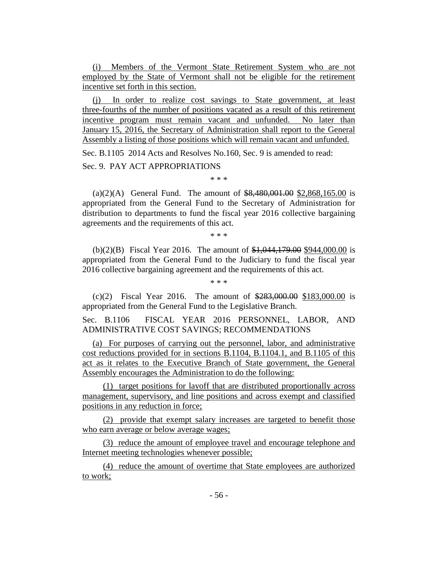(i) Members of the Vermont State Retirement System who are not employed by the State of Vermont shall not be eligible for the retirement incentive set forth in this section.

(j) In order to realize cost savings to State government, at least three-fourths of the number of positions vacated as a result of this retirement incentive program must remain vacant and unfunded. No later than January 15, 2016, the Secretary of Administration shall report to the General Assembly a listing of those positions which will remain vacant and unfunded. Sec. B.1105 2014 Acts and Resolves No.160, Sec. 9 is amended to read:

Sec. 9. PAY ACT APPROPRIATIONS

\* \* \*

(a)(2)(A) General Fund. The amount of  $$8,480,001.00$  \$2,868,165.00 is appropriated from the General Fund to the Secretary of Administration for distribution to departments to fund the fiscal year 2016 collective bargaining agreements and the requirements of this act.

\* \* \*

(b)(2)(B) Fiscal Year 2016. The amount of \$1,044,179.00 \$944,000.00 is appropriated from the General Fund to the Judiciary to fund the fiscal year 2016 collective bargaining agreement and the requirements of this act.

\* \* \*

(c)(2) Fiscal Year 2016. The amount of  $\frac{$283,000,00}{$283,000,00}$  is appropriated from the General Fund to the Legislative Branch.

Sec. B.1106 FISCAL YEAR 2016 PERSONNEL, LABOR, AND ADMINISTRATIVE COST SAVINGS; RECOMMENDATIONS

(a) For purposes of carrying out the personnel, labor, and administrative cost reductions provided for in sections B.1104, B.1104.1, and B.1105 of this act as it relates to the Executive Branch of State government, the General Assembly encourages the Administration to do the following:

(1) target positions for layoff that are distributed proportionally across management, supervisory, and line positions and across exempt and classified positions in any reduction in force;

(2) provide that exempt salary increases are targeted to benefit those who earn average or below average wages;

(3) reduce the amount of employee travel and encourage telephone and Internet meeting technologies whenever possible;

(4) reduce the amount of overtime that State employees are authorized to work;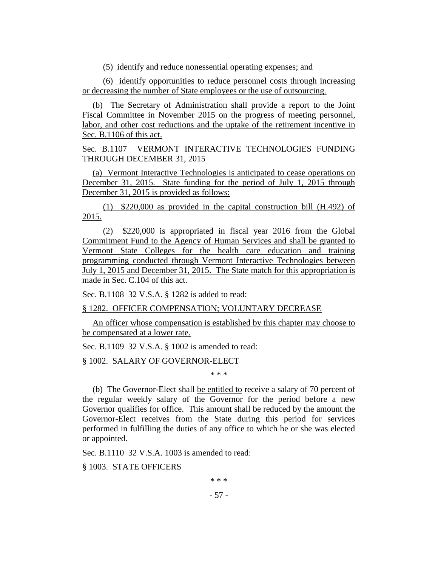(5) identify and reduce nonessential operating expenses; and

(6) identify opportunities to reduce personnel costs through increasing or decreasing the number of State employees or the use of outsourcing.

(b) The Secretary of Administration shall provide a report to the Joint Fiscal Committee in November 2015 on the progress of meeting personnel, labor, and other cost reductions and the uptake of the retirement incentive in Sec. B.1106 of this act.

Sec. B.1107 VERMONT INTERACTIVE TECHNOLOGIES FUNDING THROUGH DECEMBER 31, 2015

(a) Vermont Interactive Technologies is anticipated to cease operations on December 31, 2015. State funding for the period of July 1, 2015 through December 31, 2015 is provided as follows:

(1) \$220,000 as provided in the capital construction bill (H.492) of 2015.

(2) \$220,000 is appropriated in fiscal year 2016 from the Global Commitment Fund to the Agency of Human Services and shall be granted to Vermont State Colleges for the health care education and training programming conducted through Vermont Interactive Technologies between July 1, 2015 and December 31, 2015. The State match for this appropriation is made in Sec. C.104 of this act.

Sec. B.1108 32 V.S.A. § 1282 is added to read:

## § 1282. OFFICER COMPENSATION; VOLUNTARY DECREASE

An officer whose compensation is established by this chapter may choose to be compensated at a lower rate.

Sec. B.1109 32 V.S.A. § 1002 is amended to read:

§ 1002. SALARY OF GOVERNOR-ELECT

\* \* \*

(b) The Governor-Elect shall be entitled to receive a salary of 70 percent of the regular weekly salary of the Governor for the period before a new Governor qualifies for office. This amount shall be reduced by the amount the Governor-Elect receives from the State during this period for services performed in fulfilling the duties of any office to which he or she was elected or appointed.

Sec. B.1110 32 V.S.A. 1003 is amended to read:

§ 1003. STATE OFFICERS

\* \* \*

- 57 -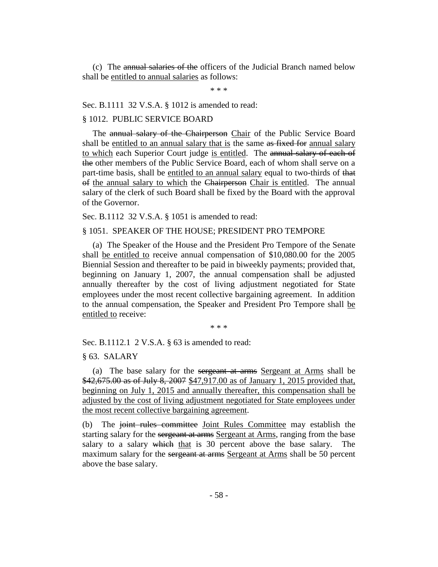(c) The annual salaries of the officers of the Judicial Branch named below shall be entitled to annual salaries as follows:

\* \* \*

Sec. B.1111 32 V.S.A. § 1012 is amended to read:

#### § 1012. PUBLIC SERVICE BOARD

The annual salary of the Chairperson Chair of the Public Service Board shall be entitled to an annual salary that is the same as fixed for annual salary to which each Superior Court judge is entitled. The annual salary of each of the other members of the Public Service Board, each of whom shall serve on a part-time basis, shall be entitled to an annual salary equal to two-thirds of that of the annual salary to which the Chairperson Chair is entitled. The annual salary of the clerk of such Board shall be fixed by the Board with the approval of the Governor.

Sec. B.1112 32 V.S.A. § 1051 is amended to read:

#### § 1051. SPEAKER OF THE HOUSE; PRESIDENT PRO TEMPORE

(a) The Speaker of the House and the President Pro Tempore of the Senate shall be entitled to receive annual compensation of \$10,080.00 for the 2005 Biennial Session and thereafter to be paid in biweekly payments; provided that, beginning on January 1, 2007, the annual compensation shall be adjusted annually thereafter by the cost of living adjustment negotiated for State employees under the most recent collective bargaining agreement. In addition to the annual compensation, the Speaker and President Pro Tempore shall be entitled to receive:

\* \* \*

Sec. B.1112.1 2 V.S.A. § 63 is amended to read:

§ 63. SALARY

(a) The base salary for the sergeant at arms Sergeant at Arms shall be \$42,675.00 as of July 8, 2007 \$47,917.00 as of January 1, 2015 provided that, beginning on July 1, 2015 and annually thereafter, this compensation shall be adjusted by the cost of living adjustment negotiated for State employees under the most recent collective bargaining agreement.

(b) The joint rules committee Joint Rules Committee may establish the starting salary for the sergeant at arms Sergeant at Arms, ranging from the base salary to a salary which that is 30 percent above the base salary. The maximum salary for the sergeant at arms Sergeant at Arms shall be 50 percent above the base salary.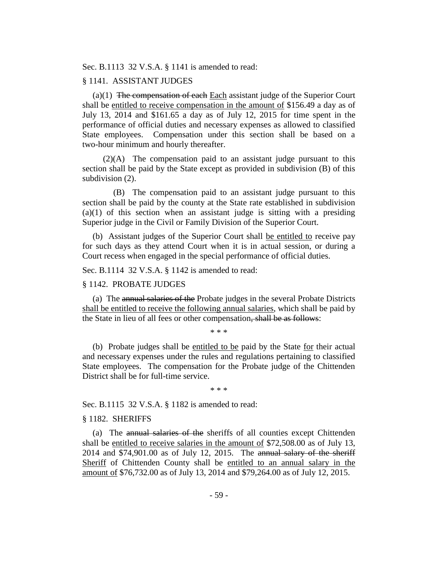Sec. B.1113 32 V.S.A. § 1141 is amended to read:

### § 1141. ASSISTANT JUDGES

(a) $(1)$  The compensation of each Each assistant judge of the Superior Court shall be entitled to receive compensation in the amount of \$156.49 a day as of July 13, 2014 and \$161.65 a day as of July 12, 2015 for time spent in the performance of official duties and necessary expenses as allowed to classified State employees. Compensation under this section shall be based on a two-hour minimum and hourly thereafter.

(2)(A) The compensation paid to an assistant judge pursuant to this section shall be paid by the State except as provided in subdivision (B) of this subdivision (2).

(B) The compensation paid to an assistant judge pursuant to this section shall be paid by the county at the State rate established in subdivision  $(a)(1)$  of this section when an assistant judge is sitting with a presiding Superior judge in the Civil or Family Division of the Superior Court.

(b) Assistant judges of the Superior Court shall be entitled to receive pay for such days as they attend Court when it is in actual session, or during a Court recess when engaged in the special performance of official duties.

Sec. B.1114 32 V.S.A. § 1142 is amended to read:

#### § 1142. PROBATE JUDGES

(a) The annual salaries of the Probate judges in the several Probate Districts shall be entitled to receive the following annual salaries, which shall be paid by the State in lieu of all fees or other compensation, shall be as follows:

\* \* \*

(b) Probate judges shall be entitled to be paid by the State for their actual and necessary expenses under the rules and regulations pertaining to classified State employees. The compensation for the Probate judge of the Chittenden District shall be for full-time service.

\* \* \*

Sec. B.1115 32 V.S.A. § 1182 is amended to read:

### § 1182. SHERIFFS

(a) The annual salaries of the sheriffs of all counties except Chittenden shall be entitled to receive salaries in the amount of \$72,508.00 as of July 13, 2014 and \$74,901.00 as of July 12, 2015. The annual salary of the sheriff Sheriff of Chittenden County shall be entitled to an annual salary in the amount of \$76,732.00 as of July 13, 2014 and \$79,264.00 as of July 12, 2015.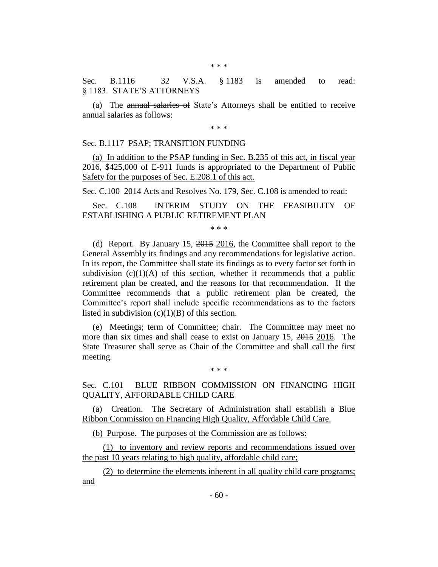Sec. B.1116 32 V.S.A. § 1183 is amended to read: § 1183. STATE'S ATTORNEYS

(a) The annual salaries of State's Attorneys shall be entitled to receive annual salaries as follows:

\* \* \*

### Sec. B.1117 PSAP; TRANSITION FUNDING

(a) In addition to the PSAP funding in Sec. B.235 of this act, in fiscal year 2016, \$425,000 of E-911 funds is appropriated to the Department of Public Safety for the purposes of Sec. E.208.1 of this act.

Sec. C.100 2014 Acts and Resolves No. 179, Sec. C.108 is amended to read:

Sec. C.108 INTERIM STUDY ON THE FEASIBILITY OF ESTABLISHING A PUBLIC RETIREMENT PLAN

\* \* \*

(d) Report. By January 15, 2015 2016, the Committee shall report to the General Assembly its findings and any recommendations for legislative action. In its report, the Committee shall state its findings as to every factor set forth in subdivision  $(c)(1)(A)$  of this section, whether it recommends that a public retirement plan be created, and the reasons for that recommendation. If the Committee recommends that a public retirement plan be created, the Committee's report shall include specific recommendations as to the factors listed in subdivision  $(c)(1)(B)$  of this section.

(e) Meetings; term of Committee; chair. The Committee may meet no more than six times and shall cease to exist on January 15, 2015 2016. The State Treasurer shall serve as Chair of the Committee and shall call the first meeting.

Sec. C.101 BLUE RIBBON COMMISSION ON FINANCING HIGH QUALITY, AFFORDABLE CHILD CARE

\* \* \*

(a) Creation. The Secretary of Administration shall establish a Blue Ribbon Commission on Financing High Quality, Affordable Child Care.

(b) Purpose. The purposes of the Commission are as follows:

(1) to inventory and review reports and recommendations issued over the past 10 years relating to high quality, affordable child care;

(2) to determine the elements inherent in all quality child care programs; and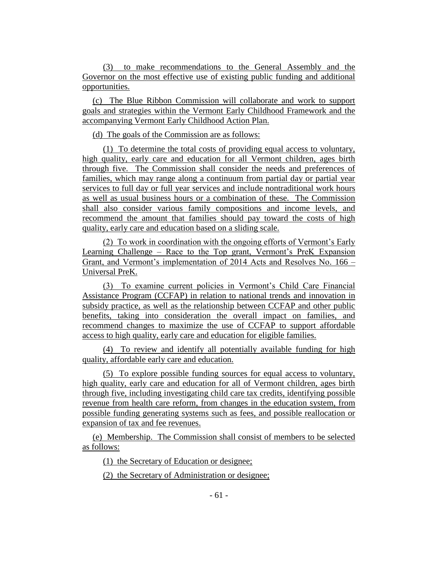(3) to make recommendations to the General Assembly and the Governor on the most effective use of existing public funding and additional opportunities.

(c) The Blue Ribbon Commission will collaborate and work to support goals and strategies within the Vermont Early Childhood Framework and the accompanying Vermont Early Childhood Action Plan.

(d) The goals of the Commission are as follows:

(1) To determine the total costs of providing equal access to voluntary, high quality, early care and education for all Vermont children, ages birth through five. The Commission shall consider the needs and preferences of families, which may range along a continuum from partial day or partial year services to full day or full year services and include nontraditional work hours as well as usual business hours or a combination of these. The Commission shall also consider various family compositions and income levels, and recommend the amount that families should pay toward the costs of high quality, early care and education based on a sliding scale.

(2) To work in coordination with the ongoing efforts of Vermont's Early Learning Challenge – Race to the Top grant, Vermont's PreK Expansion Grant, and Vermont's implementation of 2014 Acts and Resolves No. 166 – Universal PreK.

(3) To examine current policies in Vermont's Child Care Financial Assistance Program (CCFAP) in relation to national trends and innovation in subsidy practice, as well as the relationship between CCFAP and other public benefits, taking into consideration the overall impact on families, and recommend changes to maximize the use of CCFAP to support affordable access to high quality, early care and education for eligible families.

(4) To review and identify all potentially available funding for high quality, affordable early care and education.

(5) To explore possible funding sources for equal access to voluntary, high quality, early care and education for all of Vermont children, ages birth through five, including investigating child care tax credits, identifying possible revenue from health care reform, from changes in the education system, from possible funding generating systems such as fees, and possible reallocation or expansion of tax and fee revenues.

(e) Membership. The Commission shall consist of members to be selected as follows:

(1) the Secretary of Education or designee;

(2) the Secretary of Administration or designee;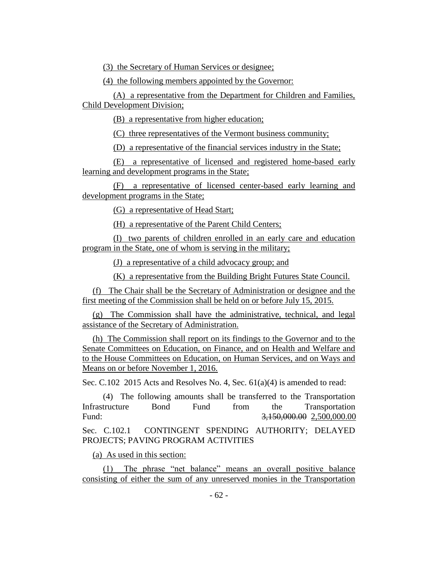(3) the Secretary of Human Services or designee;

(4) the following members appointed by the Governor:

(A) a representative from the Department for Children and Families, Child Development Division;

(B) a representative from higher education;

(C) three representatives of the Vermont business community;

(D) a representative of the financial services industry in the State;

(E) a representative of licensed and registered home-based early learning and development programs in the State;

(F) a representative of licensed center-based early learning and development programs in the State;

(G) a representative of Head Start;

(H) a representative of the Parent Child Centers;

(I) two parents of children enrolled in an early care and education program in the State, one of whom is serving in the military;

(J) a representative of a child advocacy group; and

(K) a representative from the Building Bright Futures State Council.

(f) The Chair shall be the Secretary of Administration or designee and the first meeting of the Commission shall be held on or before July 15, 2015.

(g) The Commission shall have the administrative, technical, and legal assistance of the Secretary of Administration.

(h) The Commission shall report on its findings to the Governor and to the Senate Committees on Education, on Finance, and on Health and Welfare and to the House Committees on Education, on Human Services, and on Ways and Means on or before November 1, 2016.

Sec. C.102 2015 Acts and Resolves No. 4, Sec. 61(a)(4) is amended to read:

(4) The following amounts shall be transferred to the Transportation Infrastructure Bond Fund from the Transportation Fund: 3,150,000,000 2,500,000,000 3,150,000,000 3,500,000,000 3,500,000,000 3,500,000 5,500,000 5,600 5,600 5,600 5,600 5,600 5,600 5,600 5,600 5,600 5,600 5,600 5,600 5,600 5,600 5,600 5,600 5,600 5,600 5,600 5,600 5,600

Sec. C.102.1 CONTINGENT SPENDING AUTHORITY; DELAYED PROJECTS; PAVING PROGRAM ACTIVITIES

(a) As used in this section:

(1) The phrase "net balance" means an overall positive balance consisting of either the sum of any unreserved monies in the Transportation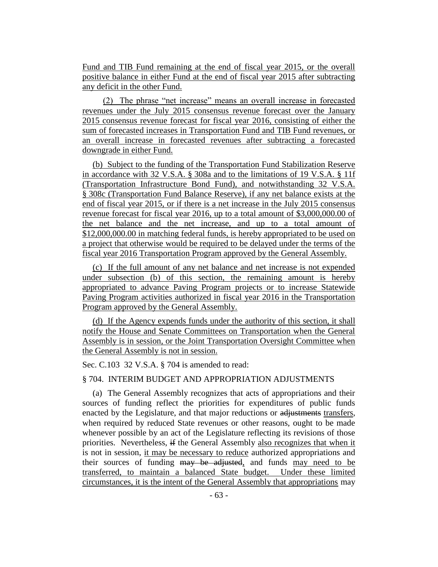Fund and TIB Fund remaining at the end of fiscal year 2015, or the overall positive balance in either Fund at the end of fiscal year 2015 after subtracting any deficit in the other Fund.

(2) The phrase "net increase" means an overall increase in forecasted revenues under the July 2015 consensus revenue forecast over the January 2015 consensus revenue forecast for fiscal year 2016, consisting of either the sum of forecasted increases in Transportation Fund and TIB Fund revenues, or an overall increase in forecasted revenues after subtracting a forecasted downgrade in either Fund.

(b) Subject to the funding of the Transportation Fund Stabilization Reserve in accordance with 32 V.S.A. § 308a and to the limitations of 19 V.S.A. § 11f (Transportation Infrastructure Bond Fund), and notwithstanding 32 V.S.A. § 308c (Transportation Fund Balance Reserve), if any net balance exists at the end of fiscal year 2015, or if there is a net increase in the July 2015 consensus revenue forecast for fiscal year 2016, up to a total amount of \$3,000,000.00 of the net balance and the net increase, and up to a total amount of \$12,000,000.00 in matching federal funds, is hereby appropriated to be used on a project that otherwise would be required to be delayed under the terms of the fiscal year 2016 Transportation Program approved by the General Assembly.

(c) If the full amount of any net balance and net increase is not expended under subsection (b) of this section, the remaining amount is hereby appropriated to advance Paving Program projects or to increase Statewide Paving Program activities authorized in fiscal year 2016 in the Transportation Program approved by the General Assembly.

(d) If the Agency expends funds under the authority of this section, it shall notify the House and Senate Committees on Transportation when the General Assembly is in session, or the Joint Transportation Oversight Committee when the General Assembly is not in session.

Sec. C.103 32 V.S.A. § 704 is amended to read:

# § 704. INTERIM BUDGET AND APPROPRIATION ADJUSTMENTS

(a) The General Assembly recognizes that acts of appropriations and their sources of funding reflect the priorities for expenditures of public funds enacted by the Legislature, and that major reductions or adjustments transfers, when required by reduced State revenues or other reasons, ought to be made whenever possible by an act of the Legislature reflecting its revisions of those priorities. Nevertheless, if the General Assembly also recognizes that when it is not in session, it may be necessary to reduce authorized appropriations and their sources of funding may be adjusted, and funds may need to be transferred, to maintain a balanced State budget. Under these limited circumstances, it is the intent of the General Assembly that appropriations may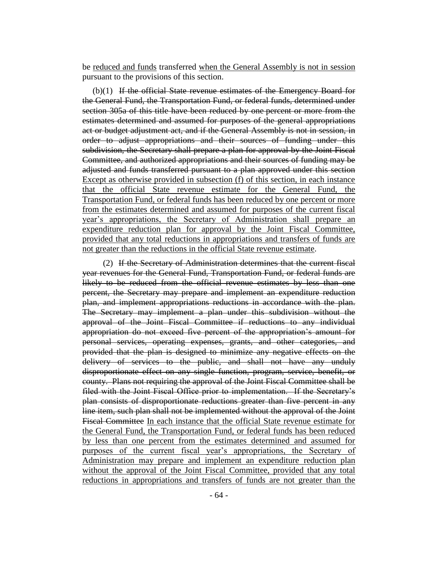be reduced and funds transferred when the General Assembly is not in session pursuant to the provisions of this section.

(b)(1) If the official State revenue estimates of the Emergency Board for the General Fund, the Transportation Fund, or federal funds, determined under section 305a of this title have been reduced by one percent or more from the estimates determined and assumed for purposes of the general appropriations act or budget adjustment act, and if the General Assembly is not in session, in order to adjust appropriations and their sources of funding under this subdivision, the Secretary shall prepare a plan for approval by the Joint Fiscal Committee, and authorized appropriations and their sources of funding may be adjusted and funds transferred pursuant to a plan approved under this section Except as otherwise provided in subsection (f) of this section, in each instance that the official State revenue estimate for the General Fund, the Transportation Fund, or federal funds has been reduced by one percent or more from the estimates determined and assumed for purposes of the current fiscal year's appropriations, the Secretary of Administration shall prepare an expenditure reduction plan for approval by the Joint Fiscal Committee, provided that any total reductions in appropriations and transfers of funds are not greater than the reductions in the official State revenue estimate.

(2) If the Secretary of Administration determines that the current fiscal year revenues for the General Fund, Transportation Fund, or federal funds are likely to be reduced from the official revenue estimates by less than one percent, the Secretary may prepare and implement an expenditure reduction plan, and implement appropriations reductions in accordance with the plan. The Secretary may implement a plan under this subdivision without the approval of the Joint Fiscal Committee if reductions to any individual appropriation do not exceed five percent of the appropriation's amount for personal services, operating expenses, grants, and other categories, and provided that the plan is designed to minimize any negative effects on the delivery of services to the public, and shall not have any unduly disproportionate effect on any single function, program, service, benefit, or county. Plans not requiring the approval of the Joint Fiscal Committee shall be filed with the Joint Fiscal Office prior to implementation. If the Secretary's plan consists of disproportionate reductions greater than five percent in any line item, such plan shall not be implemented without the approval of the Joint Fiscal Committee In each instance that the official State revenue estimate for the General Fund, the Transportation Fund, or federal funds has been reduced by less than one percent from the estimates determined and assumed for purposes of the current fiscal year's appropriations, the Secretary of Administration may prepare and implement an expenditure reduction plan without the approval of the Joint Fiscal Committee, provided that any total reductions in appropriations and transfers of funds are not greater than the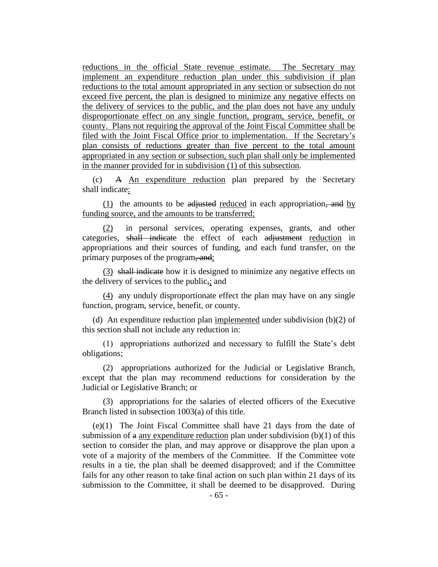reductions in the official State revenue estimate. The Secretary may implement an expenditure reduction plan under this subdivision if plan reductions to the total amount appropriated in any section or subsection do not exceed five percent, the plan is designed to minimize any negative effects on the delivery of services to the public, and the plan does not have any unduly disproportionate effect on any single function, program, service, benefit, or county. Plans not requiring the approval of the Joint Fiscal Committee shall be filed with the Joint Fiscal Office prior to implementation. If the Secretary's plan consists of reductions greater than five percent to the total amount appropriated in any section or subsection, such plan shall only be implemented in the manner provided for in subdivision (1) of this subsection.

(c) A An expenditure reduction plan prepared by the Secretary shall indicate:

 $(1)$  the amounts to be adjusted reduced in each appropriation, and by funding source, and the amounts to be transferred;

(2) in personal services, operating expenses, grants, and other categories, shall indicate the effect of each adjustment reduction in appropriations and their sources of funding, and each fund transfer, on the primary purposes of the program, and;

(3) shall indicate how it is designed to minimize any negative effects on the delivery of services to the public,; and

(4) any unduly disproportionate effect the plan may have on any single function, program, service, benefit, or county.

(d) An expenditure reduction plan implemented under subdivision (b)(2) of this section shall not include any reduction in:

(1) appropriations authorized and necessary to fulfill the State's debt obligations;

(2) appropriations authorized for the Judicial or Legislative Branch, except that the plan may recommend reductions for consideration by the Judicial or Legislative Branch; or

(3) appropriations for the salaries of elected officers of the Executive Branch listed in subsection 1003(a) of this title.

(e)(1) The Joint Fiscal Committee shall have 21 days from the date of submission of  $\alpha$  any expenditure reduction plan under subdivision (b)(1) of this section to consider the plan, and may approve or disapprove the plan upon a vote of a majority of the members of the Committee. If the Committee vote results in a tie, the plan shall be deemed disapproved; and if the Committee fails for any other reason to take final action on such plan within 21 days of its submission to the Committee, it shall be deemed to be disapproved. During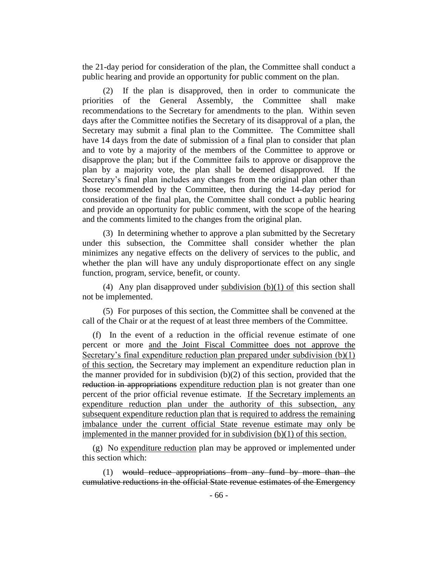the 21-day period for consideration of the plan, the Committee shall conduct a public hearing and provide an opportunity for public comment on the plan.

(2) If the plan is disapproved, then in order to communicate the priorities of the General Assembly, the Committee shall make recommendations to the Secretary for amendments to the plan. Within seven days after the Committee notifies the Secretary of its disapproval of a plan, the Secretary may submit a final plan to the Committee. The Committee shall have 14 days from the date of submission of a final plan to consider that plan and to vote by a majority of the members of the Committee to approve or disapprove the plan; but if the Committee fails to approve or disapprove the plan by a majority vote, the plan shall be deemed disapproved. If the Secretary's final plan includes any changes from the original plan other than those recommended by the Committee, then during the 14-day period for consideration of the final plan, the Committee shall conduct a public hearing and provide an opportunity for public comment, with the scope of the hearing and the comments limited to the changes from the original plan.

(3) In determining whether to approve a plan submitted by the Secretary under this subsection, the Committee shall consider whether the plan minimizes any negative effects on the delivery of services to the public, and whether the plan will have any unduly disproportionate effect on any single function, program, service, benefit, or county.

(4) Any plan disapproved under subdivision  $(b)(1)$  of this section shall not be implemented.

(5) For purposes of this section, the Committee shall be convened at the call of the Chair or at the request of at least three members of the Committee.

(f) In the event of a reduction in the official revenue estimate of one percent or more and the Joint Fiscal Committee does not approve the Secretary's final expenditure reduction plan prepared under subdivision (b)(1) of this section, the Secretary may implement an expenditure reduction plan in the manner provided for in subdivision (b)(2) of this section, provided that the reduction in appropriations expenditure reduction plan is not greater than one percent of the prior official revenue estimate. If the Secretary implements an expenditure reduction plan under the authority of this subsection, any subsequent expenditure reduction plan that is required to address the remaining imbalance under the current official State revenue estimate may only be implemented in the manner provided for in subdivision (b)(1) of this section.

(g) No expenditure reduction plan may be approved or implemented under this section which:

(1) would reduce appropriations from any fund by more than the cumulative reductions in the official State revenue estimates of the Emergency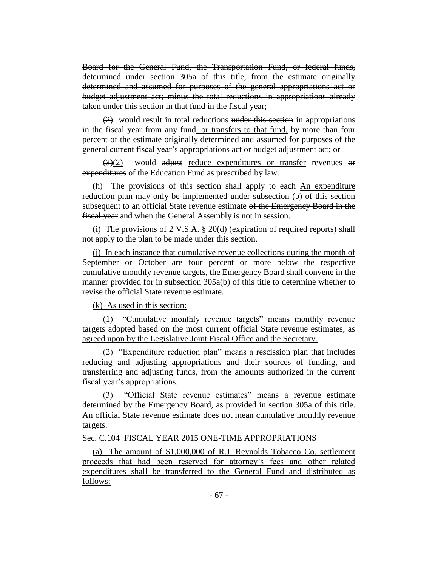Board for the General Fund, the Transportation Fund, or federal funds, determined under section 305a of this title, from the estimate originally determined and assumed for purposes of the general appropriations act or budget adjustment act; minus the total reductions in appropriations already taken under this section in that fund in the fiscal year;

(2) would result in total reductions under this section in appropriations in the fiscal year from any fund, or transfers to that fund, by more than four percent of the estimate originally determined and assumed for purposes of the general current fiscal year's appropriations act or budget adjustment act; or

 $\left(\frac{3}{2}\right)$  would adjust reduce expenditures or transfer revenues or expenditures of the Education Fund as prescribed by law.

(h) The provisions of this section shall apply to each An expenditure reduction plan may only be implemented under subsection (b) of this section subsequent to an official State revenue estimate of the Emergency Board in the fiscal year and when the General Assembly is not in session.

(i) The provisions of 2 V.S.A. § 20(d) (expiration of required reports) shall not apply to the plan to be made under this section.

(j) In each instance that cumulative revenue collections during the month of September or October are four percent or more below the respective cumulative monthly revenue targets, the Emergency Board shall convene in the manner provided for in subsection 305a(b) of this title to determine whether to revise the official State revenue estimate.

(k) As used in this section:

(1) "Cumulative monthly revenue targets" means monthly revenue targets adopted based on the most current official State revenue estimates, as agreed upon by the Legislative Joint Fiscal Office and the Secretary.

(2) "Expenditure reduction plan" means a rescission plan that includes reducing and adjusting appropriations and their sources of funding, and transferring and adjusting funds, from the amounts authorized in the current fiscal year's appropriations.

(3) "Official State revenue estimates" means a revenue estimate determined by the Emergency Board, as provided in section 305a of this title. An official State revenue estimate does not mean cumulative monthly revenue targets.

Sec. C.104 FISCAL YEAR 2015 ONE-TIME APPROPRIATIONS

(a) The amount of \$1,000,000 of R.J. Reynolds Tobacco Co. settlement proceeds that had been reserved for attorney's fees and other related expenditures shall be transferred to the General Fund and distributed as follows: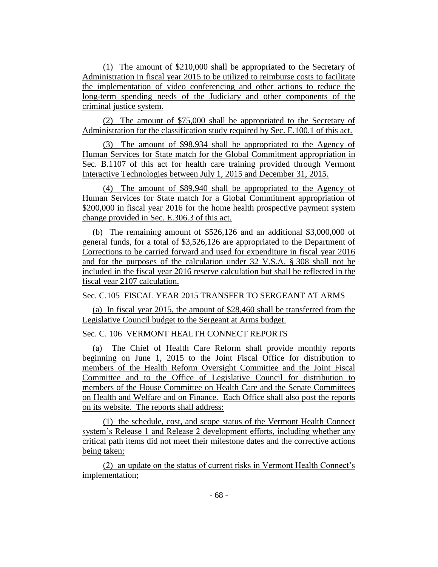(1) The amount of \$210,000 shall be appropriated to the Secretary of Administration in fiscal year 2015 to be utilized to reimburse costs to facilitate the implementation of video conferencing and other actions to reduce the long-term spending needs of the Judiciary and other components of the criminal justice system.

(2) The amount of \$75,000 shall be appropriated to the Secretary of Administration for the classification study required by Sec. E.100.1 of this act.

(3) The amount of \$98,934 shall be appropriated to the Agency of Human Services for State match for the Global Commitment appropriation in Sec. B.1107 of this act for health care training provided through Vermont Interactive Technologies between July 1, 2015 and December 31, 2015.

(4) The amount of \$89,940 shall be appropriated to the Agency of Human Services for State match for a Global Commitment appropriation of \$200,000 in fiscal year 2016 for the home health prospective payment system change provided in Sec. E.306.3 of this act.

(b) The remaining amount of \$526,126 and an additional \$3,000,000 of general funds, for a total of \$3,526,126 are appropriated to the Department of Corrections to be carried forward and used for expenditure in fiscal year 2016 and for the purposes of the calculation under 32 V.S.A. § 308 shall not be included in the fiscal year 2016 reserve calculation but shall be reflected in the fiscal year 2107 calculation.

Sec. C.105 FISCAL YEAR 2015 TRANSFER TO SERGEANT AT ARMS

(a) In fiscal year 2015, the amount of \$28,460 shall be transferred from the Legislative Council budget to the Sergeant at Arms budget.

## Sec. C. 106 VERMONT HEALTH CONNECT REPORTS

(a) The Chief of Health Care Reform shall provide monthly reports beginning on June 1, 2015 to the Joint Fiscal Office for distribution to members of the Health Reform Oversight Committee and the Joint Fiscal Committee and to the Office of Legislative Council for distribution to members of the House Committee on Health Care and the Senate Committees on Health and Welfare and on Finance. Each Office shall also post the reports on its website. The reports shall address:

(1) the schedule, cost, and scope status of the Vermont Health Connect system's Release 1 and Release 2 development efforts, including whether any critical path items did not meet their milestone dates and the corrective actions being taken;

(2) an update on the status of current risks in Vermont Health Connect's implementation;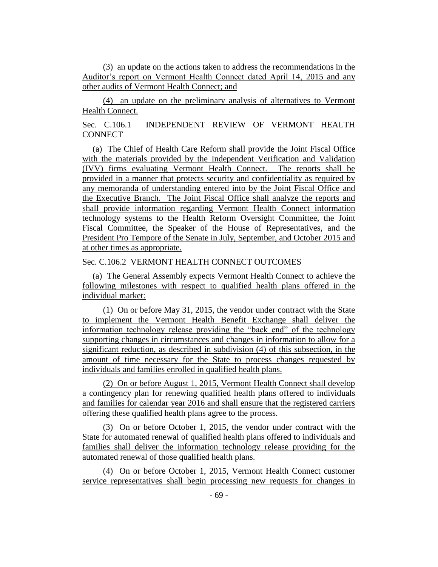(3) an update on the actions taken to address the recommendations in the Auditor's report on Vermont Health Connect dated April 14, 2015 and any other audits of Vermont Health Connect; and

(4) an update on the preliminary analysis of alternatives to Vermont Health Connect.

Sec. C.106.1 INDEPENDENT REVIEW OF VERMONT HEALTH **CONNECT** 

(a) The Chief of Health Care Reform shall provide the Joint Fiscal Office with the materials provided by the Independent Verification and Validation (IVV) firms evaluating Vermont Health Connect. The reports shall be provided in a manner that protects security and confidentiality as required by any memoranda of understanding entered into by the Joint Fiscal Office and the Executive Branch. The Joint Fiscal Office shall analyze the reports and shall provide information regarding Vermont Health Connect information technology systems to the Health Reform Oversight Committee, the Joint Fiscal Committee, the Speaker of the House of Representatives, and the President Pro Tempore of the Senate in July, September, and October 2015 and at other times as appropriate.

# Sec. C.106.2 VERMONT HEALTH CONNECT OUTCOMES

(a) The General Assembly expects Vermont Health Connect to achieve the following milestones with respect to qualified health plans offered in the individual market:

(1) On or before May 31, 2015, the vendor under contract with the State to implement the Vermont Health Benefit Exchange shall deliver the information technology release providing the "back end" of the technology supporting changes in circumstances and changes in information to allow for a significant reduction, as described in subdivision (4) of this subsection, in the amount of time necessary for the State to process changes requested by individuals and families enrolled in qualified health plans.

(2) On or before August 1, 2015, Vermont Health Connect shall develop a contingency plan for renewing qualified health plans offered to individuals and families for calendar year 2016 and shall ensure that the registered carriers offering these qualified health plans agree to the process.

(3) On or before October 1, 2015, the vendor under contract with the State for automated renewal of qualified health plans offered to individuals and families shall deliver the information technology release providing for the automated renewal of those qualified health plans.

(4) On or before October 1, 2015, Vermont Health Connect customer service representatives shall begin processing new requests for changes in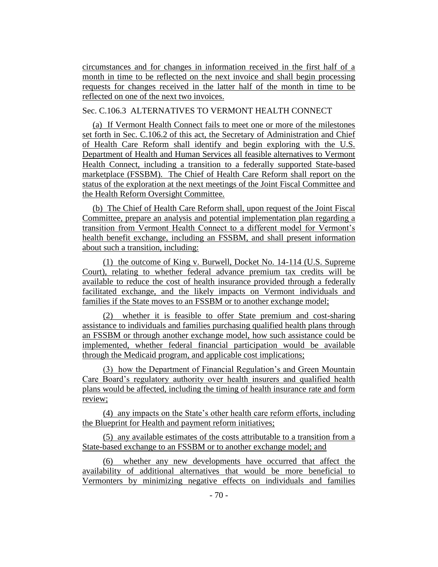circumstances and for changes in information received in the first half of a month in time to be reflected on the next invoice and shall begin processing requests for changes received in the latter half of the month in time to be reflected on one of the next two invoices.

# Sec. C.106.3 ALTERNATIVES TO VERMONT HEALTH CONNECT

(a) If Vermont Health Connect fails to meet one or more of the milestones set forth in Sec. C.106.2 of this act, the Secretary of Administration and Chief of Health Care Reform shall identify and begin exploring with the U.S. Department of Health and Human Services all feasible alternatives to Vermont Health Connect, including a transition to a federally supported State-based marketplace (FSSBM). The Chief of Health Care Reform shall report on the status of the exploration at the next meetings of the Joint Fiscal Committee and the Health Reform Oversight Committee.

(b) The Chief of Health Care Reform shall, upon request of the Joint Fiscal Committee, prepare an analysis and potential implementation plan regarding a transition from Vermont Health Connect to a different model for Vermont's health benefit exchange, including an FSSBM, and shall present information about such a transition, including:

(1) the outcome of King v. Burwell, Docket No. 14-114 (U.S. Supreme Court), relating to whether federal advance premium tax credits will be available to reduce the cost of health insurance provided through a federally facilitated exchange, and the likely impacts on Vermont individuals and families if the State moves to an FSSBM or to another exchange model;

(2) whether it is feasible to offer State premium and cost-sharing assistance to individuals and families purchasing qualified health plans through an FSSBM or through another exchange model, how such assistance could be implemented, whether federal financial participation would be available through the Medicaid program, and applicable cost implications;

(3) how the Department of Financial Regulation's and Green Mountain Care Board's regulatory authority over health insurers and qualified health plans would be affected, including the timing of health insurance rate and form review;

(4) any impacts on the State's other health care reform efforts, including the Blueprint for Health and payment reform initiatives;

(5) any available estimates of the costs attributable to a transition from a State-based exchange to an FSSBM or to another exchange model; and

(6) whether any new developments have occurred that affect the availability of additional alternatives that would be more beneficial to Vermonters by minimizing negative effects on individuals and families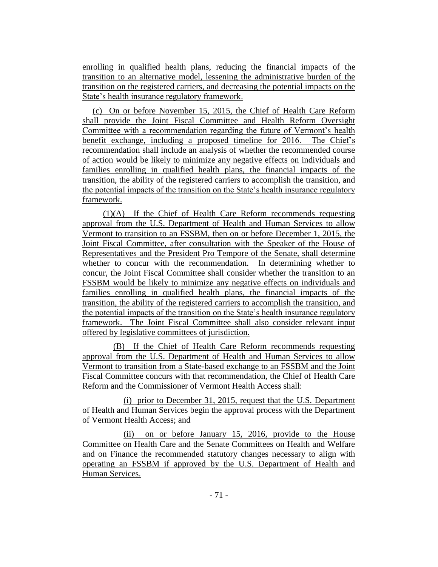enrolling in qualified health plans, reducing the financial impacts of the transition to an alternative model, lessening the administrative burden of the transition on the registered carriers, and decreasing the potential impacts on the State's health insurance regulatory framework.

(c) On or before November 15, 2015, the Chief of Health Care Reform shall provide the Joint Fiscal Committee and Health Reform Oversight Committee with a recommendation regarding the future of Vermont's health benefit exchange, including a proposed timeline for 2016. The Chief's recommendation shall include an analysis of whether the recommended course of action would be likely to minimize any negative effects on individuals and families enrolling in qualified health plans, the financial impacts of the transition, the ability of the registered carriers to accomplish the transition, and the potential impacts of the transition on the State's health insurance regulatory framework.

(1)(A) If the Chief of Health Care Reform recommends requesting approval from the U.S. Department of Health and Human Services to allow Vermont to transition to an FSSBM, then on or before December 1, 2015, the Joint Fiscal Committee, after consultation with the Speaker of the House of Representatives and the President Pro Tempore of the Senate, shall determine whether to concur with the recommendation. In determining whether to concur, the Joint Fiscal Committee shall consider whether the transition to an FSSBM would be likely to minimize any negative effects on individuals and families enrolling in qualified health plans, the financial impacts of the transition, the ability of the registered carriers to accomplish the transition, and the potential impacts of the transition on the State's health insurance regulatory framework. The Joint Fiscal Committee shall also consider relevant input offered by legislative committees of jurisdiction.

(B) If the Chief of Health Care Reform recommends requesting approval from the U.S. Department of Health and Human Services to allow Vermont to transition from a State-based exchange to an FSSBM and the Joint Fiscal Committee concurs with that recommendation, the Chief of Health Care Reform and the Commissioner of Vermont Health Access shall:

(i) prior to December 31, 2015, request that the U.S. Department of Health and Human Services begin the approval process with the Department of Vermont Health Access; and

(ii) on or before January 15, 2016, provide to the House Committee on Health Care and the Senate Committees on Health and Welfare and on Finance the recommended statutory changes necessary to align with operating an FSSBM if approved by the U.S. Department of Health and Human Services.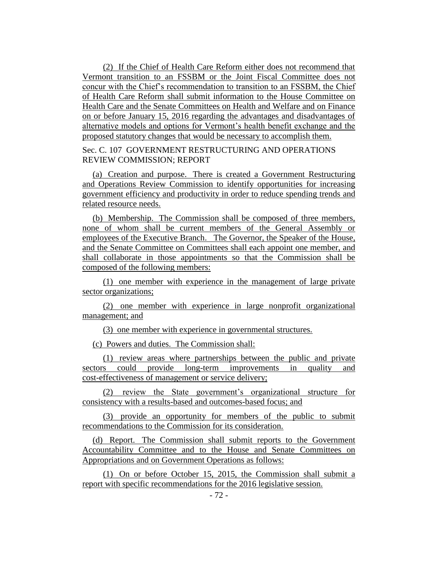(2) If the Chief of Health Care Reform either does not recommend that Vermont transition to an FSSBM or the Joint Fiscal Committee does not concur with the Chief's recommendation to transition to an FSSBM, the Chief of Health Care Reform shall submit information to the House Committee on Health Care and the Senate Committees on Health and Welfare and on Finance on or before January 15, 2016 regarding the advantages and disadvantages of alternative models and options for Vermont's health benefit exchange and the proposed statutory changes that would be necessary to accomplish them.

Sec. C. 107 GOVERNMENT RESTRUCTURING AND OPERATIONS REVIEW COMMISSION; REPORT

(a) Creation and purpose. There is created a Government Restructuring and Operations Review Commission to identify opportunities for increasing government efficiency and productivity in order to reduce spending trends and related resource needs.

(b) Membership. The Commission shall be composed of three members, none of whom shall be current members of the General Assembly or employees of the Executive Branch. The Governor, the Speaker of the House, and the Senate Committee on Committees shall each appoint one member, and shall collaborate in those appointments so that the Commission shall be composed of the following members:

(1) one member with experience in the management of large private sector organizations;

(2) one member with experience in large nonprofit organizational management; and

(3) one member with experience in governmental structures.

(c) Powers and duties. The Commission shall:

(1) review areas where partnerships between the public and private sectors could provide long-term improvements in quality and cost-effectiveness of management or service delivery;

(2) review the State government's organizational structure for consistency with a results-based and outcomes-based focus; and

(3) provide an opportunity for members of the public to submit recommendations to the Commission for its consideration.

(d) Report. The Commission shall submit reports to the Government Accountability Committee and to the House and Senate Committees on Appropriations and on Government Operations as follows:

(1) On or before October 15, 2015, the Commission shall submit a report with specific recommendations for the 2016 legislative session.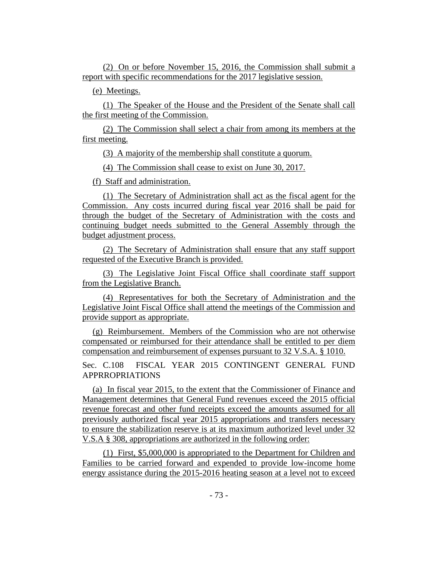(2) On or before November 15, 2016, the Commission shall submit a report with specific recommendations for the 2017 legislative session.

(e) Meetings.

(1) The Speaker of the House and the President of the Senate shall call the first meeting of the Commission.

(2) The Commission shall select a chair from among its members at the first meeting.

(3) A majority of the membership shall constitute a quorum.

(4) The Commission shall cease to exist on June 30, 2017.

(f) Staff and administration.

(1) The Secretary of Administration shall act as the fiscal agent for the Commission. Any costs incurred during fiscal year 2016 shall be paid for through the budget of the Secretary of Administration with the costs and continuing budget needs submitted to the General Assembly through the budget adjustment process.

(2) The Secretary of Administration shall ensure that any staff support requested of the Executive Branch is provided.

(3) The Legislative Joint Fiscal Office shall coordinate staff support from the Legislative Branch.

(4) Representatives for both the Secretary of Administration and the Legislative Joint Fiscal Office shall attend the meetings of the Commission and provide support as appropriate.

(g) Reimbursement. Members of the Commission who are not otherwise compensated or reimbursed for their attendance shall be entitled to per diem compensation and reimbursement of expenses pursuant to 32 V.S.A. § 1010.

Sec. C.108 FISCAL YEAR 2015 CONTINGENT GENERAL FUND APPRROPRIATIONS

(a) In fiscal year 2015, to the extent that the Commissioner of Finance and Management determines that General Fund revenues exceed the 2015 official revenue forecast and other fund receipts exceed the amounts assumed for all previously authorized fiscal year 2015 appropriations and transfers necessary to ensure the stabilization reserve is at its maximum authorized level under 32 V.S.A § 308, appropriations are authorized in the following order:

(1) First, \$5,000,000 is appropriated to the Department for Children and Families to be carried forward and expended to provide low-income home energy assistance during the 2015-2016 heating season at a level not to exceed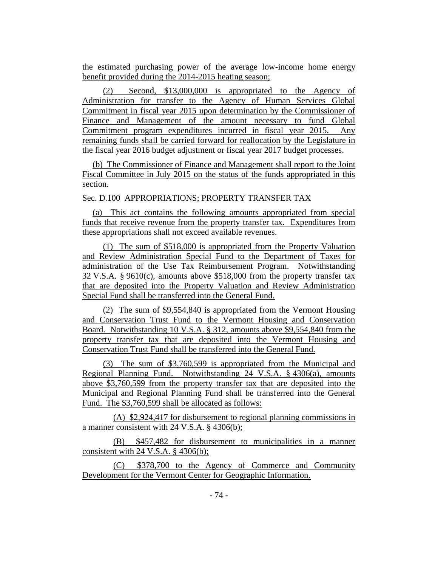the estimated purchasing power of the average low-income home energy benefit provided during the 2014-2015 heating season;

(2) Second, \$13,000,000 is appropriated to the Agency of Administration for transfer to the Agency of Human Services Global Commitment in fiscal year 2015 upon determination by the Commissioner of Finance and Management of the amount necessary to fund Global Commitment program expenditures incurred in fiscal year 2015. Any remaining funds shall be carried forward for reallocation by the Legislature in the fiscal year 2016 budget adjustment or fiscal year 2017 budget processes.

(b) The Commissioner of Finance and Management shall report to the Joint Fiscal Committee in July 2015 on the status of the funds appropriated in this section.

Sec. D.100 APPROPRIATIONS; PROPERTY TRANSFER TAX

(a) This act contains the following amounts appropriated from special funds that receive revenue from the property transfer tax. Expenditures from these appropriations shall not exceed available revenues.

(1) The sum of \$518,000 is appropriated from the Property Valuation and Review Administration Special Fund to the Department of Taxes for administration of the Use Tax Reimbursement Program. Notwithstanding 32 V.S.A. § 9610(c), amounts above \$518,000 from the property transfer tax that are deposited into the Property Valuation and Review Administration Special Fund shall be transferred into the General Fund.

(2) The sum of \$9,554,840 is appropriated from the Vermont Housing and Conservation Trust Fund to the Vermont Housing and Conservation Board. Notwithstanding 10 V.S.A. § 312, amounts above \$9,554,840 from the property transfer tax that are deposited into the Vermont Housing and Conservation Trust Fund shall be transferred into the General Fund.

(3) The sum of \$3,760,599 is appropriated from the Municipal and Regional Planning Fund. Notwithstanding 24 V.S.A. § 4306(a), amounts above \$3,760,599 from the property transfer tax that are deposited into the Municipal and Regional Planning Fund shall be transferred into the General Fund. The \$3,760,599 shall be allocated as follows:

(A) \$2,924,417 for disbursement to regional planning commissions in a manner consistent with 24 V.S.A. § 4306(b);

(B) \$457,482 for disbursement to municipalities in a manner consistent with 24 V.S.A.  $\S$  4306(b);

(C) \$378,700 to the Agency of Commerce and Community Development for the Vermont Center for Geographic Information.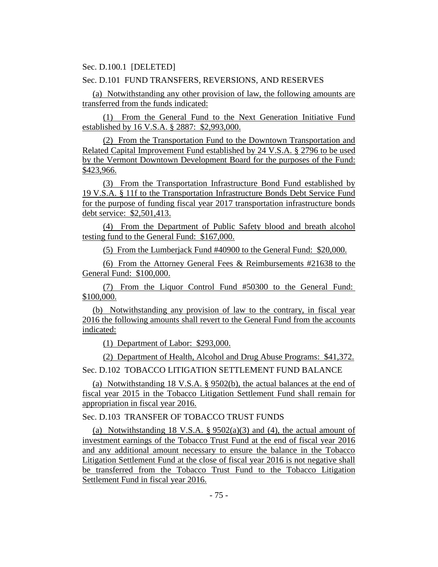Sec. D.100.1 [DELETED]

## Sec. D.101 FUND TRANSFERS, REVERSIONS, AND RESERVES

(a) Notwithstanding any other provision of law, the following amounts are transferred from the funds indicated:

(1) From the General Fund to the Next Generation Initiative Fund established by 16 V.S.A. § 2887: \$2,993,000.

(2) From the Transportation Fund to the Downtown Transportation and Related Capital Improvement Fund established by 24 V.S.A. § 2796 to be used by the Vermont Downtown Development Board for the purposes of the Fund: \$423,966.

(3) From the Transportation Infrastructure Bond Fund established by 19 V.S.A. § 11f to the Transportation Infrastructure Bonds Debt Service Fund for the purpose of funding fiscal year 2017 transportation infrastructure bonds debt service: \$2,501,413.

(4) From the Department of Public Safety blood and breath alcohol testing fund to the General Fund: \$167,000.

(5) From the Lumberjack Fund #40900 to the General Fund: \$20,000.

(6) From the Attorney General Fees & Reimbursements #21638 to the General Fund: \$100,000.

(7) From the Liquor Control Fund #50300 to the General Fund: \$100,000.

(b) Notwithstanding any provision of law to the contrary, in fiscal year 2016 the following amounts shall revert to the General Fund from the accounts indicated:

(1) Department of Labor: \$293,000.

(2) Department of Health, Alcohol and Drug Abuse Programs: \$41,372.

Sec. D.102 TOBACCO LITIGATION SETTLEMENT FUND BALANCE

(a) Notwithstanding 18 V.S.A. § 9502(b), the actual balances at the end of fiscal year 2015 in the Tobacco Litigation Settlement Fund shall remain for appropriation in fiscal year 2016.

Sec. D.103 TRANSFER OF TOBACCO TRUST FUNDS

(a) Notwithstanding 18 V.S.A.  $\S$  9502(a)(3) and (4), the actual amount of investment earnings of the Tobacco Trust Fund at the end of fiscal year 2016 and any additional amount necessary to ensure the balance in the Tobacco Litigation Settlement Fund at the close of fiscal year 2016 is not negative shall be transferred from the Tobacco Trust Fund to the Tobacco Litigation Settlement Fund in fiscal year 2016.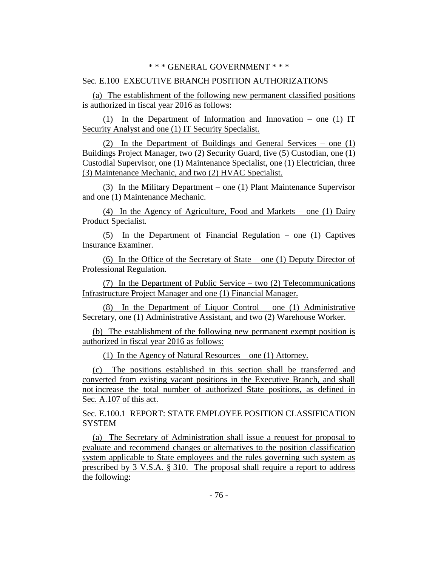#### Sec. E.100 EXECUTIVE BRANCH POSITION AUTHORIZATIONS

(a) The establishment of the following new permanent classified positions is authorized in fiscal year 2016 as follows:

(1) In the Department of Information and Innovation – one (1) IT Security Analyst and one (1) IT Security Specialist.

(2) In the Department of Buildings and General Services – one (1) Buildings Project Manager, two (2) Security Guard, five (5) Custodian, one (1) Custodial Supervisor, one (1) Maintenance Specialist, one (1) Electrician, three (3) Maintenance Mechanic, and two (2) HVAC Specialist.

(3) In the Military Department – one (1) Plant Maintenance Supervisor and one (1) Maintenance Mechanic.

(4) In the Agency of Agriculture, Food and Markets – one (1) Dairy Product Specialist.

(5) In the Department of Financial Regulation – one (1) Captives Insurance Examiner.

(6) In the Office of the Secretary of State – one (1) Deputy Director of Professional Regulation.

(7) In the Department of Public Service – two (2) Telecommunications Infrastructure Project Manager and one (1) Financial Manager.

(8) In the Department of Liquor Control – one (1) Administrative Secretary, one (1) Administrative Assistant, and two (2) Warehouse Worker.

(b) The establishment of the following new permanent exempt position is authorized in fiscal year 2016 as follows:

(1) In the Agency of Natural Resources – one (1) Attorney.

(c) The positions established in this section shall be transferred and converted from existing vacant positions in the Executive Branch, and shall not increase the total number of authorized State positions, as defined in Sec. A.107 of this act.

Sec. E.100.1 REPORT: STATE EMPLOYEE POSITION CLASSIFICATION **SYSTEM** 

(a) The Secretary of Administration shall issue a request for proposal to evaluate and recommend changes or alternatives to the position classification system applicable to State employees and the rules governing such system as prescribed by 3 V.S.A. § 310. The proposal shall require a report to address the following: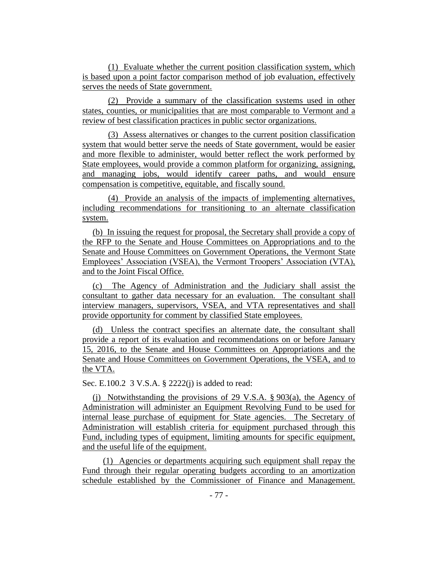(1) Evaluate whether the current position classification system, which is based upon a point factor comparison method of job evaluation, effectively serves the needs of State government.

(2) Provide a summary of the classification systems used in other states, counties, or municipalities that are most comparable to Vermont and a review of best classification practices in public sector organizations.

(3) Assess alternatives or changes to the current position classification system that would better serve the needs of State government, would be easier and more flexible to administer, would better reflect the work performed by State employees, would provide a common platform for organizing, assigning, and managing jobs, would identify career paths, and would ensure compensation is competitive, equitable, and fiscally sound.

(4) Provide an analysis of the impacts of implementing alternatives, including recommendations for transitioning to an alternate classification system.

(b) In issuing the request for proposal, the Secretary shall provide a copy of the RFP to the Senate and House Committees on Appropriations and to the Senate and House Committees on Government Operations, the Vermont State Employees' Association (VSEA), the Vermont Troopers' Association (VTA), and to the Joint Fiscal Office.

(c) The Agency of Administration and the Judiciary shall assist the consultant to gather data necessary for an evaluation. The consultant shall interview managers, supervisors, VSEA, and VTA representatives and shall provide opportunity for comment by classified State employees.

(d) Unless the contract specifies an alternate date, the consultant shall provide a report of its evaluation and recommendations on or before January 15, 2016, to the Senate and House Committees on Appropriations and the Senate and House Committees on Government Operations, the VSEA, and to the VTA.

Sec. E.100.2 3 V.S.A. § 2222(j) is added to read:

(j) Notwithstanding the provisions of 29 V.S.A. § 903(a), the Agency of Administration will administer an Equipment Revolving Fund to be used for internal lease purchase of equipment for State agencies. The Secretary of Administration will establish criteria for equipment purchased through this Fund, including types of equipment, limiting amounts for specific equipment, and the useful life of the equipment.

(1) Agencies or departments acquiring such equipment shall repay the Fund through their regular operating budgets according to an amortization schedule established by the Commissioner of Finance and Management.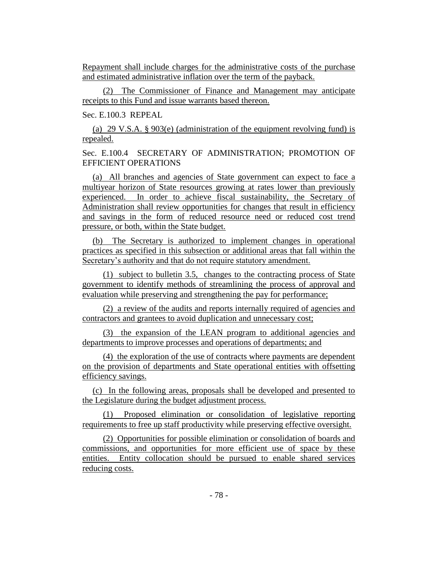Repayment shall include charges for the administrative costs of the purchase and estimated administrative inflation over the term of the payback.

(2) The Commissioner of Finance and Management may anticipate receipts to this Fund and issue warrants based thereon.

Sec. E.100.3 REPEAL

(a) 29 V.S.A. § 903(e) (administration of the equipment revolving fund) is repealed.

Sec. E.100.4 SECRETARY OF ADMINISTRATION; PROMOTION OF EFFICIENT OPERATIONS

(a) All branches and agencies of State government can expect to face a multiyear horizon of State resources growing at rates lower than previously experienced. In order to achieve fiscal sustainability, the Secretary of Administration shall review opportunities for changes that result in efficiency and savings in the form of reduced resource need or reduced cost trend pressure, or both, within the State budget.

(b) The Secretary is authorized to implement changes in operational practices as specified in this subsection or additional areas that fall within the Secretary's authority and that do not require statutory amendment.

(1) subject to bulletin 3.5, changes to the contracting process of State government to identify methods of streamlining the process of approval and evaluation while preserving and strengthening the pay for performance;

(2) a review of the audits and reports internally required of agencies and contractors and grantees to avoid duplication and unnecessary cost;

(3) the expansion of the LEAN program to additional agencies and departments to improve processes and operations of departments; and

(4) the exploration of the use of contracts where payments are dependent on the provision of departments and State operational entities with offsetting efficiency savings.

(c) In the following areas, proposals shall be developed and presented to the Legislature during the budget adjustment process.

(1) Proposed elimination or consolidation of legislative reporting requirements to free up staff productivity while preserving effective oversight.

(2) Opportunities for possible elimination or consolidation of boards and commissions, and opportunities for more efficient use of space by these entities. Entity collocation should be pursued to enable shared services reducing costs.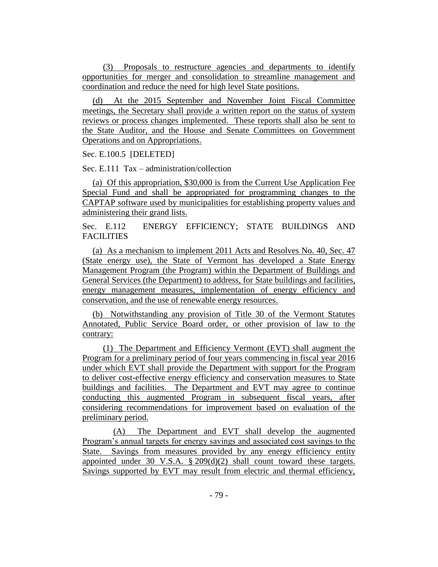(3) Proposals to restructure agencies and departments to identify opportunities for merger and consolidation to streamline management and coordination and reduce the need for high level State positions.

(d) At the 2015 September and November Joint Fiscal Committee meetings, the Secretary shall provide a written report on the status of system reviews or process changes implemented. These reports shall also be sent to the State Auditor, and the House and Senate Committees on Government Operations and on Appropriations.

Sec. E.100.5 [DELETED]

Sec. E.111 Tax – administration/collection

(a) Of this appropriation, \$30,000 is from the Current Use Application Fee Special Fund and shall be appropriated for programming changes to the CAPTAP software used by municipalities for establishing property values and administering their grand lists.

Sec. E.112 ENERGY EFFICIENCY; STATE BUILDINGS AND FACILITIES

(a) As a mechanism to implement 2011 Acts and Resolves No. 40, Sec. 47 (State energy use), the State of Vermont has developed a State Energy Management Program (the Program) within the Department of Buildings and General Services (the Department) to address, for State buildings and facilities, energy management measures, implementation of energy efficiency and conservation, and the use of renewable energy resources.

(b) Notwithstanding any provision of Title 30 of the Vermont Statutes Annotated, Public Service Board order, or other provision of law to the contrary:

(1) The Department and Efficiency Vermont (EVT) shall augment the Program for a preliminary period of four years commencing in fiscal year 2016 under which EVT shall provide the Department with support for the Program to deliver cost-effective energy efficiency and conservation measures to State buildings and facilities. The Department and EVT may agree to continue conducting this augmented Program in subsequent fiscal years, after considering recommendations for improvement based on evaluation of the preliminary period.

(A) The Department and EVT shall develop the augmented Program's annual targets for energy savings and associated cost savings to the State. Savings from measures provided by any energy efficiency entity appointed under 30 V.S.A. § 209(d)(2) shall count toward these targets. Savings supported by EVT may result from electric and thermal efficiency,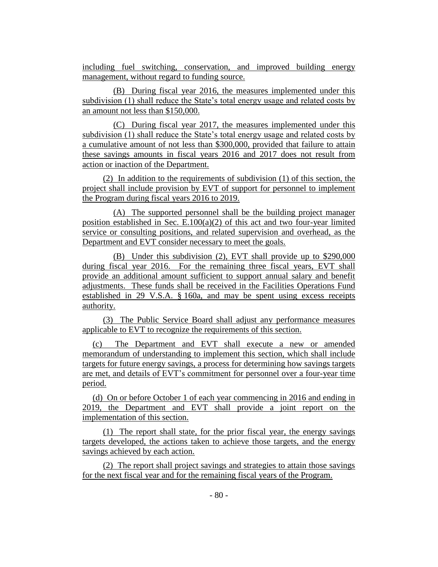including fuel switching, conservation, and improved building energy management, without regard to funding source.

(B) During fiscal year 2016, the measures implemented under this subdivision (1) shall reduce the State's total energy usage and related costs by an amount not less than \$150,000.

(C) During fiscal year 2017, the measures implemented under this subdivision (1) shall reduce the State's total energy usage and related costs by a cumulative amount of not less than \$300,000, provided that failure to attain these savings amounts in fiscal years 2016 and 2017 does not result from action or inaction of the Department.

(2) In addition to the requirements of subdivision (1) of this section, the project shall include provision by EVT of support for personnel to implement the Program during fiscal years 2016 to 2019.

(A) The supported personnel shall be the building project manager position established in Sec.  $E.100(a)(2)$  of this act and two four-year limited service or consulting positions, and related supervision and overhead, as the Department and EVT consider necessary to meet the goals.

(B) Under this subdivision (2), EVT shall provide up to \$290,000 during fiscal year 2016. For the remaining three fiscal years, EVT shall provide an additional amount sufficient to support annual salary and benefit adjustments. These funds shall be received in the Facilities Operations Fund established in 29 V.S.A. § 160a, and may be spent using excess receipts authority.

(3) The Public Service Board shall adjust any performance measures applicable to EVT to recognize the requirements of this section.

(c) The Department and EVT shall execute a new or amended memorandum of understanding to implement this section, which shall include targets for future energy savings, a process for determining how savings targets are met, and details of EVT's commitment for personnel over a four-year time period.

(d) On or before October 1 of each year commencing in 2016 and ending in 2019, the Department and EVT shall provide a joint report on the implementation of this section.

(1) The report shall state, for the prior fiscal year, the energy savings targets developed, the actions taken to achieve those targets, and the energy savings achieved by each action.

(2) The report shall project savings and strategies to attain those savings for the next fiscal year and for the remaining fiscal years of the Program.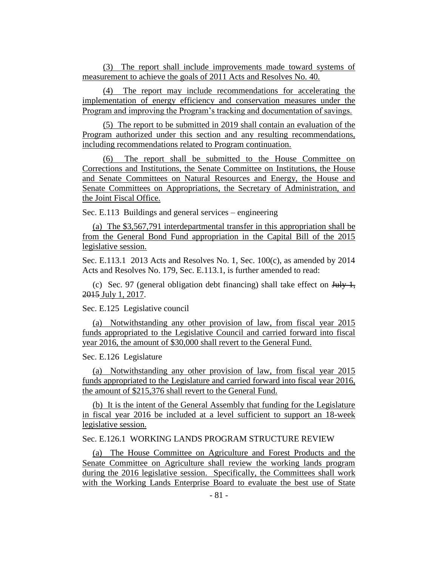(3) The report shall include improvements made toward systems of measurement to achieve the goals of 2011 Acts and Resolves No. 40.

(4) The report may include recommendations for accelerating the implementation of energy efficiency and conservation measures under the Program and improving the Program's tracking and documentation of savings.

(5) The report to be submitted in 2019 shall contain an evaluation of the Program authorized under this section and any resulting recommendations, including recommendations related to Program continuation.

(6) The report shall be submitted to the House Committee on Corrections and Institutions, the Senate Committee on Institutions, the House and Senate Committees on Natural Resources and Energy, the House and Senate Committees on Appropriations, the Secretary of Administration, and the Joint Fiscal Office.

Sec. E.113 Buildings and general services – engineering

(a) The \$3,567,791 interdepartmental transfer in this appropriation shall be from the General Bond Fund appropriation in the Capital Bill of the 2015 legislative session.

Sec. E.113.1 2013 Acts and Resolves No. 1, Sec. 100(c), as amended by 2014 Acts and Resolves No. 179, Sec. E.113.1, is further amended to read:

(c) Sec. 97 (general obligation debt financing) shall take effect on  $\frac{\text{H}_1 \cdot \text{H}_2}{\text{H}_1 \cdot \text{H}_2}$ 2015 July 1, 2017.

Sec. E.125 Legislative council

(a) Notwithstanding any other provision of law, from fiscal year 2015 funds appropriated to the Legislative Council and carried forward into fiscal year 2016, the amount of \$30,000 shall revert to the General Fund.

Sec. E.126 Legislature

(a) Notwithstanding any other provision of law, from fiscal year 2015 funds appropriated to the Legislature and carried forward into fiscal year 2016, the amount of \$215,376 shall revert to the General Fund.

(b) It is the intent of the General Assembly that funding for the Legislature in fiscal year 2016 be included at a level sufficient to support an 18-week legislative session.

Sec. E.126.1 WORKING LANDS PROGRAM STRUCTURE REVIEW

(a) The House Committee on Agriculture and Forest Products and the Senate Committee on Agriculture shall review the working lands program during the 2016 legislative session. Specifically, the Committees shall work with the Working Lands Enterprise Board to evaluate the best use of State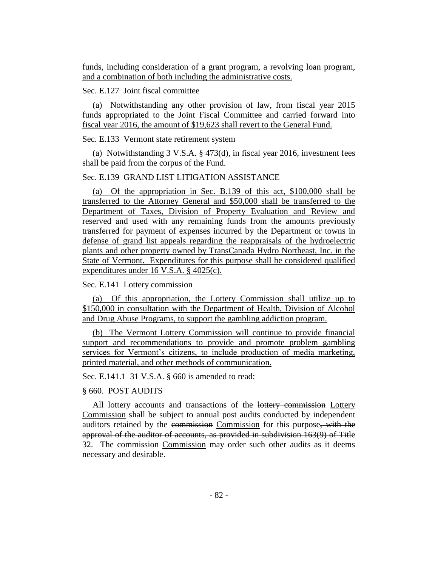funds, including consideration of a grant program, a revolving loan program, and a combination of both including the administrative costs.

## Sec. E.127 Joint fiscal committee

(a) Notwithstanding any other provision of law, from fiscal year 2015 funds appropriated to the Joint Fiscal Committee and carried forward into fiscal year 2016, the amount of \$19,623 shall revert to the General Fund.

Sec. E.133 Vermont state retirement system

(a) Notwithstanding 3 V.S.A. § 473(d), in fiscal year 2016, investment fees shall be paid from the corpus of the Fund.

### Sec. E.139 GRAND LIST LITIGATION ASSISTANCE

(a) Of the appropriation in Sec. B.139 of this act, \$100,000 shall be transferred to the Attorney General and \$50,000 shall be transferred to the Department of Taxes, Division of Property Evaluation and Review and reserved and used with any remaining funds from the amounts previously transferred for payment of expenses incurred by the Department or towns in defense of grand list appeals regarding the reappraisals of the hydroelectric plants and other property owned by TransCanada Hydro Northeast, Inc. in the State of Vermont. Expenditures for this purpose shall be considered qualified expenditures under 16 V.S.A. § 4025(c).

### Sec. E.141 Lottery commission

(a) Of this appropriation, the Lottery Commission shall utilize up to \$150,000 in consultation with the Department of Health, Division of Alcohol and Drug Abuse Programs, to support the gambling addiction program.

(b) The Vermont Lottery Commission will continue to provide financial support and recommendations to provide and promote problem gambling services for Vermont's citizens, to include production of media marketing, printed material, and other methods of communication.

Sec. E.141.1 31 V.S.A. § 660 is amended to read:

#### § 660. POST AUDITS

All lottery accounts and transactions of the lottery commission Lottery Commission shall be subject to annual post audits conducted by independent auditors retained by the commission Commission for this purpose, with the approval of the auditor of accounts, as provided in subdivision 163(9) of Title 32. The commission Commission may order such other audits as it deems necessary and desirable.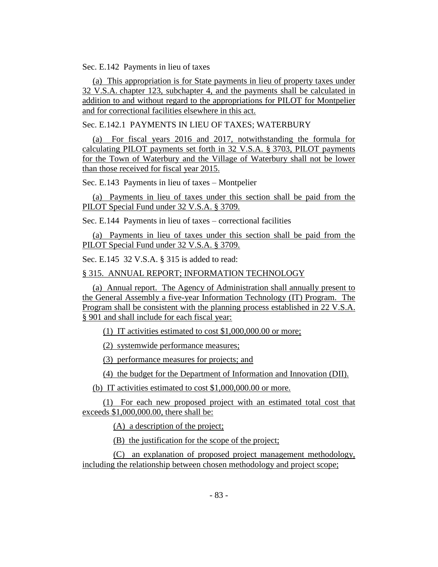Sec. E.142 Payments in lieu of taxes

(a) This appropriation is for State payments in lieu of property taxes under 32 V.S.A. chapter 123, subchapter 4, and the payments shall be calculated in addition to and without regard to the appropriations for PILOT for Montpelier and for correctional facilities elsewhere in this act.

Sec. E.142.1 PAYMENTS IN LIEU OF TAXES; WATERBURY

(a) For fiscal years 2016 and 2017, notwithstanding the formula for calculating PILOT payments set forth in 32 V.S.A. § 3703, PILOT payments for the Town of Waterbury and the Village of Waterbury shall not be lower than those received for fiscal year 2015.

Sec. E.143 Payments in lieu of taxes – Montpelier

(a) Payments in lieu of taxes under this section shall be paid from the PILOT Special Fund under 32 V.S.A. § 3709.

Sec. E.144 Payments in lieu of taxes – correctional facilities

(a) Payments in lieu of taxes under this section shall be paid from the PILOT Special Fund under 32 V.S.A. § 3709.

Sec. E.145 32 V.S.A. § 315 is added to read:

§ 315. ANNUAL REPORT; INFORMATION TECHNOLOGY

(a) Annual report. The Agency of Administration shall annually present to the General Assembly a five-year Information Technology (IT) Program. The Program shall be consistent with the planning process established in 22 V.S.A. § 901 and shall include for each fiscal year:

(1) IT activities estimated to cost \$1,000,000.00 or more;

(2) systemwide performance measures;

(3) performance measures for projects; and

(4) the budget for the Department of Information and Innovation (DII).

(b) IT activities estimated to cost \$1,000,000.00 or more.

(1) For each new proposed project with an estimated total cost that exceeds \$1,000,000.00, there shall be:

(A) a description of the project;

(B) the justification for the scope of the project;

(C) an explanation of proposed project management methodology, including the relationship between chosen methodology and project scope;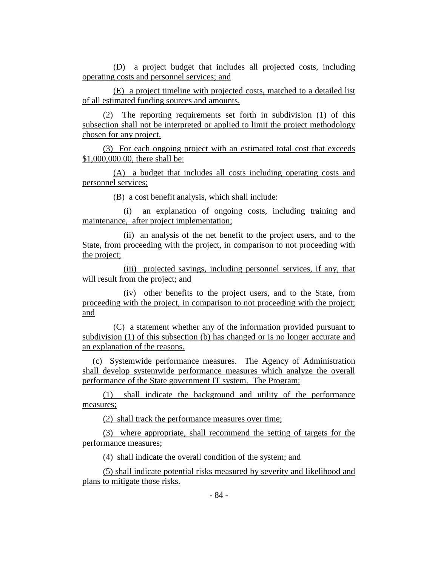(D) a project budget that includes all projected costs, including operating costs and personnel services; and

(E) a project timeline with projected costs, matched to a detailed list of all estimated funding sources and amounts.

(2) The reporting requirements set forth in subdivision (1) of this subsection shall not be interpreted or applied to limit the project methodology chosen for any project.

(3) For each ongoing project with an estimated total cost that exceeds \$1,000,000.00, there shall be:

(A) a budget that includes all costs including operating costs and personnel services;

(B) a cost benefit analysis, which shall include:

(i) an explanation of ongoing costs, including training and maintenance, after project implementation;

(ii) an analysis of the net benefit to the project users, and to the State, from proceeding with the project, in comparison to not proceeding with the project;

(iii) projected savings, including personnel services, if any, that will result from the project; and

(iv) other benefits to the project users, and to the State, from proceeding with the project, in comparison to not proceeding with the project; and

(C) a statement whether any of the information provided pursuant to subdivision (1) of this subsection (b) has changed or is no longer accurate and an explanation of the reasons.

(c) Systemwide performance measures. The Agency of Administration shall develop systemwide performance measures which analyze the overall performance of the State government IT system. The Program:

(1) shall indicate the background and utility of the performance measures;

(2) shall track the performance measures over time;

(3) where appropriate, shall recommend the setting of targets for the performance measures;

(4) shall indicate the overall condition of the system; and

(5) shall indicate potential risks measured by severity and likelihood and plans to mitigate those risks.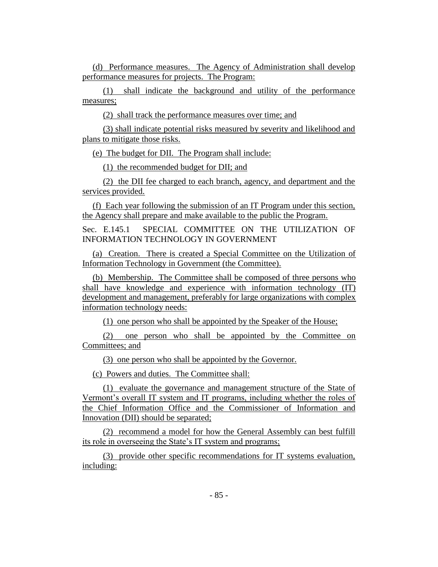(d) Performance measures. The Agency of Administration shall develop performance measures for projects. The Program:

(1) shall indicate the background and utility of the performance measures;

(2) shall track the performance measures over time; and

(3) shall indicate potential risks measured by severity and likelihood and plans to mitigate those risks.

(e) The budget for DII. The Program shall include:

(1) the recommended budget for DII; and

(2) the DII fee charged to each branch, agency, and department and the services provided.

(f) Each year following the submission of an IT Program under this section, the Agency shall prepare and make available to the public the Program.

Sec. E.145.1 SPECIAL COMMITTEE ON THE UTILIZATION OF INFORMATION TECHNOLOGY IN GOVERNMENT

(a) Creation. There is created a Special Committee on the Utilization of Information Technology in Government (the Committee).

(b) Membership. The Committee shall be composed of three persons who shall have knowledge and experience with information technology (IT) development and management, preferably for large organizations with complex information technology needs:

(1) one person who shall be appointed by the Speaker of the House;

(2) one person who shall be appointed by the Committee on Committees; and

(3) one person who shall be appointed by the Governor.

(c) Powers and duties. The Committee shall:

(1) evaluate the governance and management structure of the State of Vermont's overall IT system and IT programs, including whether the roles of the Chief Information Office and the Commissioner of Information and Innovation (DII) should be separated;

(2) recommend a model for how the General Assembly can best fulfill its role in overseeing the State's IT system and programs;

(3) provide other specific recommendations for IT systems evaluation, including: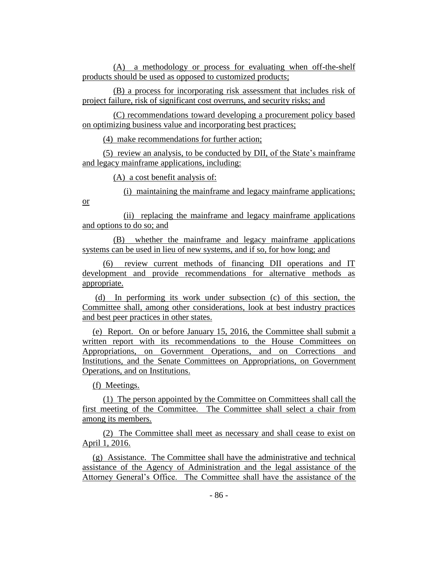(A) a methodology or process for evaluating when off-the-shelf products should be used as opposed to customized products;

(B) a process for incorporating risk assessment that includes risk of project failure, risk of significant cost overruns, and security risks; and

(C) recommendations toward developing a procurement policy based on optimizing business value and incorporating best practices;

(4) make recommendations for further action;

(5) review an analysis, to be conducted by DII, of the State's mainframe and legacy mainframe applications, including:

(A) a cost benefit analysis of:

(i) maintaining the mainframe and legacy mainframe applications;

(ii) replacing the mainframe and legacy mainframe applications and options to do so; and

(B) whether the mainframe and legacy mainframe applications systems can be used in lieu of new systems, and if so, for how long; and

(6) review current methods of financing DII operations and IT development and provide recommendations for alternative methods as appropriate.

(d) In performing its work under subsection (c) of this section, the Committee shall, among other considerations, look at best industry practices and best peer practices in other states.

(e) Report. On or before January 15, 2016, the Committee shall submit a written report with its recommendations to the House Committees on Appropriations, on Government Operations, and on Corrections and Institutions, and the Senate Committees on Appropriations, on Government Operations, and on Institutions.

(f) Meetings.

or

(1) The person appointed by the Committee on Committees shall call the first meeting of the Committee. The Committee shall select a chair from among its members.

(2) The Committee shall meet as necessary and shall cease to exist on April 1, 2016.

(g) Assistance. The Committee shall have the administrative and technical assistance of the Agency of Administration and the legal assistance of the Attorney General's Office. The Committee shall have the assistance of the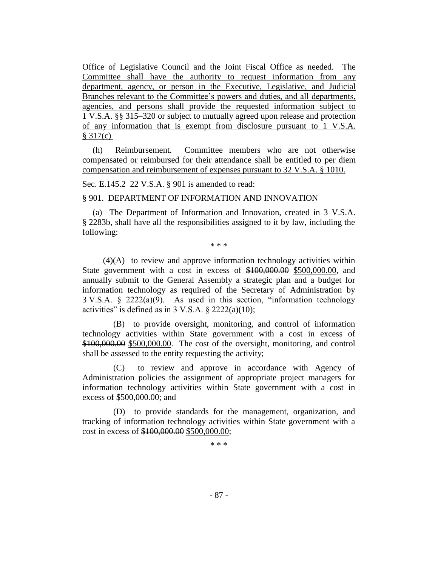Office of Legislative Council and the Joint Fiscal Office as needed. The Committee shall have the authority to request information from any department, agency, or person in the Executive, Legislative, and Judicial Branches relevant to the Committee's powers and duties, and all departments, agencies, and persons shall provide the requested information subject to 1 V.S.A. §§ 315–320 or subject to mutually agreed upon release and protection of any information that is exempt from disclosure pursuant to 1 V.S.A. § 317(c)

(h) Reimbursement. Committee members who are not otherwise compensated or reimbursed for their attendance shall be entitled to per diem compensation and reimbursement of expenses pursuant to 32 V.S.A. § 1010.

Sec. E.145.2 22 V.S.A. § 901 is amended to read:

§ 901. DEPARTMENT OF INFORMATION AND INNOVATION

(a) The Department of Information and Innovation, created in 3 V.S.A. § 2283b, shall have all the responsibilities assigned to it by law, including the following:

\* \* \*

(4)(A) to review and approve information technology activities within State government with a cost in excess of \$100,000.00 \$500,000.00, and annually submit to the General Assembly a strategic plan and a budget for information technology as required of the Secretary of Administration by 3 V.S.A. § 2222(a)(9). As used in this section, "information technology activities" is defined as in 3 V.S.A.  $\S$  2222(a)(10);

(B) to provide oversight, monitoring, and control of information technology activities within State government with a cost in excess of \$100,000.00 \$500,000.00. The cost of the oversight, monitoring, and control shall be assessed to the entity requesting the activity;

(C) to review and approve in accordance with Agency of Administration policies the assignment of appropriate project managers for information technology activities within State government with a cost in excess of \$500,000.00; and

(D) to provide standards for the management, organization, and tracking of information technology activities within State government with a cost in excess of \$100,000.00 \$500,000.00;

\* \* \*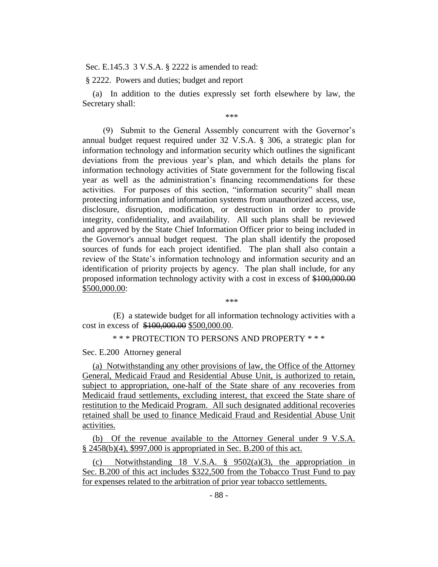Sec. E.145.3 3 V.S.A. § 2222 is amended to read:

§ 2222. Powers and duties; budget and report

(a) In addition to the duties expressly set forth elsewhere by law, the Secretary shall:

\*\*\*

(9) Submit to the General Assembly concurrent with the Governor's annual budget request required under 32 V.S.A. § 306, a strategic plan for information technology and information security which outlines the significant deviations from the previous year's plan, and which details the plans for information technology activities of State government for the following fiscal year as well as the administration's financing recommendations for these activities. For purposes of this section, "information security" shall mean protecting information and information systems from unauthorized access, use, disclosure, disruption, modification, or destruction in order to provide integrity, confidentiality, and availability. All such plans shall be reviewed and approved by the State Chief Information Officer prior to being included in the Governor's annual budget request. The plan shall identify the proposed sources of funds for each project identified. The plan shall also contain a review of the State's information technology and information security and an identification of priority projects by agency. The plan shall include, for any proposed information technology activity with a cost in excess of \$100,000.00 \$500,000.00:

\*\*\*

(E) a statewide budget for all information technology activities with a cost in excess of \$100,000.00 \$500,000.00.

\* \* \* PROTECTION TO PERSONS AND PROPERTY \* \* \*

Sec. E.200 Attorney general

(a) Notwithstanding any other provisions of law, the Office of the Attorney General, Medicaid Fraud and Residential Abuse Unit, is authorized to retain, subject to appropriation, one-half of the State share of any recoveries from Medicaid fraud settlements, excluding interest, that exceed the State share of restitution to the Medicaid Program. All such designated additional recoveries retained shall be used to finance Medicaid Fraud and Residential Abuse Unit activities.

(b) Of the revenue available to the Attorney General under 9 V.S.A. § 2458(b)(4), \$997,000 is appropriated in Sec. B.200 of this act.

(c) Notwithstanding 18 V.S.A. § 9502(a)(3), the appropriation in Sec. B.200 of this act includes \$322,500 from the Tobacco Trust Fund to pay for expenses related to the arbitration of prior year tobacco settlements.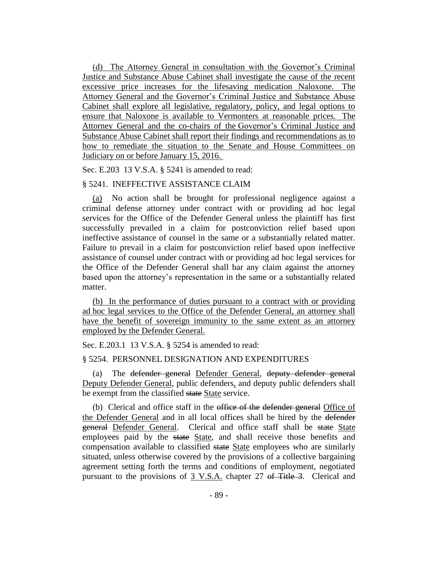(d) The Attorney General in consultation with the Governor's Criminal Justice and Substance Abuse Cabinet shall investigate the cause of the recent excessive price increases for the lifesaving medication Naloxone. The Attorney General and the Governor's Criminal Justice and Substance Abuse Cabinet shall explore all legislative, regulatory, policy, and legal options to ensure that Naloxone is available to Vermonters at reasonable prices. The Attorney General and the co-chairs of the Governor's Criminal Justice and Substance Abuse Cabinet shall report their findings and recommendations as to how to remediate the situation to the Senate and House Committees on Judiciary on or before January 15, 2016.

Sec. E.203 13 V.S.A. § 5241 is amended to read:

### § 5241. INEFFECTIVE ASSISTANCE CLAIM

(a) No action shall be brought for professional negligence against a criminal defense attorney under contract with or providing ad hoc legal services for the Office of the Defender General unless the plaintiff has first successfully prevailed in a claim for postconviction relief based upon ineffective assistance of counsel in the same or a substantially related matter. Failure to prevail in a claim for postconviction relief based upon ineffective assistance of counsel under contract with or providing ad hoc legal services for the Office of the Defender General shall bar any claim against the attorney based upon the attorney's representation in the same or a substantially related matter.

(b) In the performance of duties pursuant to a contract with or providing ad hoc legal services to the Office of the Defender General, an attorney shall have the benefit of sovereign immunity to the same extent as an attorney employed by the Defender General.

Sec. E.203.1 13 V.S.A. § 5254 is amended to read:

#### § 5254. PERSONNEL DESIGNATION AND EXPENDITURES

(a) The defender general Defender General, deputy defender general Deputy Defender General, public defenders, and deputy public defenders shall be exempt from the classified state State service.

(b) Clerical and office staff in the office of the defender general Office of the Defender General and in all local offices shall be hired by the defender general Defender General. Clerical and office staff shall be state State employees paid by the state State, and shall receive those benefits and compensation available to classified state State employees who are similarly situated, unless otherwise covered by the provisions of a collective bargaining agreement setting forth the terms and conditions of employment, negotiated pursuant to the provisions of 3 V.S.A. chapter 27 of Title 3. Clerical and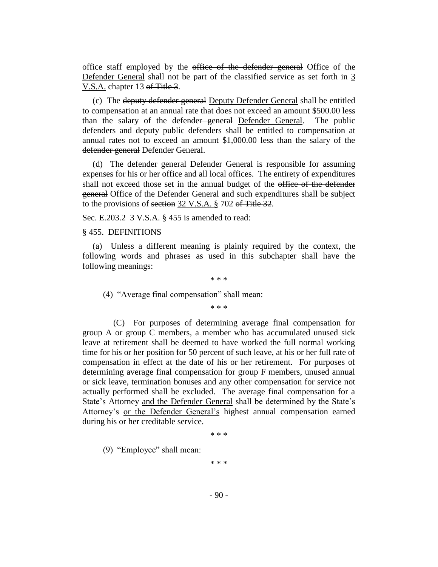office staff employed by the office of the defender general Office of the Defender General shall not be part of the classified service as set forth in 3 V.S.A. chapter 13 of Title 3.

(c) The deputy defender general Deputy Defender General shall be entitled to compensation at an annual rate that does not exceed an amount \$500.00 less than the salary of the defender general Defender General. The public defenders and deputy public defenders shall be entitled to compensation at annual rates not to exceed an amount \$1,000.00 less than the salary of the defender general Defender General.

(d) The defender general Defender General is responsible for assuming expenses for his or her office and all local offices. The entirety of expenditures shall not exceed those set in the annual budget of the office of the defender general Office of the Defender General and such expenditures shall be subject to the provisions of section 32 V.S.A. § 702 of Title 32.

Sec. E.203.2 3 V.S.A. § 455 is amended to read:

#### § 455. DEFINITIONS

(a) Unless a different meaning is plainly required by the context, the following words and phrases as used in this subchapter shall have the following meanings:

\* \* \*

(4) "Average final compensation" shall mean:

\* \* \*

(C) For purposes of determining average final compensation for group A or group C members, a member who has accumulated unused sick leave at retirement shall be deemed to have worked the full normal working time for his or her position for 50 percent of such leave, at his or her full rate of compensation in effect at the date of his or her retirement. For purposes of determining average final compensation for group F members, unused annual or sick leave, termination bonuses and any other compensation for service not actually performed shall be excluded. The average final compensation for a State's Attorney and the Defender General shall be determined by the State's Attorney's or the Defender General's highest annual compensation earned during his or her creditable service.

\* \* \*

(9) "Employee" shall mean:

\* \* \*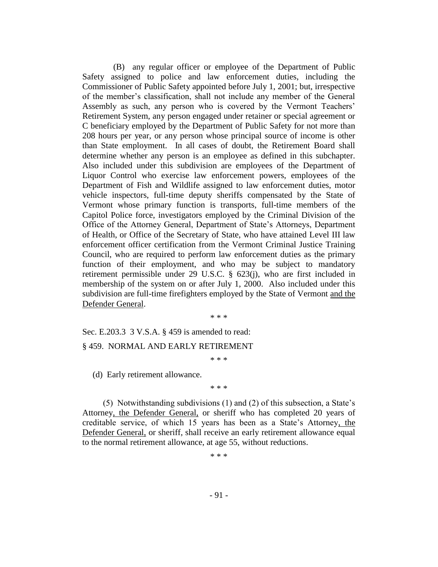(B) any regular officer or employee of the Department of Public Safety assigned to police and law enforcement duties, including the Commissioner of Public Safety appointed before July 1, 2001; but, irrespective of the member's classification, shall not include any member of the General Assembly as such, any person who is covered by the Vermont Teachers' Retirement System, any person engaged under retainer or special agreement or C beneficiary employed by the Department of Public Safety for not more than 208 hours per year, or any person whose principal source of income is other than State employment. In all cases of doubt, the Retirement Board shall determine whether any person is an employee as defined in this subchapter. Also included under this subdivision are employees of the Department of Liquor Control who exercise law enforcement powers, employees of the Department of Fish and Wildlife assigned to law enforcement duties, motor vehicle inspectors, full-time deputy sheriffs compensated by the State of Vermont whose primary function is transports, full-time members of the Capitol Police force, investigators employed by the Criminal Division of the Office of the Attorney General, Department of State's Attorneys, Department of Health, or Office of the Secretary of State, who have attained Level III law enforcement officer certification from the Vermont Criminal Justice Training Council, who are required to perform law enforcement duties as the primary function of their employment, and who may be subject to mandatory retirement permissible under 29 U.S.C. § 623(j), who are first included in membership of the system on or after July 1, 2000. Also included under this subdivision are full-time firefighters employed by the State of Vermont and the Defender General.

\* \* \*

Sec. E.203.3 3 V.S.A. § 459 is amended to read:

# § 459. NORMAL AND EARLY RETIREMENT

\* \* \*

(d) Early retirement allowance.

\* \* \*

(5) Notwithstanding subdivisions (1) and (2) of this subsection, a State's Attorney, the Defender General, or sheriff who has completed 20 years of creditable service, of which 15 years has been as a State's Attorney, the Defender General, or sheriff, shall receive an early retirement allowance equal to the normal retirement allowance, at age 55, without reductions.

\* \* \*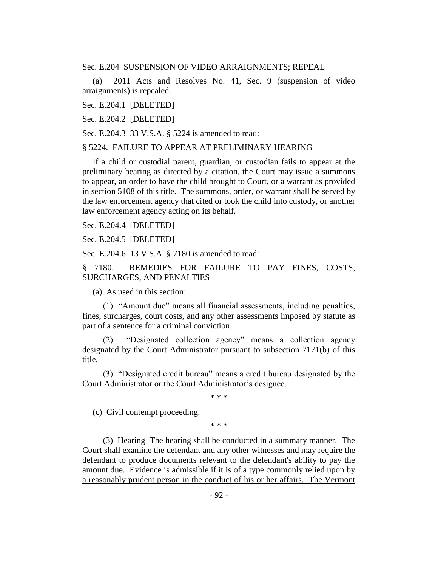Sec. E.204 SUSPENSION OF VIDEO ARRAIGNMENTS; REPEAL

(a) 2011 Acts and Resolves No. 41, Sec. 9 (suspension of video arraignments) is repealed.

Sec. E.204.1 [DELETED]

Sec. E.204.2 [DELETED]

Sec. E.204.3 33 V.S.A. § 5224 is amended to read:

§ 5224. FAILURE TO APPEAR AT PRELIMINARY HEARING

If a child or custodial parent, guardian, or custodian fails to appear at the preliminary hearing as directed by a citation, the Court may issue a summons to appear, an order to have the child brought to Court, or a warrant as provided in section 5108 of this title. The summons, order, or warrant shall be served by the law enforcement agency that cited or took the child into custody, or another law enforcement agency acting on its behalf.

Sec. E.204.4 [DELETED]

Sec. E.204.5 [DELETED]

Sec. E.204.6 13 V.S.A. § 7180 is amended to read:

§ 7180. REMEDIES FOR FAILURE TO PAY FINES, COSTS, SURCHARGES, AND PENALTIES

(a) As used in this section:

(1) "Amount due" means all financial assessments, including penalties, fines, surcharges, court costs, and any other assessments imposed by statute as part of a sentence for a criminal conviction.

(2) "Designated collection agency" means a collection agency designated by the Court Administrator pursuant to subsection 7171(b) of this title.

(3) "Designated credit bureau" means a credit bureau designated by the Court Administrator or the Court Administrator's designee.

\* \* \*

(c) Civil contempt proceeding.

\* \* \*

(3) Hearing The hearing shall be conducted in a summary manner. The Court shall examine the defendant and any other witnesses and may require the defendant to produce documents relevant to the defendant's ability to pay the amount due. Evidence is admissible if it is of a type commonly relied upon by a reasonably prudent person in the conduct of his or her affairs. The Vermont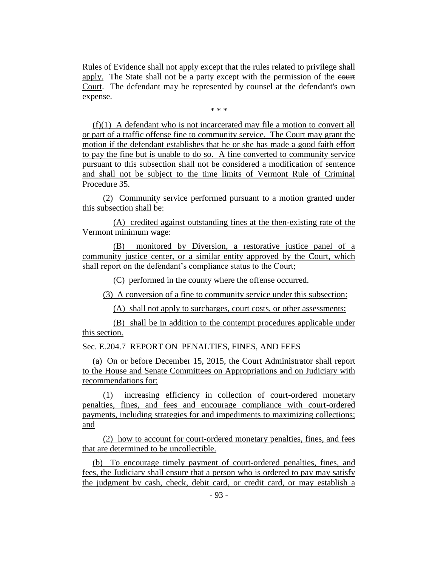Rules of Evidence shall not apply except that the rules related to privilege shall apply. The State shall not be a party except with the permission of the court Court. The defendant may be represented by counsel at the defendant's own expense.

\* \* \*

(f)(1) A defendant who is not incarcerated may file a motion to convert all or part of a traffic offense fine to community service. The Court may grant the motion if the defendant establishes that he or she has made a good faith effort to pay the fine but is unable to do so. A fine converted to community service pursuant to this subsection shall not be considered a modification of sentence and shall not be subject to the time limits of Vermont Rule of Criminal Procedure 35.

(2) Community service performed pursuant to a motion granted under this subsection shall be:

(A) credited against outstanding fines at the then-existing rate of the Vermont minimum wage:

(B) monitored by Diversion, a restorative justice panel of a community justice center, or a similar entity approved by the Court, which shall report on the defendant's compliance status to the Court;

(C) performed in the county where the offense occurred.

(3) A conversion of a fine to community service under this subsection:

(A) shall not apply to surcharges, court costs, or other assessments;

(B) shall be in addition to the contempt procedures applicable under this section.

Sec. E.204.7 REPORT ON PENALTIES, FINES, AND FEES

(a) On or before December 15, 2015, the Court Administrator shall report to the House and Senate Committees on Appropriations and on Judiciary with recommendations for:

(1) increasing efficiency in collection of court-ordered monetary penalties, fines, and fees and encourage compliance with court-ordered payments, including strategies for and impediments to maximizing collections; and

(2) how to account for court-ordered monetary penalties, fines, and fees that are determined to be uncollectible.

(b) To encourage timely payment of court-ordered penalties, fines, and fees, the Judiciary shall ensure that a person who is ordered to pay may satisfy the judgment by cash, check, debit card, or credit card, or may establish a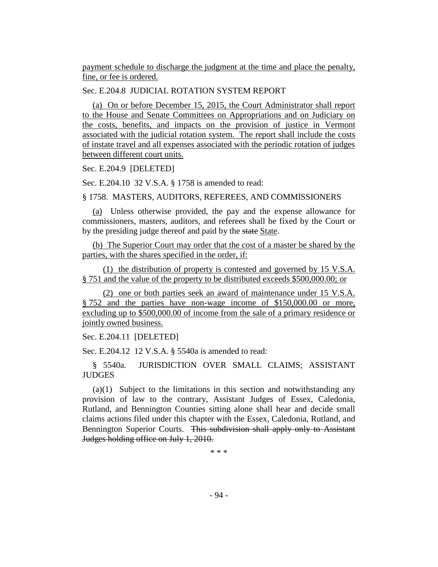payment schedule to discharge the judgment at the time and place the penalty, fine, or fee is ordered.

Sec. E.204.8 JUDICIAL ROTATION SYSTEM REPORT

(a) On or before December 15, 2015, the Court Administrator shall report to the House and Senate Committees on Appropriations and on Judiciary on the costs, benefits, and impacts on the provision of justice in Vermont associated with the judicial rotation system. The report shall include the costs of instate travel and all expenses associated with the periodic rotation of judges between different court units.

Sec. E.204.9 [DELETED]

Sec. E.204.10 32 V.S.A. § 1758 is amended to read:

§ 1758. MASTERS, AUDITORS, REFEREES, AND COMMISSIONERS

(a) Unless otherwise provided, the pay and the expense allowance for commissioners, masters, auditors, and referees shall be fixed by the Court or by the presiding judge thereof and paid by the state State.

(b) The Superior Court may order that the cost of a master be shared by the parties, with the shares specified in the order, if:

(1) the distribution of property is contested and governed by 15 V.S.A. § 751 and the value of the property to be distributed exceeds \$500,000.00; or

(2) one or both parties seek an award of maintenance under 15 V.S.A. § 752 and the parties have non-wage income of \$150,000.00 or more, excluding up to \$500,000.00 of income from the sale of a primary residence or jointly owned business.

Sec. E.204.11 [DELETED]

Sec. E.204.12 12 V.S.A. § 5540a is amended to read:

§ 5540a. JURISDICTION OVER SMALL CLAIMS; ASSISTANT **JUDGES** 

(a)(1) Subject to the limitations in this section and notwithstanding any provision of law to the contrary, Assistant Judges of Essex, Caledonia, Rutland, and Bennington Counties sitting alone shall hear and decide small claims actions filed under this chapter with the Essex, Caledonia, Rutland, and Bennington Superior Courts. This subdivision shall apply only to Assistant Judges holding office on July 1, 2010.

\* \* \*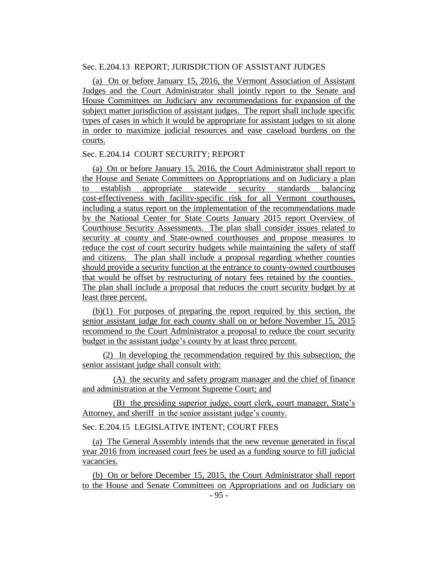## Sec. E.204.13 REPORT; JURISDICTION OF ASSISTANT JUDGES

(a) On or before January 15, 2016, the Vermont Association of Assistant Judges and the Court Administrator shall jointly report to the Senate and House Committees on Judiciary any recommendations for expansion of the subject matter jurisdiction of assistant judges. The report shall include specific types of cases in which it would be appropriate for assistant judges to sit alone in order to maximize judicial resources and ease caseload burdens on the courts.

### Sec. E.204.14 COURT SECURITY; REPORT

(a) On or before January 15, 2016, the Court Administrator shall report to the House and Senate Committees on Appropriations and on Judiciary a plan to establish appropriate statewide security standards balancing cost-effectiveness with facility-specific risk for all Vermont courthouses, including a status report on the implementation of the recommendations made by the National Center for State Courts January 2015 report Overview of Courthouse Security Assessments. The plan shall consider issues related to security at county and State-owned courthouses and propose measures to reduce the cost of court security budgets while maintaining the safety of staff and citizens. The plan shall include a proposal regarding whether counties should provide a security function at the entrance to county-owned courthouses that would be offset by restructuring of notary fees retained by the counties. The plan shall include a proposal that reduces the court security budget by at least three percent.

(b)(1) For purposes of preparing the report required by this section, the senior assistant judge for each county shall on or before November 15, 2015 recommend to the Court Administrator a proposal to reduce the court security budget in the assistant judge's county by at least three percent.

(2) In developing the recommendation required by this subsection, the senior assistant judge shall consult with:

(A) the security and safety program manager and the chief of finance and administration at the Vermont Supreme Court; and

(B) the presiding superior judge, court clerk, court manager, State's Attorney, and sheriff in the senior assistant judge's county.

Sec. E.204.15 LEGISLATIVE INTENT; COURT FEES

(a) The General Assembly intends that the new revenue generated in fiscal year 2016 from increased court fees be used as a funding source to fill judicial vacancies.

(b) On or before December 15, 2015, the Court Administrator shall report to the House and Senate Committees on Appropriations and on Judiciary on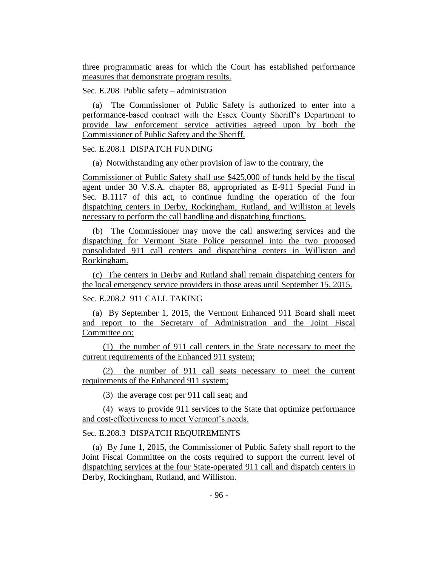three programmatic areas for which the Court has established performance measures that demonstrate program results.

Sec. E.208 Public safety – administration

(a) The Commissioner of Public Safety is authorized to enter into a performance-based contract with the Essex County Sheriff's Department to provide law enforcement service activities agreed upon by both the Commissioner of Public Safety and the Sheriff.

# Sec. E.208.1 DISPATCH FUNDING

(a) Notwithstanding any other provision of law to the contrary, the

Commissioner of Public Safety shall use \$425,000 of funds held by the fiscal agent under 30 V.S.A. chapter 88, appropriated as E-911 Special Fund in Sec. B.1117 of this act, to continue funding the operation of the four dispatching centers in Derby, Rockingham, Rutland, and Williston at levels necessary to perform the call handling and dispatching functions.

(b) The Commissioner may move the call answering services and the dispatching for Vermont State Police personnel into the two proposed consolidated 911 call centers and dispatching centers in Williston and Rockingham.

(c) The centers in Derby and Rutland shall remain dispatching centers for the local emergency service providers in those areas until September 15, 2015.

### Sec. E.208.2 911 CALL TAKING

(a) By September 1, 2015, the Vermont Enhanced 911 Board shall meet and report to the Secretary of Administration and the Joint Fiscal Committee on:

(1) the number of 911 call centers in the State necessary to meet the current requirements of the Enhanced 911 system;

(2) the number of 911 call seats necessary to meet the current requirements of the Enhanced 911 system;

(3) the average cost per 911 call seat; and

(4) ways to provide 911 services to the State that optimize performance and cost-effectiveness to meet Vermont's needs.

# Sec. E.208.3 DISPATCH REQUIREMENTS

(a) By June 1, 2015, the Commissioner of Public Safety shall report to the Joint Fiscal Committee on the costs required to support the current level of dispatching services at the four State-operated 911 call and dispatch centers in Derby, Rockingham, Rutland, and Williston.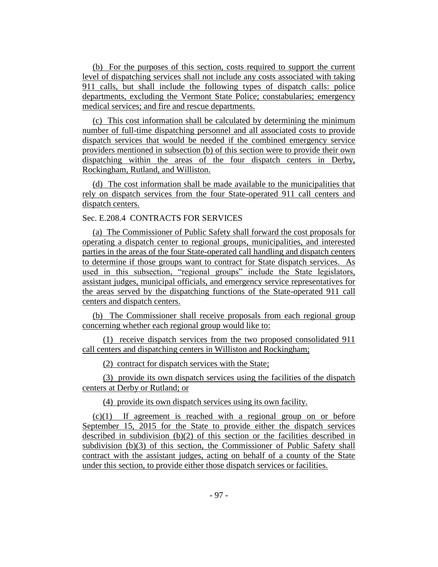(b) For the purposes of this section, costs required to support the current level of dispatching services shall not include any costs associated with taking 911 calls, but shall include the following types of dispatch calls: police departments, excluding the Vermont State Police; constabularies; emergency medical services; and fire and rescue departments.

(c) This cost information shall be calculated by determining the minimum number of full-time dispatching personnel and all associated costs to provide dispatch services that would be needed if the combined emergency service providers mentioned in subsection (b) of this section were to provide their own dispatching within the areas of the four dispatch centers in Derby, Rockingham, Rutland, and Williston.

(d) The cost information shall be made available to the municipalities that rely on dispatch services from the four State-operated 911 call centers and dispatch centers.

# Sec. E.208.4 CONTRACTS FOR SERVICES

(a) The Commissioner of Public Safety shall forward the cost proposals for operating a dispatch center to regional groups, municipalities, and interested parties in the areas of the four State-operated call handling and dispatch centers to determine if those groups want to contract for State dispatch services. As used in this subsection, "regional groups" include the State legislators, assistant judges, municipal officials, and emergency service representatives for the areas served by the dispatching functions of the State-operated 911 call centers and dispatch centers.

(b) The Commissioner shall receive proposals from each regional group concerning whether each regional group would like to:

(1) receive dispatch services from the two proposed consolidated 911 call centers and dispatching centers in Williston and Rockingham;

(2) contract for dispatch services with the State;

(3) provide its own dispatch services using the facilities of the dispatch centers at Derby or Rutland; or

(4) provide its own dispatch services using its own facility.

(c)(1) If agreement is reached with a regional group on or before September 15, 2015 for the State to provide either the dispatch services described in subdivision (b)(2) of this section or the facilities described in subdivision (b)(3) of this section, the Commissioner of Public Safety shall contract with the assistant judges, acting on behalf of a county of the State under this section, to provide either those dispatch services or facilities.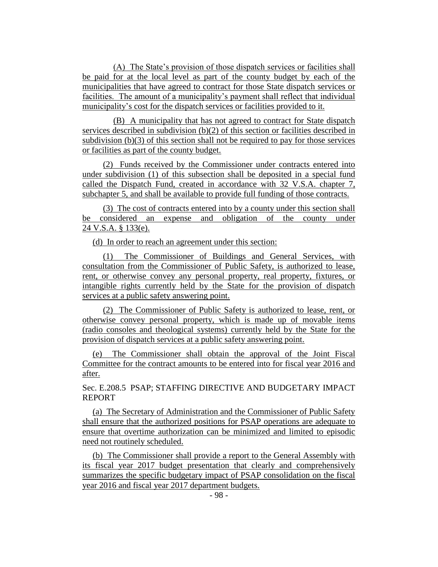(A) The State's provision of those dispatch services or facilities shall be paid for at the local level as part of the county budget by each of the municipalities that have agreed to contract for those State dispatch services or facilities. The amount of a municipality's payment shall reflect that individual municipality's cost for the dispatch services or facilities provided to it.

(B) A municipality that has not agreed to contract for State dispatch services described in subdivision (b)(2) of this section or facilities described in subdivision (b)(3) of this section shall not be required to pay for those services or facilities as part of the county budget.

(2) Funds received by the Commissioner under contracts entered into under subdivision (1) of this subsection shall be deposited in a special fund called the Dispatch Fund, created in accordance with 32 V.S.A. chapter 7, subchapter 5, and shall be available to provide full funding of those contracts.

(3) The cost of contracts entered into by a county under this section shall be considered an expense and obligation of the county under 24 V.S.A. § 133(e).

(d) In order to reach an agreement under this section:

(1) The Commissioner of Buildings and General Services, with consultation from the Commissioner of Public Safety, is authorized to lease, rent, or otherwise convey any personal property, real property, fixtures, or intangible rights currently held by the State for the provision of dispatch services at a public safety answering point.

(2) The Commissioner of Public Safety is authorized to lease, rent, or otherwise convey personal property, which is made up of movable items (radio consoles and theological systems) currently held by the State for the provision of dispatch services at a public safety answering point.

(e) The Commissioner shall obtain the approval of the Joint Fiscal Committee for the contract amounts to be entered into for fiscal year 2016 and after.

Sec. E.208.5 PSAP; STAFFING DIRECTIVE AND BUDGETARY IMPACT REPORT

(a) The Secretary of Administration and the Commissioner of Public Safety shall ensure that the authorized positions for PSAP operations are adequate to ensure that overtime authorization can be minimized and limited to episodic need not routinely scheduled.

(b) The Commissioner shall provide a report to the General Assembly with its fiscal year 2017 budget presentation that clearly and comprehensively summarizes the specific budgetary impact of PSAP consolidation on the fiscal year 2016 and fiscal year 2017 department budgets.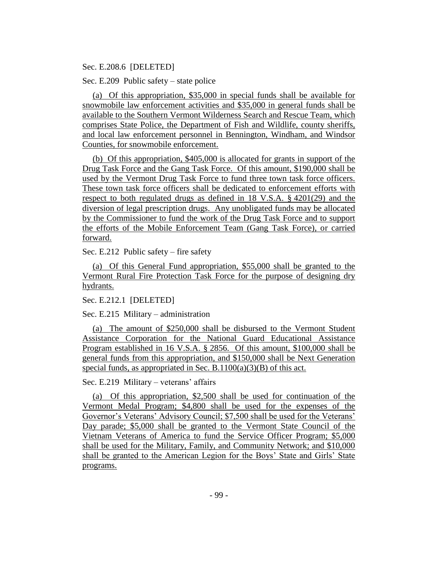### Sec. E.208.6 [DELETED]

Sec. E.209 Public safety – state police

(a) Of this appropriation, \$35,000 in special funds shall be available for snowmobile law enforcement activities and \$35,000 in general funds shall be available to the Southern Vermont Wilderness Search and Rescue Team, which comprises State Police, the Department of Fish and Wildlife, county sheriffs, and local law enforcement personnel in Bennington, Windham, and Windsor Counties, for snowmobile enforcement.

(b) Of this appropriation, \$405,000 is allocated for grants in support of the Drug Task Force and the Gang Task Force. Of this amount, \$190,000 shall be used by the Vermont Drug Task Force to fund three town task force officers. These town task force officers shall be dedicated to enforcement efforts with respect to both regulated drugs as defined in 18 V.S.A. § 4201(29) and the diversion of legal prescription drugs. Any unobligated funds may be allocated by the Commissioner to fund the work of the Drug Task Force and to support the efforts of the Mobile Enforcement Team (Gang Task Force), or carried forward.

Sec. E.212 Public safety – fire safety

(a) Of this General Fund appropriation, \$55,000 shall be granted to the Vermont Rural Fire Protection Task Force for the purpose of designing dry hydrants.

Sec. E.212.1 [DELETED]

Sec. E.215 Military – administration

(a) The amount of \$250,000 shall be disbursed to the Vermont Student Assistance Corporation for the National Guard Educational Assistance Program established in 16 V.S.A. § 2856. Of this amount, \$100,000 shall be general funds from this appropriation, and \$150,000 shall be Next Generation special funds, as appropriated in Sec. B.1100(a)(3)(B) of this act.

Sec. E.219 Military – veterans' affairs

(a) Of this appropriation, \$2,500 shall be used for continuation of the Vermont Medal Program; \$4,800 shall be used for the expenses of the Governor's Veterans' Advisory Council; \$7,500 shall be used for the Veterans' Day parade; \$5,000 shall be granted to the Vermont State Council of the Vietnam Veterans of America to fund the Service Officer Program; \$5,000 shall be used for the Military, Family, and Community Network; and \$10,000 shall be granted to the American Legion for the Boys' State and Girls' State programs.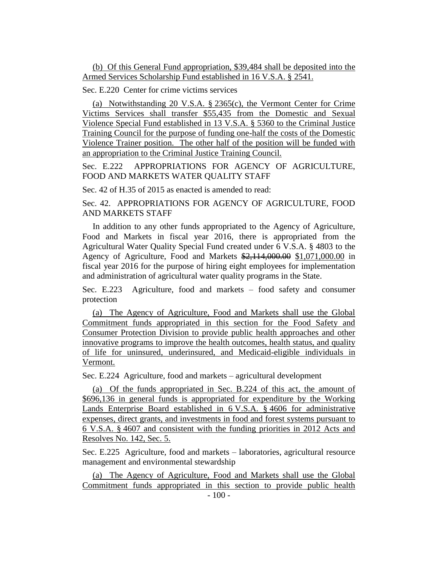(b) Of this General Fund appropriation, \$39,484 shall be deposited into the Armed Services Scholarship Fund established in 16 V.S.A. § 2541.

Sec. E.220 Center for crime victims services

(a) Notwithstanding 20 V.S.A. § 2365(c), the Vermont Center for Crime Victims Services shall transfer \$55,435 from the Domestic and Sexual Violence Special Fund established in 13 V.S.A. § 5360 to the Criminal Justice Training Council for the purpose of funding one-half the costs of the Domestic Violence Trainer position. The other half of the position will be funded with an appropriation to the Criminal Justice Training Council.

Sec. E.222 APPROPRIATIONS FOR AGENCY OF AGRICULTURE, FOOD AND MARKETS WATER QUALITY STAFF

Sec. 42 of H.35 of 2015 as enacted is amended to read:

Sec. 42. APPROPRIATIONS FOR AGENCY OF AGRICULTURE, FOOD AND MARKETS STAFF

In addition to any other funds appropriated to the Agency of Agriculture, Food and Markets in fiscal year 2016, there is appropriated from the Agricultural Water Quality Special Fund created under 6 V.S.A. § 4803 to the Agency of Agriculture, Food and Markets \$2,114,000.00 \$1,071,000.00 in fiscal year 2016 for the purpose of hiring eight employees for implementation and administration of agricultural water quality programs in the State.

Sec. E.223 Agriculture, food and markets – food safety and consumer protection

(a) The Agency of Agriculture, Food and Markets shall use the Global Commitment funds appropriated in this section for the Food Safety and Consumer Protection Division to provide public health approaches and other innovative programs to improve the health outcomes, health status, and quality of life for uninsured, underinsured, and Medicaid-eligible individuals in Vermont.

Sec. E.224 Agriculture, food and markets – agricultural development

(a) Of the funds appropriated in Sec. B.224 of this act, the amount of \$696,136 in general funds is appropriated for expenditure by the Working Lands Enterprise Board established in 6 V.S.A. § 4606 for administrative expenses, direct grants, and investments in food and forest systems pursuant to 6 V.S.A. § 4607 and consistent with the funding priorities in 2012 Acts and Resolves No. 142, Sec. 5.

Sec. E.225 Agriculture, food and markets – laboratories, agricultural resource management and environmental stewardship

(a) The Agency of Agriculture, Food and Markets shall use the Global Commitment funds appropriated in this section to provide public health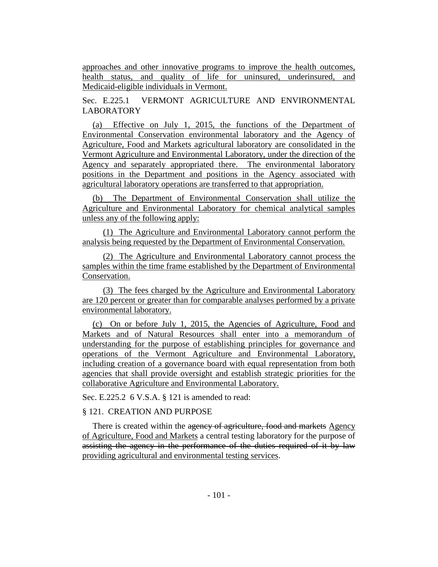approaches and other innovative programs to improve the health outcomes, health status, and quality of life for uninsured, underinsured, and Medicaid-eligible individuals in Vermont.

Sec. E.225.1 VERMONT AGRICULTURE AND ENVIRONMENTAL LABORATORY

(a) Effective on July 1, 2015, the functions of the Department of Environmental Conservation environmental laboratory and the Agency of Agriculture, Food and Markets agricultural laboratory are consolidated in the Vermont Agriculture and Environmental Laboratory, under the direction of the Agency and separately appropriated there. The environmental laboratory positions in the Department and positions in the Agency associated with agricultural laboratory operations are transferred to that appropriation.

(b) The Department of Environmental Conservation shall utilize the Agriculture and Environmental Laboratory for chemical analytical samples unless any of the following apply:

(1) The Agriculture and Environmental Laboratory cannot perform the analysis being requested by the Department of Environmental Conservation.

(2) The Agriculture and Environmental Laboratory cannot process the samples within the time frame established by the Department of Environmental Conservation.

(3) The fees charged by the Agriculture and Environmental Laboratory are 120 percent or greater than for comparable analyses performed by a private environmental laboratory.

(c) On or before July 1, 2015, the Agencies of Agriculture, Food and Markets and of Natural Resources shall enter into a memorandum of understanding for the purpose of establishing principles for governance and operations of the Vermont Agriculture and Environmental Laboratory, including creation of a governance board with equal representation from both agencies that shall provide oversight and establish strategic priorities for the collaborative Agriculture and Environmental Laboratory.

Sec. E.225.2 6 V.S.A. § 121 is amended to read:

### § 121. CREATION AND PURPOSE

There is created within the agency of agriculture, food and markets Agency of Agriculture, Food and Markets a central testing laboratory for the purpose of assisting the agency in the performance of the duties required of it by law providing agricultural and environmental testing services.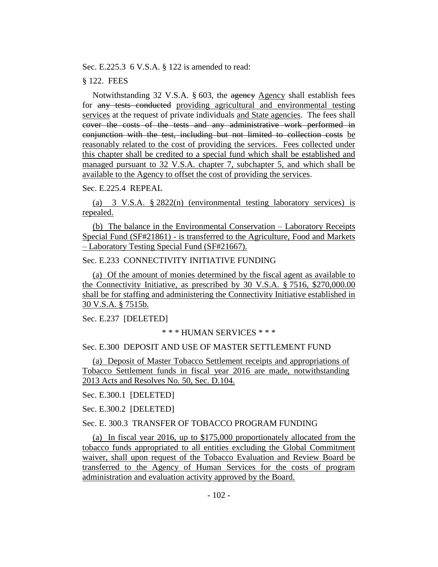Sec. E.225.3 6 V.S.A. § 122 is amended to read:

#### § 122. FEES

Notwithstanding 32 V.S.A. § 603, the agency Agency shall establish fees for any tests conducted providing agricultural and environmental testing services at the request of private individuals and State agencies. The fees shall cover the costs of the tests and any administrative work performed in conjunction with the test, including but not limited to collection costs be reasonably related to the cost of providing the services. Fees collected under this chapter shall be credited to a special fund which shall be established and managed pursuant to 32 V.S.A. chapter 7, subchapter 5, and which shall be available to the Agency to offset the cost of providing the services.

# Sec. E.225.4 REPEAL

(a) 3 V.S.A. § 2822(n) (environmental testing laboratory services) is repealed.

(b) The balance in the Environmental Conservation – Laboratory Receipts Special Fund (SF#21861) - is transferred to the Agriculture, Food and Markets – Laboratory Testing Special Fund (SF#21667).

# Sec. E.233 CONNECTIVITY INITIATIVE FUNDING

(a) Of the amount of monies determined by the fiscal agent as available to the Connectivity Initiative, as prescribed by 30 V.S.A. § 7516, \$270,000.00 shall be for staffing and administering the Connectivity Initiative established in 30 V.S.A. § 7515b.

Sec. E.237 [DELETED]

#### \* \* \* HUMAN SERVICES \* \* \*

# Sec. E.300 DEPOSIT AND USE OF MASTER SETTLEMENT FUND

(a) Deposit of Master Tobacco Settlement receipts and appropriations of Tobacco Settlement funds in fiscal year 2016 are made, notwithstanding 2013 Acts and Resolves No. 50, Sec. D.104.

Sec. E.300.1 [DELETED]

Sec. E.300.2 [DELETED]

#### Sec. E. 300.3 TRANSFER OF TOBACCO PROGRAM FUNDING

(a) In fiscal year 2016, up to \$175,000 proportionately allocated from the tobacco funds appropriated to all entities excluding the Global Commitment waiver, shall upon request of the Tobacco Evaluation and Review Board be transferred to the Agency of Human Services for the costs of program administration and evaluation activity approved by the Board.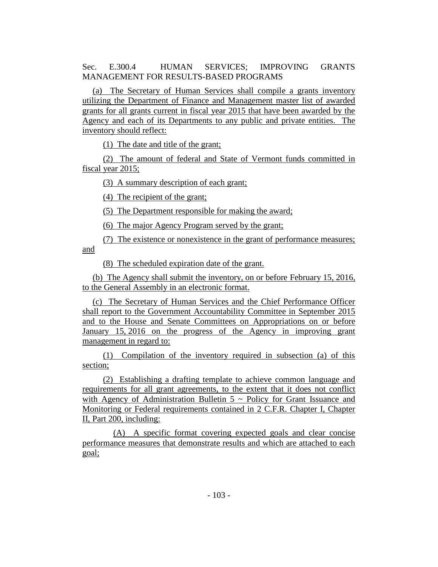Sec. E.300.4 HUMAN SERVICES; IMPROVING GRANTS MANAGEMENT FOR RESULTS-BASED PROGRAMS

(a) The Secretary of Human Services shall compile a grants inventory utilizing the Department of Finance and Management master list of awarded grants for all grants current in fiscal year 2015 that have been awarded by the Agency and each of its Departments to any public and private entities. The inventory should reflect:

(1) The date and title of the grant;

(2) The amount of federal and State of Vermont funds committed in fiscal year 2015;

(3) A summary description of each grant;

(4) The recipient of the grant;

(5) The Department responsible for making the award;

(6) The major Agency Program served by the grant;

(7) The existence or nonexistence in the grant of performance measures; and

(8) The scheduled expiration date of the grant.

(b) The Agency shall submit the inventory, on or before February 15, 2016, to the General Assembly in an electronic format.

(c) The Secretary of Human Services and the Chief Performance Officer shall report to the Government Accountability Committee in September 2015 and to the House and Senate Committees on Appropriations on or before January 15, 2016 on the progress of the Agency in improving grant management in regard to:

(1) Compilation of the inventory required in subsection (a) of this section;

(2) Establishing a drafting template to achieve common language and requirements for all grant agreements, to the extent that it does not conflict with Agency of Administration Bulletin  $5 \sim$  Policy for Grant Issuance and Monitoring or Federal requirements contained in 2 C.F.R. Chapter I, Chapter II, Part 200, including:

(A) A specific format covering expected goals and clear concise performance measures that demonstrate results and which are attached to each goal;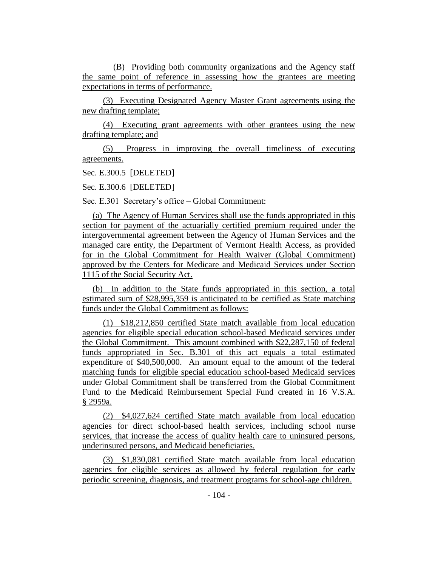(B) Providing both community organizations and the Agency staff the same point of reference in assessing how the grantees are meeting expectations in terms of performance.

(3) Executing Designated Agency Master Grant agreements using the new drafting template;

(4) Executing grant agreements with other grantees using the new drafting template; and

(5) Progress in improving the overall timeliness of executing agreements.

Sec. E.300.5 [DELETED]

Sec. E.300.6 [DELETED]

Sec. E.301 Secretary's office – Global Commitment:

(a) The Agency of Human Services shall use the funds appropriated in this section for payment of the actuarially certified premium required under the intergovernmental agreement between the Agency of Human Services and the managed care entity, the Department of Vermont Health Access, as provided for in the Global Commitment for Health Waiver (Global Commitment) approved by the Centers for Medicare and Medicaid Services under Section 1115 of the Social Security Act.

(b) In addition to the State funds appropriated in this section, a total estimated sum of \$28,995,359 is anticipated to be certified as State matching funds under the Global Commitment as follows:

(1) \$18,212,850 certified State match available from local education agencies for eligible special education school-based Medicaid services under the Global Commitment. This amount combined with \$22,287,150 of federal funds appropriated in Sec. B.301 of this act equals a total estimated expenditure of \$40,500,000. An amount equal to the amount of the federal matching funds for eligible special education school-based Medicaid services under Global Commitment shall be transferred from the Global Commitment Fund to the Medicaid Reimbursement Special Fund created in 16 V.S.A. § 2959a.

(2) \$4,027,624 certified State match available from local education agencies for direct school-based health services, including school nurse services, that increase the access of quality health care to uninsured persons, underinsured persons, and Medicaid beneficiaries.

(3) \$1,830,081 certified State match available from local education agencies for eligible services as allowed by federal regulation for early periodic screening, diagnosis, and treatment programs for school-age children.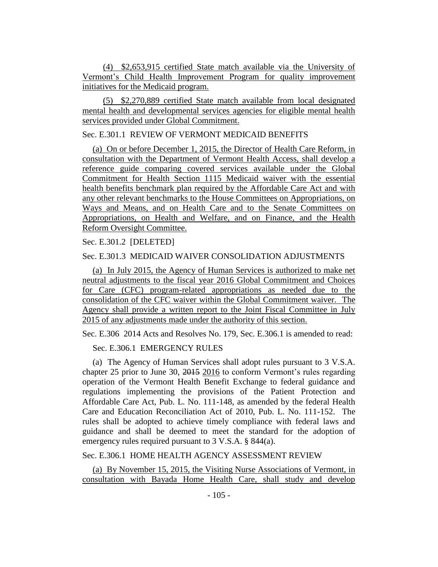(4) \$2,653,915 certified State match available via the University of Vermont's Child Health Improvement Program for quality improvement initiatives for the Medicaid program.

(5) \$2,270,889 certified State match available from local designated mental health and developmental services agencies for eligible mental health services provided under Global Commitment.

# Sec. E.301.1 REVIEW OF VERMONT MEDICAID BENEFITS

(a) On or before December 1, 2015, the Director of Health Care Reform, in consultation with the Department of Vermont Health Access, shall develop a reference guide comparing covered services available under the Global Commitment for Health Section 1115 Medicaid waiver with the essential health benefits benchmark plan required by the Affordable Care Act and with any other relevant benchmarks to the House Committees on Appropriations, on Ways and Means, and on Health Care and to the Senate Committees on Appropriations, on Health and Welfare, and on Finance, and the Health Reform Oversight Committee.

Sec. E.301.2 [DELETED]

## Sec. E.301.3 MEDICAID WAIVER CONSOLIDATION ADJUSTMENTS

(a) In July 2015, the Agency of Human Services is authorized to make net neutral adjustments to the fiscal year 2016 Global Commitment and Choices for Care (CFC) program-related appropriations as needed due to the consolidation of the CFC waiver within the Global Commitment waiver. The Agency shall provide a written report to the Joint Fiscal Committee in July 2015 of any adjustments made under the authority of this section.

Sec. E.306 2014 Acts and Resolves No. 179, Sec. E.306.1 is amended to read:

Sec. E.306.1 EMERGENCY RULES

(a) The Agency of Human Services shall adopt rules pursuant to 3 V.S.A. chapter 25 prior to June 30, 2015 2016 to conform Vermont's rules regarding operation of the Vermont Health Benefit Exchange to federal guidance and regulations implementing the provisions of the Patient Protection and Affordable Care Act, Pub. L. No. 111-148, as amended by the federal Health Care and Education Reconciliation Act of 2010, Pub. L. No. 111-152. The rules shall be adopted to achieve timely compliance with federal laws and guidance and shall be deemed to meet the standard for the adoption of emergency rules required pursuant to 3 V.S.A. § 844(a).

Sec. E.306.1 HOME HEALTH AGENCY ASSESSMENT REVIEW

(a) By November 15, 2015, the Visiting Nurse Associations of Vermont, in consultation with Bayada Home Health Care, shall study and develop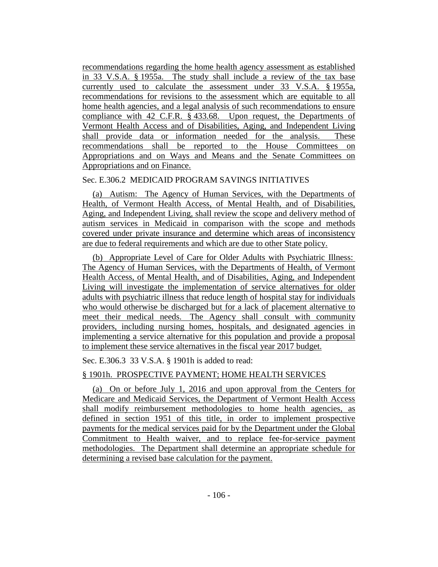recommendations regarding the home health agency assessment as established in 33 V.S.A. § 1955a. The study shall include a review of the tax base currently used to calculate the assessment under 33 V.S.A. § 1955a, recommendations for revisions to the assessment which are equitable to all home health agencies, and a legal analysis of such recommendations to ensure compliance with 42 C.F.R. § 433.68. Upon request, the Departments of Vermont Health Access and of Disabilities, Aging, and Independent Living shall provide data or information needed for the analysis. These recommendations shall be reported to the House Committees on Appropriations and on Ways and Means and the Senate Committees on Appropriations and on Finance.

# Sec. E.306.2 MEDICAID PROGRAM SAVINGS INITIATIVES

(a) Autism: The Agency of Human Services, with the Departments of Health, of Vermont Health Access, of Mental Health, and of Disabilities, Aging, and Independent Living, shall review the scope and delivery method of autism services in Medicaid in comparison with the scope and methods covered under private insurance and determine which areas of inconsistency are due to federal requirements and which are due to other State policy.

(b) Appropriate Level of Care for Older Adults with Psychiatric Illness: The Agency of Human Services, with the Departments of Health, of Vermont Health Access, of Mental Health, and of Disabilities, Aging, and Independent Living will investigate the implementation of service alternatives for older adults with psychiatric illness that reduce length of hospital stay for individuals who would otherwise be discharged but for a lack of placement alternative to meet their medical needs. The Agency shall consult with community providers, including nursing homes, hospitals, and designated agencies in implementing a service alternative for this population and provide a proposal to implement these service alternatives in the fiscal year 2017 budget.

Sec. E.306.3 33 V.S.A. § 1901h is added to read:

# § 1901h. PROSPECTIVE PAYMENT; HOME HEALTH SERVICES

(a) On or before July 1, 2016 and upon approval from the Centers for Medicare and Medicaid Services, the Department of Vermont Health Access shall modify reimbursement methodologies to home health agencies, as defined in section 1951 of this title, in order to implement prospective payments for the medical services paid for by the Department under the Global Commitment to Health waiver, and to replace fee-for-service payment methodologies. The Department shall determine an appropriate schedule for determining a revised base calculation for the payment.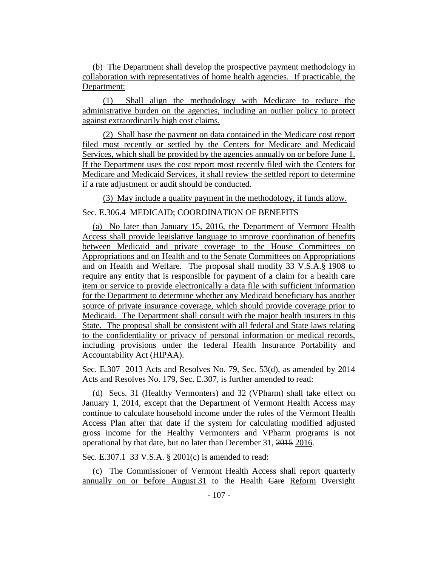(b) The Department shall develop the prospective payment methodology in collaboration with representatives of home health agencies. If practicable, the Department:

(1) Shall align the methodology with Medicare to reduce the administrative burden on the agencies, including an outlier policy to protect against extraordinarily high cost claims.

(2) Shall base the payment on data contained in the Medicare cost report filed most recently or settled by the Centers for Medicare and Medicaid Services, which shall be provided by the agencies annually on or before June 1. If the Department uses the cost report most recently filed with the Centers for Medicare and Medicaid Services, it shall review the settled report to determine if a rate adjustment or audit should be conducted.

(3) May include a quality payment in the methodology, if funds allow.

Sec. E.306.4 MEDICAID; COORDINATION OF BENEFITS

(a) No later than January 15, 2016, the Department of Vermont Health Access shall provide legislative language to improve coordination of benefits between Medicaid and private coverage to the House Committees on Appropriations and on Health and to the Senate Committees on Appropriations and on Health and Welfare. The proposal shall modify 33 V.S.A.§ 1908 to require any entity that is responsible for payment of a claim for a health care item or service to provide electronically a data file with sufficient information for the Department to determine whether any Medicaid beneficiary has another source of private insurance coverage, which should provide coverage prior to Medicaid. The Department shall consult with the major health insurers in this State. The proposal shall be consistent with all federal and State laws relating to the confidentiality or privacy of personal information or medical records, including provisions under the federal Health Insurance Portability and Accountability Act (HIPAA).

Sec. E.307 2013 Acts and Resolves No. 79, Sec. 53(d), as amended by 2014 Acts and Resolves No. 179, Sec. E.307, is further amended to read:

(d) Secs. 31 (Healthy Vermonters) and 32 (VPharm) shall take effect on January 1, 2014, except that the Department of Vermont Health Access may continue to calculate household income under the rules of the Vermont Health Access Plan after that date if the system for calculating modified adjusted gross income for the Healthy Vermonters and VPharm programs is not operational by that date, but no later than December 31, 2015 2016.

Sec. E.307.1 33 V.S.A. § 2001(c) is amended to read:

(c) The Commissioner of Vermont Health Access shall report quarterly annually on or before August 31 to the Health Care Reform Oversight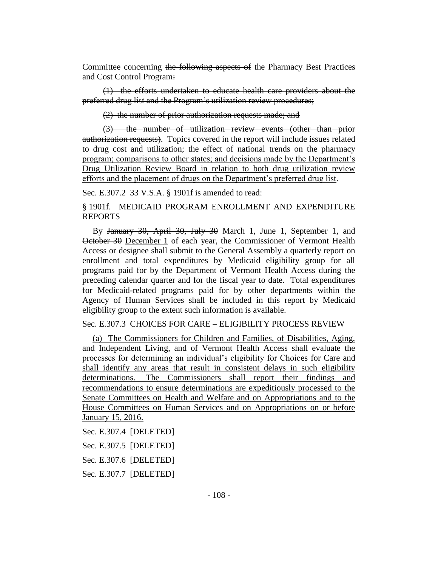Committee concerning the following aspects of the Pharmacy Best Practices and Cost Control Program:

(1) the efforts undertaken to educate health care providers about the preferred drug list and the Program's utilization review procedures;

(2) the number of prior authorization requests made; and

(3) the number of utilization review events (other than prior authorization requests). Topics covered in the report will include issues related to drug cost and utilization; the effect of national trends on the pharmacy program; comparisons to other states; and decisions made by the Department's Drug Utilization Review Board in relation to both drug utilization review efforts and the placement of drugs on the Department's preferred drug list.

Sec. E.307.2 33 V.S.A. § 1901f is amended to read:

§ 1901f. MEDICAID PROGRAM ENROLLMENT AND EXPENDITURE REPORTS

By January 30, April 30, July 30 March 1, June 1, September 1, and October 30 December 1 of each year, the Commissioner of Vermont Health Access or designee shall submit to the General Assembly a quarterly report on enrollment and total expenditures by Medicaid eligibility group for all programs paid for by the Department of Vermont Health Access during the preceding calendar quarter and for the fiscal year to date. Total expenditures for Medicaid-related programs paid for by other departments within the Agency of Human Services shall be included in this report by Medicaid eligibility group to the extent such information is available.

Sec. E.307.3 CHOICES FOR CARE – ELIGIBILITY PROCESS REVIEW

(a) The Commissioners for Children and Families, of Disabilities, Aging, and Independent Living, and of Vermont Health Access shall evaluate the processes for determining an individual's eligibility for Choices for Care and shall identify any areas that result in consistent delays in such eligibility determinations. The Commissioners shall report their findings and recommendations to ensure determinations are expeditiously processed to the Senate Committees on Health and Welfare and on Appropriations and to the House Committees on Human Services and on Appropriations on or before January 15, 2016.

Sec. E.307.4 [DELETED]

Sec. E.307.5 [DELETED]

Sec. E.307.6 [DELETED]

Sec. E.307.7 [DELETED]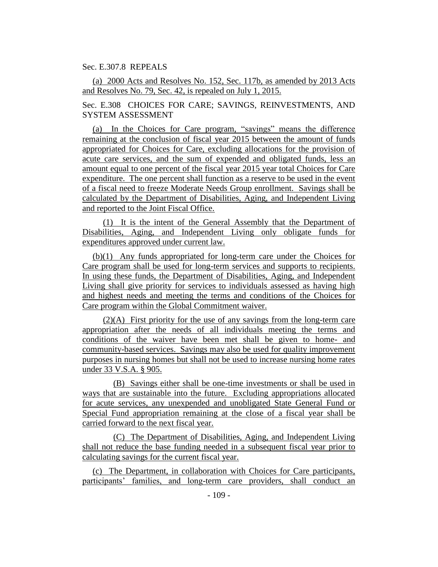## Sec. E.307.8 REPEALS

(a) 2000 Acts and Resolves No. 152, Sec. 117b, as amended by 2013 Acts and Resolves No. 79, Sec. 42, is repealed on July 1, 2015.

Sec. E.308 CHOICES FOR CARE; SAVINGS, REINVESTMENTS, AND SYSTEM ASSESSMENT

(a) In the Choices for Care program, "savings" means the difference remaining at the conclusion of fiscal year 2015 between the amount of funds appropriated for Choices for Care, excluding allocations for the provision of acute care services, and the sum of expended and obligated funds, less an amount equal to one percent of the fiscal year 2015 year total Choices for Care expenditure. The one percent shall function as a reserve to be used in the event of a fiscal need to freeze Moderate Needs Group enrollment. Savings shall be calculated by the Department of Disabilities, Aging, and Independent Living and reported to the Joint Fiscal Office.

(1) It is the intent of the General Assembly that the Department of Disabilities, Aging, and Independent Living only obligate funds for expenditures approved under current law.

(b)(1) Any funds appropriated for long-term care under the Choices for Care program shall be used for long-term services and supports to recipients. In using these funds, the Department of Disabilities, Aging, and Independent Living shall give priority for services to individuals assessed as having high and highest needs and meeting the terms and conditions of the Choices for Care program within the Global Commitment waiver.

(2)(A) First priority for the use of any savings from the long-term care appropriation after the needs of all individuals meeting the terms and conditions of the waiver have been met shall be given to home- and community-based services. Savings may also be used for quality improvement purposes in nursing homes but shall not be used to increase nursing home rates under 33 V.S.A. § 905.

(B) Savings either shall be one-time investments or shall be used in ways that are sustainable into the future. Excluding appropriations allocated for acute services, any unexpended and unobligated State General Fund or Special Fund appropriation remaining at the close of a fiscal year shall be carried forward to the next fiscal year.

(C) The Department of Disabilities, Aging, and Independent Living shall not reduce the base funding needed in a subsequent fiscal year prior to calculating savings for the current fiscal year.

(c) The Department, in collaboration with Choices for Care participants, participants' families, and long-term care providers, shall conduct an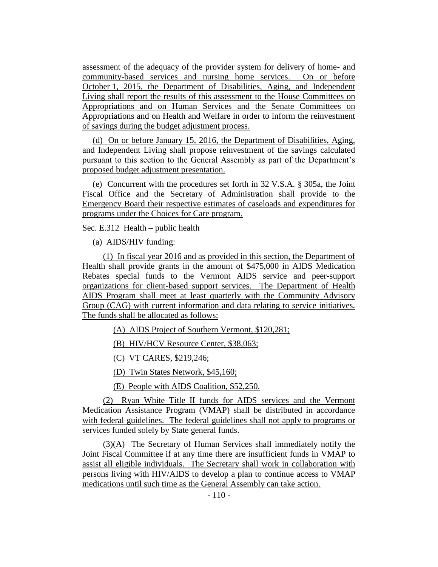assessment of the adequacy of the provider system for delivery of home- and community-based services and nursing home services. On or before October 1, 2015, the Department of Disabilities, Aging, and Independent Living shall report the results of this assessment to the House Committees on Appropriations and on Human Services and the Senate Committees on Appropriations and on Health and Welfare in order to inform the reinvestment of savings during the budget adjustment process.

(d) On or before January 15, 2016, the Department of Disabilities, Aging, and Independent Living shall propose reinvestment of the savings calculated pursuant to this section to the General Assembly as part of the Department's proposed budget adjustment presentation.

(e) Concurrent with the procedures set forth in 32 V.S.A. § 305a, the Joint Fiscal Office and the Secretary of Administration shall provide to the Emergency Board their respective estimates of caseloads and expenditures for programs under the Choices for Care program.

Sec. E.312 Health – public health

(a) AIDS/HIV funding:

(1) In fiscal year 2016 and as provided in this section, the Department of Health shall provide grants in the amount of \$475,000 in AIDS Medication Rebates special funds to the Vermont AIDS service and peer-support organizations for client-based support services. The Department of Health AIDS Program shall meet at least quarterly with the Community Advisory Group (CAG) with current information and data relating to service initiatives. The funds shall be allocated as follows:

(A) AIDS Project of Southern Vermont, \$120,281;

(B) HIV/HCV Resource Center, \$38,063;

(C) VT CARES, \$219,246;

(D) Twin States Network, \$45,160;

(E) People with AIDS Coalition, \$52,250.

(2) Ryan White Title II funds for AIDS services and the Vermont Medication Assistance Program (VMAP) shall be distributed in accordance with federal guidelines. The federal guidelines shall not apply to programs or services funded solely by State general funds.

(3)(A) The Secretary of Human Services shall immediately notify the Joint Fiscal Committee if at any time there are insufficient funds in VMAP to assist all eligible individuals. The Secretary shall work in collaboration with persons living with HIV/AIDS to develop a plan to continue access to VMAP medications until such time as the General Assembly can take action.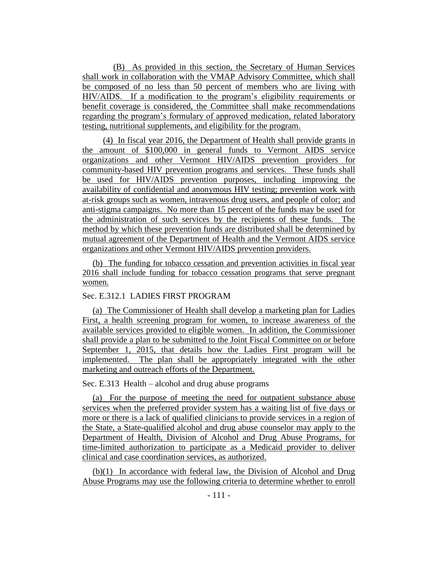(B) As provided in this section, the Secretary of Human Services shall work in collaboration with the VMAP Advisory Committee, which shall be composed of no less than 50 percent of members who are living with HIV/AIDS. If a modification to the program's eligibility requirements or benefit coverage is considered, the Committee shall make recommendations regarding the program's formulary of approved medication, related laboratory testing, nutritional supplements, and eligibility for the program.

(4) In fiscal year 2016, the Department of Health shall provide grants in the amount of \$100,000 in general funds to Vermont AIDS service organizations and other Vermont HIV/AIDS prevention providers for community-based HIV prevention programs and services. These funds shall be used for HIV/AIDS prevention purposes, including improving the availability of confidential and anonymous HIV testing; prevention work with at-risk groups such as women, intravenous drug users, and people of color; and anti-stigma campaigns. No more than 15 percent of the funds may be used for the administration of such services by the recipients of these funds. The method by which these prevention funds are distributed shall be determined by mutual agreement of the Department of Health and the Vermont AIDS service organizations and other Vermont HIV/AIDS prevention providers.

(b) The funding for tobacco cessation and prevention activities in fiscal year 2016 shall include funding for tobacco cessation programs that serve pregnant women.

## Sec. E.312.1 LADIES FIRST PROGRAM

(a) The Commissioner of Health shall develop a marketing plan for Ladies First, a health screening program for women, to increase awareness of the available services provided to eligible women. In addition, the Commissioner shall provide a plan to be submitted to the Joint Fiscal Committee on or before September 1, 2015, that details how the Ladies First program will be implemented. The plan shall be appropriately integrated with the other marketing and outreach efforts of the Department.

### Sec. E.313 Health – alcohol and drug abuse programs

(a) For the purpose of meeting the need for outpatient substance abuse services when the preferred provider system has a waiting list of five days or more or there is a lack of qualified clinicians to provide services in a region of the State, a State-qualified alcohol and drug abuse counselor may apply to the Department of Health, Division of Alcohol and Drug Abuse Programs, for time-limited authorization to participate as a Medicaid provider to deliver clinical and case coordination services, as authorized.

(b)(1) In accordance with federal law, the Division of Alcohol and Drug Abuse Programs may use the following criteria to determine whether to enroll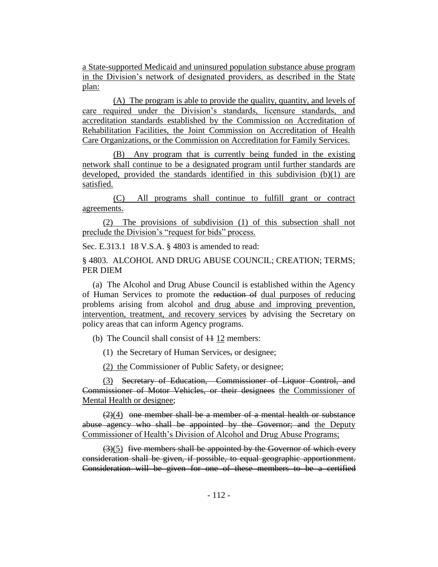a State-supported Medicaid and uninsured population substance abuse program in the Division's network of designated providers, as described in the State plan:

(A) The program is able to provide the quality, quantity, and levels of care required under the Division's standards, licensure standards, and accreditation standards established by the Commission on Accreditation of Rehabilitation Facilities, the Joint Commission on Accreditation of Health Care Organizations, or the Commission on Accreditation for Family Services.

(B) Any program that is currently being funded in the existing network shall continue to be a designated program until further standards are developed, provided the standards identified in this subdivision (b)(1) are satisfied.

(C) All programs shall continue to fulfill grant or contract agreements.

(2) The provisions of subdivision (1) of this subsection shall not preclude the Division's "request for bids" process.

Sec. E.313.1 18 V.S.A. § 4803 is amended to read:

§ 4803. ALCOHOL AND DRUG ABUSE COUNCIL; CREATION; TERMS; PER DIEM

(a) The Alcohol and Drug Abuse Council is established within the Agency of Human Services to promote the reduction of dual purposes of reducing problems arising from alcohol and drug abuse and improving prevention, intervention, treatment, and recovery services by advising the Secretary on policy areas that can inform Agency programs.

(b) The Council shall consist of  $\overline{11}$  12 members:

(1) the Secretary of Human Services, or designee;

(2) the Commissioner of Public Safety, or designee;

(3) Secretary of Education, Commissioner of Liquor Control, and Commissioner of Motor Vehicles, or their designees the Commissioner of Mental Health or designee;

 $(2)(4)$  one member shall be a member of a mental health or substance abuse agency who shall be appointed by the Governor; and the Deputy Commissioner of Health's Division of Alcohol and Drug Abuse Programs;

 $(3)(5)$  five members shall be appointed by the Governor of which every consideration shall be given, if possible, to equal geographic apportionment. Consideration will be given for one of these members to be a certified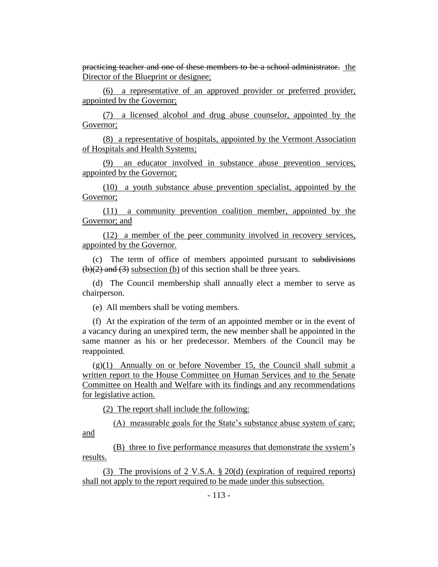practicing teacher and one of these members to be a school administrator. the Director of the Blueprint or designee;

(6) a representative of an approved provider or preferred provider, appointed by the Governor;

(7) a licensed alcohol and drug abuse counselor, appointed by the Governor;

(8) a representative of hospitals, appointed by the Vermont Association of Hospitals and Health Systems;

(9) an educator involved in substance abuse prevention services, appointed by the Governor;

(10) a youth substance abuse prevention specialist, appointed by the Governor;

(11) a community prevention coalition member, appointed by the Governor; and

(12) a member of the peer community involved in recovery services, appointed by the Governor.

(c) The term of office of members appointed pursuant to subdivisions  $(b)(2)$  and  $(3)$  subsection (b) of this section shall be three years.

(d) The Council membership shall annually elect a member to serve as chairperson.

(e) All members shall be voting members.

(f) At the expiration of the term of an appointed member or in the event of a vacancy during an unexpired term, the new member shall be appointed in the same manner as his or her predecessor. Members of the Council may be reappointed.

 $(g)(1)$  Annually on or before November 15, the Council shall submit a written report to the House Committee on Human Services and to the Senate Committee on Health and Welfare with its findings and any recommendations for legislative action.

(2) The report shall include the following:

(A) measurable goals for the State's substance abuse system of care; and

(B) three to five performance measures that demonstrate the system's results.

(3) The provisions of 2 V.S.A. § 20(d) (expiration of required reports) shall not apply to the report required to be made under this subsection.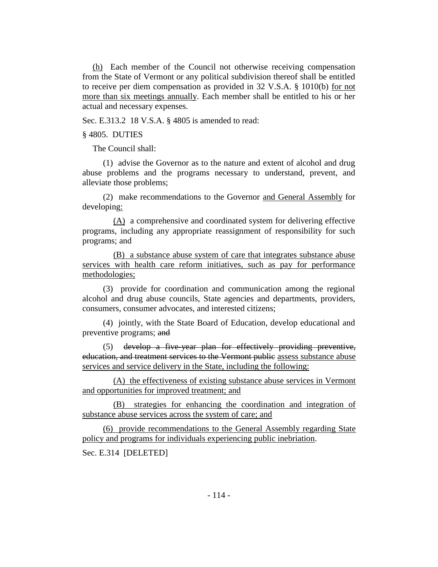(h) Each member of the Council not otherwise receiving compensation from the State of Vermont or any political subdivision thereof shall be entitled to receive per diem compensation as provided in 32 V.S.A. § 1010(b) for not more than six meetings annually. Each member shall be entitled to his or her actual and necessary expenses.

Sec. E.313.2 18 V.S.A. § 4805 is amended to read:

§ 4805. DUTIES

The Council shall:

(1) advise the Governor as to the nature and extent of alcohol and drug abuse problems and the programs necessary to understand, prevent, and alleviate those problems;

(2) make recommendations to the Governor and General Assembly for developing:

(A) a comprehensive and coordinated system for delivering effective programs, including any appropriate reassignment of responsibility for such programs; and

(B) a substance abuse system of care that integrates substance abuse services with health care reform initiatives, such as pay for performance methodologies;

(3) provide for coordination and communication among the regional alcohol and drug abuse councils, State agencies and departments, providers, consumers, consumer advocates, and interested citizens;

(4) jointly, with the State Board of Education, develop educational and preventive programs; and

(5) develop a five-year plan for effectively providing preventive, education, and treatment services to the Vermont public assess substance abuse services and service delivery in the State, including the following:

(A) the effectiveness of existing substance abuse services in Vermont and opportunities for improved treatment; and

(B) strategies for enhancing the coordination and integration of substance abuse services across the system of care; and

(6) provide recommendations to the General Assembly regarding State policy and programs for individuals experiencing public inebriation.

Sec. E.314 [DELETED]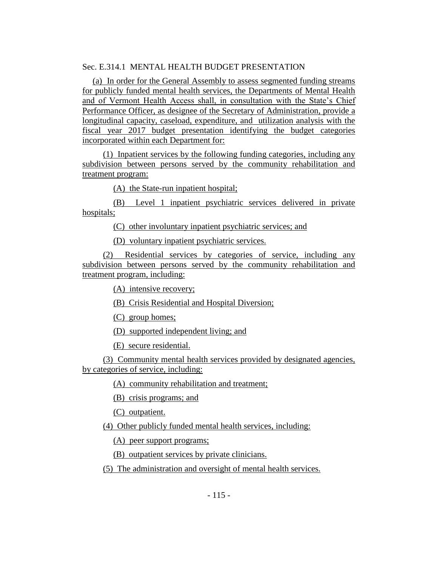# Sec. E.314.1 MENTAL HEALTH BUDGET PRESENTATION

(a) In order for the General Assembly to assess segmented funding streams for publicly funded mental health services, the Departments of Mental Health and of Vermont Health Access shall, in consultation with the State's Chief Performance Officer, as designee of the Secretary of Administration, provide a longitudinal capacity, caseload, expenditure, and utilization analysis with the fiscal year 2017 budget presentation identifying the budget categories incorporated within each Department for:

(1) Inpatient services by the following funding categories, including any subdivision between persons served by the community rehabilitation and treatment program:

(A) the State-run inpatient hospital;

(B) Level 1 inpatient psychiatric services delivered in private hospitals;

(C) other involuntary inpatient psychiatric services; and

(D) voluntary inpatient psychiatric services.

(2) Residential services by categories of service, including any subdivision between persons served by the community rehabilitation and treatment program, including:

(A) intensive recovery;

(B) Crisis Residential and Hospital Diversion;

(C) group homes;

(D) supported independent living; and

(E) secure residential.

(3) Community mental health services provided by designated agencies, by categories of service, including:

(A) community rehabilitation and treatment;

(B) crisis programs; and

(C) outpatient.

(4) Other publicly funded mental health services, including:

(A) peer support programs;

(B) outpatient services by private clinicians.

(5) The administration and oversight of mental health services.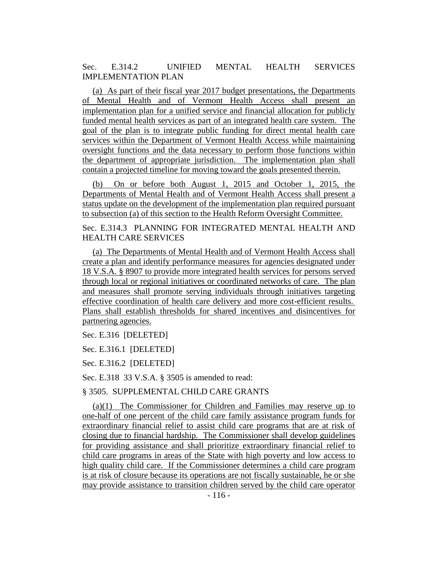Sec. E.314.2 UNIFIED MENTAL HEALTH SERVICES IMPLEMENTATION PLAN

(a) As part of their fiscal year 2017 budget presentations, the Departments of Mental Health and of Vermont Health Access shall present an implementation plan for a unified service and financial allocation for publicly funded mental health services as part of an integrated health care system. The goal of the plan is to integrate public funding for direct mental health care services within the Department of Vermont Health Access while maintaining oversight functions and the data necessary to perform those functions within the department of appropriate jurisdiction. The implementation plan shall contain a projected timeline for moving toward the goals presented therein.

(b) On or before both August 1, 2015 and October 1, 2015, the Departments of Mental Health and of Vermont Health Access shall present a status update on the development of the implementation plan required pursuant to subsection (a) of this section to the Health Reform Oversight Committee.

Sec. E.314.3 PLANNING FOR INTEGRATED MENTAL HEALTH AND HEALTH CARE SERVICES

(a) The Departments of Mental Health and of Vermont Health Access shall create a plan and identify performance measures for agencies designated under 18 V.S.A. § 8907 to provide more integrated health services for persons served through local or regional initiatives or coordinated networks of care. The plan and measures shall promote serving individuals through initiatives targeting effective coordination of health care delivery and more cost-efficient results. Plans shall establish thresholds for shared incentives and disincentives for partnering agencies.

Sec. E.316 [DELETED]

Sec. E.316.1 [DELETED]

Sec. E.316.2 [DELETED]

Sec. E.318 33 V.S.A. § 3505 is amended to read:

§ 3505. SUPPLEMENTAL CHILD CARE GRANTS

(a)(1) The Commissioner for Children and Families may reserve up to one-half of one percent of the child care family assistance program funds for extraordinary financial relief to assist child care programs that are at risk of closing due to financial hardship. The Commissioner shall develop guidelines for providing assistance and shall prioritize extraordinary financial relief to child care programs in areas of the State with high poverty and low access to high quality child care. If the Commissioner determines a child care program is at risk of closure because its operations are not fiscally sustainable, he or she may provide assistance to transition children served by the child care operator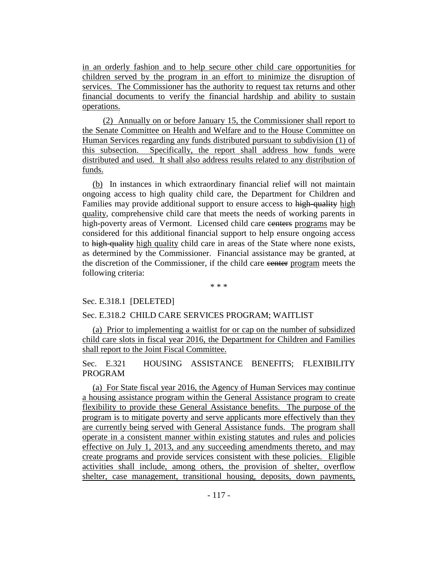in an orderly fashion and to help secure other child care opportunities for children served by the program in an effort to minimize the disruption of services. The Commissioner has the authority to request tax returns and other financial documents to verify the financial hardship and ability to sustain operations.

(2) Annually on or before January 15, the Commissioner shall report to the Senate Committee on Health and Welfare and to the House Committee on Human Services regarding any funds distributed pursuant to subdivision (1) of this subsection. Specifically, the report shall address how funds were distributed and used. It shall also address results related to any distribution of funds.

(b) In instances in which extraordinary financial relief will not maintain ongoing access to high quality child care, the Department for Children and Families may provide additional support to ensure access to high-quality high quality, comprehensive child care that meets the needs of working parents in high-poverty areas of Vermont. Licensed child care eenters programs may be considered for this additional financial support to help ensure ongoing access to high-quality high quality child care in areas of the State where none exists, as determined by the Commissioner. Financial assistance may be granted, at the discretion of the Commissioner, if the child care center program meets the following criteria:

\* \* \*

### Sec. E.318.1 [DELETED]

### Sec. E.318.2 CHILD CARE SERVICES PROGRAM; WAITLIST

(a) Prior to implementing a waitlist for or cap on the number of subsidized child care slots in fiscal year 2016, the Department for Children and Families shall report to the Joint Fiscal Committee.

Sec. E.321 HOUSING ASSISTANCE BENEFITS; FLEXIBILITY PROGRAM

(a) For State fiscal year 2016, the Agency of Human Services may continue a housing assistance program within the General Assistance program to create flexibility to provide these General Assistance benefits. The purpose of the program is to mitigate poverty and serve applicants more effectively than they are currently being served with General Assistance funds. The program shall operate in a consistent manner within existing statutes and rules and policies effective on July 1, 2013, and any succeeding amendments thereto, and may create programs and provide services consistent with these policies. Eligible activities shall include, among others, the provision of shelter, overflow shelter, case management, transitional housing, deposits, down payments,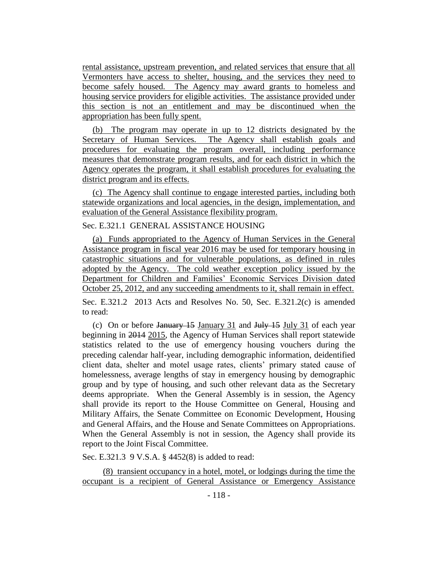rental assistance, upstream prevention, and related services that ensure that all Vermonters have access to shelter, housing, and the services they need to become safely housed. The Agency may award grants to homeless and housing service providers for eligible activities. The assistance provided under this section is not an entitlement and may be discontinued when the appropriation has been fully spent.

(b) The program may operate in up to 12 districts designated by the Secretary of Human Services. The Agency shall establish goals and procedures for evaluating the program overall, including performance measures that demonstrate program results, and for each district in which the Agency operates the program, it shall establish procedures for evaluating the district program and its effects.

(c) The Agency shall continue to engage interested parties, including both statewide organizations and local agencies, in the design, implementation, and evaluation of the General Assistance flexibility program.

# Sec. E.321.1 GENERAL ASSISTANCE HOUSING

(a) Funds appropriated to the Agency of Human Services in the General Assistance program in fiscal year 2016 may be used for temporary housing in catastrophic situations and for vulnerable populations, as defined in rules adopted by the Agency. The cold weather exception policy issued by the Department for Children and Families' Economic Services Division dated October 25, 2012, and any succeeding amendments to it, shall remain in effect.

Sec. E.321.2 2013 Acts and Resolves No. 50, Sec. E.321.2(c) is amended to read:

(c) On or before January  $15$  January  $31$  and July  $15$  July  $31$  of each year beginning in 2014 2015, the Agency of Human Services shall report statewide statistics related to the use of emergency housing vouchers during the preceding calendar half-year, including demographic information, deidentified client data, shelter and motel usage rates, clients' primary stated cause of homelessness, average lengths of stay in emergency housing by demographic group and by type of housing, and such other relevant data as the Secretary deems appropriate. When the General Assembly is in session, the Agency shall provide its report to the House Committee on General, Housing and Military Affairs, the Senate Committee on Economic Development, Housing and General Affairs, and the House and Senate Committees on Appropriations. When the General Assembly is not in session, the Agency shall provide its report to the Joint Fiscal Committee.

Sec. E.321.3 9 V.S.A. § 4452(8) is added to read:

(8) transient occupancy in a hotel, motel, or lodgings during the time the occupant is a recipient of General Assistance or Emergency Assistance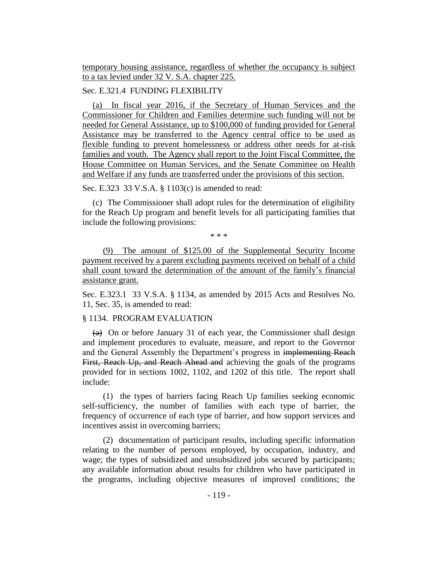temporary housing assistance, regardless of whether the occupancy is subject to a tax levied under 32 V. S.A. chapter 225.

# Sec. E.321.4 FUNDING FLEXIBILITY

(a) In fiscal year 2016, if the Secretary of Human Services and the Commissioner for Children and Families determine such funding will not be needed for General Assistance, up to \$100,000 of funding provided for General Assistance may be transferred to the Agency central office to be used as flexible funding to prevent homelessness or address other needs for at-risk families and youth. The Agency shall report to the Joint Fiscal Committee, the House Committee on Human Services, and the Senate Committee on Health and Welfare if any funds are transferred under the provisions of this section.

Sec. E.323 33 V.S.A. § 1103(c) is amended to read:

(c) The Commissioner shall adopt rules for the determination of eligibility for the Reach Up program and benefit levels for all participating families that include the following provisions:

\* \* \*

(9) The amount of \$125.00 of the Supplemental Security Income payment received by a parent excluding payments received on behalf of a child shall count toward the determination of the amount of the family's financial assistance grant.

Sec. E.323.1 33 V.S.A. § 1134, as amended by 2015 Acts and Resolves No. 11, Sec. 35, is amended to read:

### § 1134. PROGRAM EVALUATION

 $(a)$  On or before January 31 of each year, the Commissioner shall design and implement procedures to evaluate, measure, and report to the Governor and the General Assembly the Department's progress in implementing Reach First, Reach Up, and Reach Ahead and achieving the goals of the programs provided for in sections 1002, 1102, and 1202 of this title. The report shall include:

(1) the types of barriers facing Reach Up families seeking economic self-sufficiency, the number of families with each type of barrier, the frequency of occurrence of each type of barrier, and how support services and incentives assist in overcoming barriers;

(2) documentation of participant results, including specific information relating to the number of persons employed, by occupation, industry, and wage; the types of subsidized and unsubsidized jobs secured by participants; any available information about results for children who have participated in the programs, including objective measures of improved conditions; the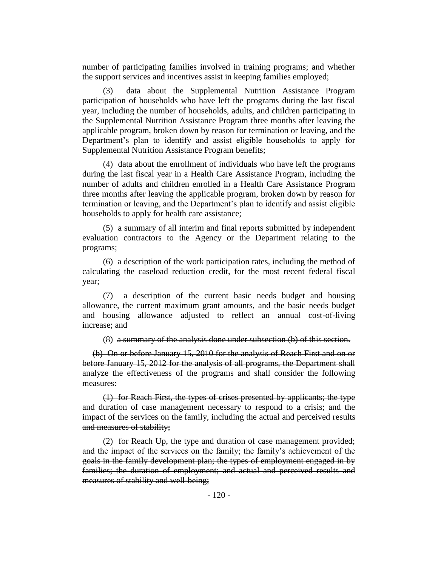number of participating families involved in training programs; and whether the support services and incentives assist in keeping families employed;

(3) data about the Supplemental Nutrition Assistance Program participation of households who have left the programs during the last fiscal year, including the number of households, adults, and children participating in the Supplemental Nutrition Assistance Program three months after leaving the applicable program, broken down by reason for termination or leaving, and the Department's plan to identify and assist eligible households to apply for Supplemental Nutrition Assistance Program benefits;

(4) data about the enrollment of individuals who have left the programs during the last fiscal year in a Health Care Assistance Program, including the number of adults and children enrolled in a Health Care Assistance Program three months after leaving the applicable program, broken down by reason for termination or leaving, and the Department's plan to identify and assist eligible households to apply for health care assistance;

(5) a summary of all interim and final reports submitted by independent evaluation contractors to the Agency or the Department relating to the programs;

(6) a description of the work participation rates, including the method of calculating the caseload reduction credit, for the most recent federal fiscal year;

(7) a description of the current basic needs budget and housing allowance, the current maximum grant amounts, and the basic needs budget and housing allowance adjusted to reflect an annual cost-of-living increase; and

(8) a summary of the analysis done under subsection (b) of this section.

(b) On or before January 15, 2010 for the analysis of Reach First and on or before January 15, 2012 for the analysis of all programs, the Department shall analyze the effectiveness of the programs and shall consider the following measures:

(1) for Reach First, the types of crises presented by applicants; the type and duration of case management necessary to respond to a crisis; and the impact of the services on the family, including the actual and perceived results and measures of stability;

(2) for Reach Up, the type and duration of case management provided; and the impact of the services on the family; the family's achievement of the goals in the family development plan; the types of employment engaged in by families; the duration of employment; and actual and perceived results and measures of stability and well-being;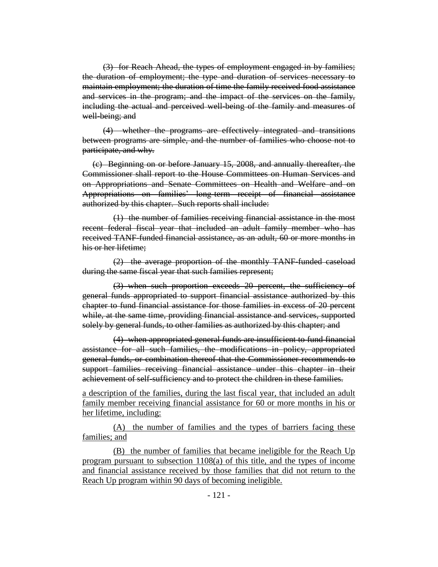(3) for Reach Ahead, the types of employment engaged in by families; the duration of employment; the type and duration of services necessary to maintain employment; the duration of time the family received food assistance and services in the program; and the impact of the services on the family, including the actual and perceived well-being of the family and measures of well-being; and

(4) whether the programs are effectively integrated and transitions between programs are simple, and the number of families who choose not to participate, and why.

(c) Beginning on or before January 15, 2008, and annually thereafter, the Commissioner shall report to the House Committees on Human Services and on Appropriations and Senate Committees on Health and Welfare and on Appropriations on families' long-term receipt of financial assistance authorized by this chapter. Such reports shall include:

(1) the number of families receiving financial assistance in the most recent federal fiscal year that included an adult family member who has received TANF-funded financial assistance, as an adult, 60 or more months in his or her lifetime;

(2) the average proportion of the monthly TANF-funded caseload during the same fiscal year that such families represent;

(3) when such proportion exceeds 20 percent, the sufficiency of general funds appropriated to support financial assistance authorized by this chapter to fund financial assistance for those families in excess of 20 percent while, at the same time, providing financial assistance and services, supported solely by general funds, to other families as authorized by this chapter; and

(4) when appropriated general funds are insufficient to fund financial assistance for all such families, the modifications in policy, appropriated general funds, or combination thereof that the Commissioner recommends to support families receiving financial assistance under this chapter in their achievement of self-sufficiency and to protect the children in these families.

a description of the families, during the last fiscal year, that included an adult family member receiving financial assistance for 60 or more months in his or her lifetime, including:

(A) the number of families and the types of barriers facing these families; and

(B) the number of families that became ineligible for the Reach Up program pursuant to subsection 1108(a) of this title, and the types of income and financial assistance received by those families that did not return to the Reach Up program within 90 days of becoming ineligible.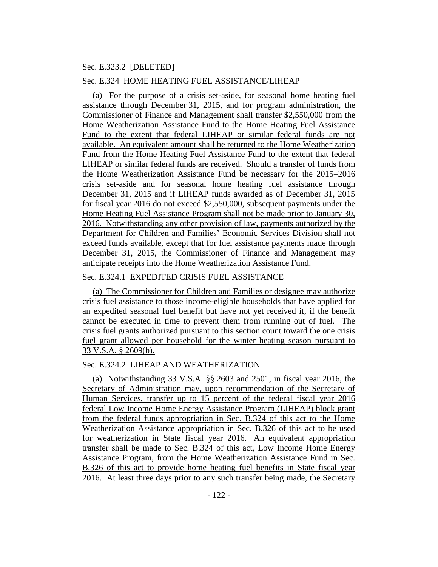### Sec. E.323.2 [DELETED]

#### Sec. E.324 HOME HEATING FUEL ASSISTANCE/LIHEAP

(a) For the purpose of a crisis set-aside, for seasonal home heating fuel assistance through December 31, 2015, and for program administration, the Commissioner of Finance and Management shall transfer \$2,550,000 from the Home Weatherization Assistance Fund to the Home Heating Fuel Assistance Fund to the extent that federal LIHEAP or similar federal funds are not available. An equivalent amount shall be returned to the Home Weatherization Fund from the Home Heating Fuel Assistance Fund to the extent that federal LIHEAP or similar federal funds are received. Should a transfer of funds from the Home Weatherization Assistance Fund be necessary for the 2015–2016 crisis set-aside and for seasonal home heating fuel assistance through December 31, 2015 and if LIHEAP funds awarded as of December 31, 2015 for fiscal year 2016 do not exceed \$2,550,000, subsequent payments under the Home Heating Fuel Assistance Program shall not be made prior to January 30, 2016. Notwithstanding any other provision of law, payments authorized by the Department for Children and Families' Economic Services Division shall not exceed funds available, except that for fuel assistance payments made through December 31, 2015, the Commissioner of Finance and Management may anticipate receipts into the Home Weatherization Assistance Fund.

### Sec. E.324.1 EXPEDITED CRISIS FUEL ASSISTANCE

(a) The Commissioner for Children and Families or designee may authorize crisis fuel assistance to those income-eligible households that have applied for an expedited seasonal fuel benefit but have not yet received it, if the benefit cannot be executed in time to prevent them from running out of fuel. The crisis fuel grants authorized pursuant to this section count toward the one crisis fuel grant allowed per household for the winter heating season pursuant to 33 V.S.A. § 2609(b).

## Sec. E.324.2 LIHEAP AND WEATHERIZATION

(a) Notwithstanding 33 V.S.A. §§ 2603 and 2501, in fiscal year 2016, the Secretary of Administration may, upon recommendation of the Secretary of Human Services, transfer up to 15 percent of the federal fiscal year 2016 federal Low Income Home Energy Assistance Program (LIHEAP) block grant from the federal funds appropriation in Sec. B.324 of this act to the Home Weatherization Assistance appropriation in Sec. B.326 of this act to be used for weatherization in State fiscal year 2016. An equivalent appropriation transfer shall be made to Sec. B.324 of this act, Low Income Home Energy Assistance Program, from the Home Weatherization Assistance Fund in Sec. B.326 of this act to provide home heating fuel benefits in State fiscal year 2016. At least three days prior to any such transfer being made, the Secretary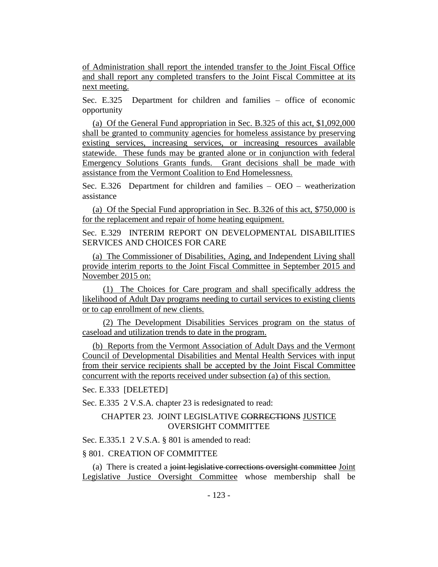of Administration shall report the intended transfer to the Joint Fiscal Office and shall report any completed transfers to the Joint Fiscal Committee at its next meeting.

Sec. E.325 Department for children and families – office of economic opportunity

(a) Of the General Fund appropriation in Sec. B.325 of this act, \$1,092,000 shall be granted to community agencies for homeless assistance by preserving existing services, increasing services, or increasing resources available statewide. These funds may be granted alone or in conjunction with federal Emergency Solutions Grants funds. Grant decisions shall be made with assistance from the Vermont Coalition to End Homelessness.

Sec. E.326 Department for children and families – OEO – weatherization assistance

(a) Of the Special Fund appropriation in Sec. B.326 of this act, \$750,000 is for the replacement and repair of home heating equipment.

Sec. E.329 INTERIM REPORT ON DEVELOPMENTAL DISABILITIES SERVICES AND CHOICES FOR CARE

(a) The Commissioner of Disabilities, Aging, and Independent Living shall provide interim reports to the Joint Fiscal Committee in September 2015 and November 2015 on:

(1) The Choices for Care program and shall specifically address the likelihood of Adult Day programs needing to curtail services to existing clients or to cap enrollment of new clients.

(2) The Development Disabilities Services program on the status of caseload and utilization trends to date in the program.

(b) Reports from the Vermont Association of Adult Days and the Vermont Council of Developmental Disabilities and Mental Health Services with input from their service recipients shall be accepted by the Joint Fiscal Committee concurrent with the reports received under subsection (a) of this section.

Sec. E.333 [DELETED]

Sec. E.335 2 V.S.A. chapter 23 is redesignated to read:

## CHAPTER 23. JOINT LEGISLATIVE CORRECTIONS JUSTICE OVERSIGHT COMMITTEE

Sec. E.335.1 2 V.S.A. § 801 is amended to read:

### § 801. CREATION OF COMMITTEE

(a) There is created a joint legislative corrections oversight committee Joint Legislative Justice Oversight Committee whose membership shall be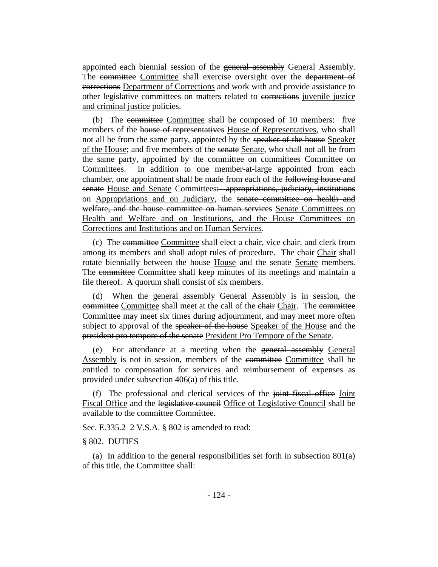appointed each biennial session of the general assembly General Assembly. The committee Committee shall exercise oversight over the department of corrections Department of Corrections and work with and provide assistance to other legislative committees on matters related to corrections juvenile justice and criminal justice policies.

(b) The committee Committee shall be composed of 10 members: five members of the house of representatives House of Representatives, who shall not all be from the same party, appointed by the speaker of the house Speaker of the House; and five members of the senate Senate, who shall not all be from the same party, appointed by the committee on committees Committee on Committees. In addition to one member-at-large appointed from each chamber, one appointment shall be made from each of the following house and senate House and Senate Committees: appropriations, judiciary, institutions on Appropriations and on Judiciary, the senate committee on health and welfare, and the house committee on human services Senate Committees on Health and Welfare and on Institutions, and the House Committees on Corrections and Institutions and on Human Services.

(c) The committee Committee shall elect a chair, vice chair, and clerk from among its members and shall adopt rules of procedure. The chair Chair shall rotate biennially between the house House and the senate Senate members. The committee Committee shall keep minutes of its meetings and maintain a file thereof. A quorum shall consist of six members.

(d) When the general assembly General Assembly is in session, the committee Committee shall meet at the call of the chair Chair. The committee Committee may meet six times during adjournment, and may meet more often subject to approval of the speaker of the house Speaker of the House and the president pro tempore of the senate President Pro Tempore of the Senate.

(e) For attendance at a meeting when the general assembly General Assembly is not in session, members of the committee Committee shall be entitled to compensation for services and reimbursement of expenses as provided under subsection 406(a) of this title.

(f) The professional and clerical services of the joint fiscal office Joint Fiscal Office and the legislative council Office of Legislative Council shall be available to the committee Committee.

Sec. E.335.2 2 V.S.A. § 802 is amended to read:

#### § 802. DUTIES

(a) In addition to the general responsibilities set forth in subsection 801(a) of this title, the Committee shall: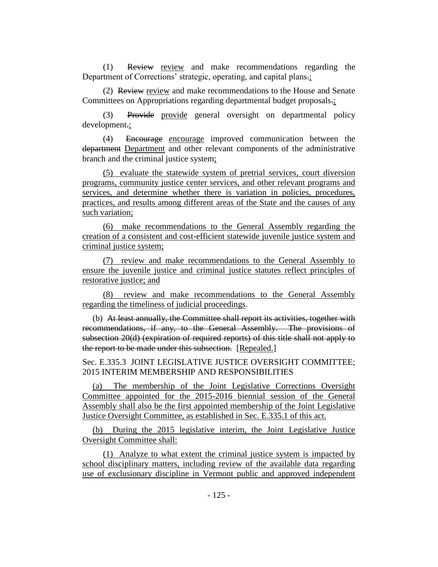(1) Review review and make recommendations regarding the Department of Corrections' strategic, operating, and capital plans.;

(2) Review review and make recommendations to the House and Senate Committees on Appropriations regarding departmental budget proposals.;

(3) Provide provide general oversight on departmental policy development.;

(4) Encourage encourage improved communication between the department Department and other relevant components of the administrative branch and the criminal justice system;

(5) evaluate the statewide system of pretrial services, court diversion programs, community justice center services, and other relevant programs and services, and determine whether there is variation in policies, procedures, practices, and results among different areas of the State and the causes of any such variation;

(6) make recommendations to the General Assembly regarding the creation of a consistent and cost-efficient statewide juvenile justice system and criminal justice system;

(7) review and make recommendations to the General Assembly to ensure the juvenile justice and criminal justice statutes reflect principles of restorative justice; and

(8) review and make recommendations to the General Assembly regarding the timeliness of judicial proceedings.

(b) At least annually, the Committee shall report its activities, together with recommendations, if any, to the General Assembly. The provisions of subsection 20(d) (expiration of required reports) of this title shall not apply to the report to be made under this subsection. [Repealed.]

Sec. E.335.3 JOINT LEGISLATIVE JUSTICE OVERSIGHT COMMITTEE; 2015 INTERIM MEMBERSHIP AND RESPONSIBILITIES

(a) The membership of the Joint Legislative Corrections Oversight Committee appointed for the 2015-2016 biennial session of the General Assembly shall also be the first appointed membership of the Joint Legislative Justice Oversight Committee, as established in Sec. E.335.1 of this act.

(b) During the 2015 legislative interim, the Joint Legislative Justice Oversight Committee shall:

(1) Analyze to what extent the criminal justice system is impacted by school disciplinary matters, including review of the available data regarding use of exclusionary discipline in Vermont public and approved independent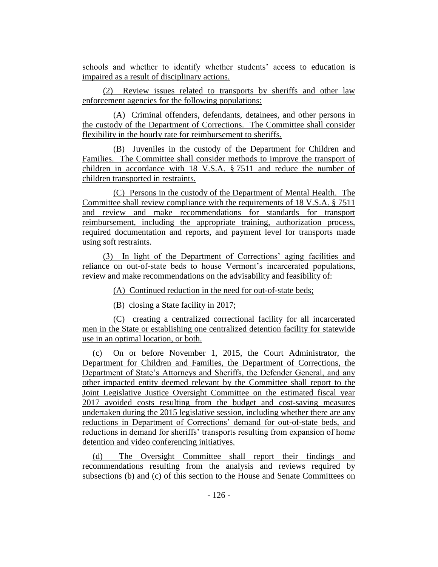schools and whether to identify whether students' access to education is impaired as a result of disciplinary actions.

(2) Review issues related to transports by sheriffs and other law enforcement agencies for the following populations:

(A) Criminal offenders, defendants, detainees, and other persons in the custody of the Department of Corrections. The Committee shall consider flexibility in the hourly rate for reimbursement to sheriffs.

(B) Juveniles in the custody of the Department for Children and Families. The Committee shall consider methods to improve the transport of children in accordance with 18 V.S.A. § 7511 and reduce the number of children transported in restraints.

(C) Persons in the custody of the Department of Mental Health. The Committee shall review compliance with the requirements of 18 V.S.A. § 7511 and review and make recommendations for standards for transport reimbursement, including the appropriate training, authorization process, required documentation and reports, and payment level for transports made using soft restraints.

(3) In light of the Department of Corrections' aging facilities and reliance on out-of-state beds to house Vermont's incarcerated populations, review and make recommendations on the advisability and feasibility of:

(A) Continued reduction in the need for out-of-state beds;

(B) closing a State facility in 2017;

(C) creating a centralized correctional facility for all incarcerated men in the State or establishing one centralized detention facility for statewide use in an optimal location, or both.

(c) On or before November 1, 2015, the Court Administrator, the Department for Children and Families, the Department of Corrections, the Department of State's Attorneys and Sheriffs, the Defender General, and any other impacted entity deemed relevant by the Committee shall report to the Joint Legislative Justice Oversight Committee on the estimated fiscal year 2017 avoided costs resulting from the budget and cost-saving measures undertaken during the 2015 legislative session, including whether there are any reductions in Department of Corrections' demand for out-of-state beds, and reductions in demand for sheriffs' transports resulting from expansion of home detention and video conferencing initiatives.

(d) The Oversight Committee shall report their findings and recommendations resulting from the analysis and reviews required by subsections (b) and (c) of this section to the House and Senate Committees on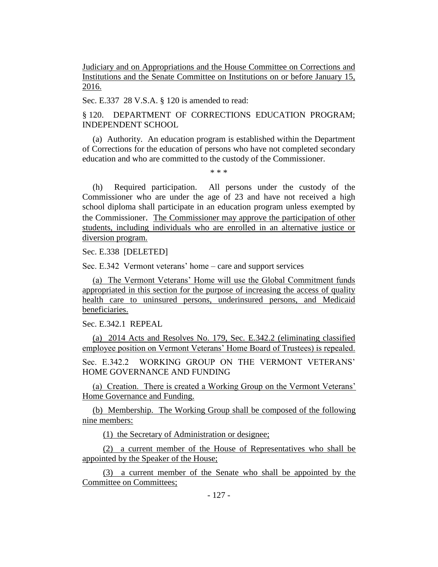Judiciary and on Appropriations and the House Committee on Corrections and Institutions and the Senate Committee on Institutions on or before January 15, 2016.

Sec. E.337 28 V.S.A. § 120 is amended to read:

§ 120. DEPARTMENT OF CORRECTIONS EDUCATION PROGRAM; INDEPENDENT SCHOOL

(a) Authority. An education program is established within the Department of Corrections for the education of persons who have not completed secondary education and who are committed to the custody of the Commissioner.

\* \* \*

(h) Required participation. All persons under the custody of the Commissioner who are under the age of 23 and have not received a high school diploma shall participate in an education program unless exempted by the Commissioner. The Commissioner may approve the participation of other students, including individuals who are enrolled in an alternative justice or diversion program.

Sec. E.338 [DELETED]

Sec. E.342 Vermont veterans' home – care and support services

(a) The Vermont Veterans' Home will use the Global Commitment funds appropriated in this section for the purpose of increasing the access of quality health care to uninsured persons, underinsured persons, and Medicaid beneficiaries.

Sec. E.342.1 REPEAL

(a) 2014 Acts and Resolves No. 179, Sec. E.342.2 (eliminating classified employee position on Vermont Veterans' Home Board of Trustees) is repealed.

Sec. E.342.2 WORKING GROUP ON THE VERMONT VETERANS' HOME GOVERNANCE AND FUNDING

(a) Creation. There is created a Working Group on the Vermont Veterans' Home Governance and Funding.

(b) Membership. The Working Group shall be composed of the following nine members:

(1) the Secretary of Administration or designee;

(2) a current member of the House of Representatives who shall be appointed by the Speaker of the House;

(3) a current member of the Senate who shall be appointed by the Committee on Committees;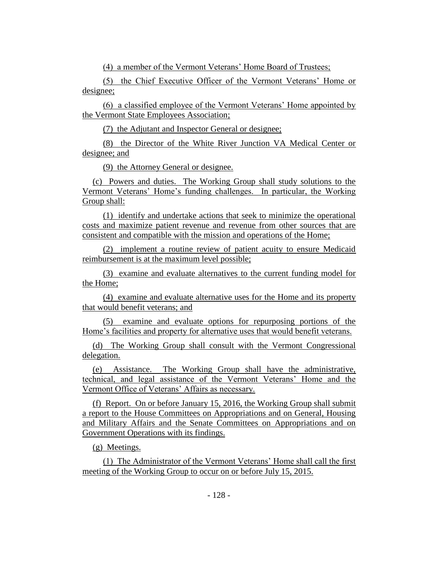(4) a member of the Vermont Veterans' Home Board of Trustees;

(5) the Chief Executive Officer of the Vermont Veterans' Home or designee;

(6) a classified employee of the Vermont Veterans' Home appointed by the Vermont State Employees Association;

(7) the Adjutant and Inspector General or designee;

(8) the Director of the White River Junction VA Medical Center or designee; and

(9) the Attorney General or designee.

(c) Powers and duties. The Working Group shall study solutions to the Vermont Veterans' Home's funding challenges. In particular, the Working Group shall:

(1) identify and undertake actions that seek to minimize the operational costs and maximize patient revenue and revenue from other sources that are consistent and compatible with the mission and operations of the Home;

(2) implement a routine review of patient acuity to ensure Medicaid reimbursement is at the maximum level possible;

(3) examine and evaluate alternatives to the current funding model for the Home;

(4) examine and evaluate alternative uses for the Home and its property that would benefit veterans; and

(5) examine and evaluate options for repurposing portions of the Home's facilities and property for alternative uses that would benefit veterans.

(d) The Working Group shall consult with the Vermont Congressional delegation.

(e) Assistance. The Working Group shall have the administrative, technical, and legal assistance of the Vermont Veterans' Home and the Vermont Office of Veterans' Affairs as necessary.

(f) Report. On or before January 15, 2016, the Working Group shall submit a report to the House Committees on Appropriations and on General, Housing and Military Affairs and the Senate Committees on Appropriations and on Government Operations with its findings.

(g) Meetings.

(1) The Administrator of the Vermont Veterans' Home shall call the first meeting of the Working Group to occur on or before July 15, 2015.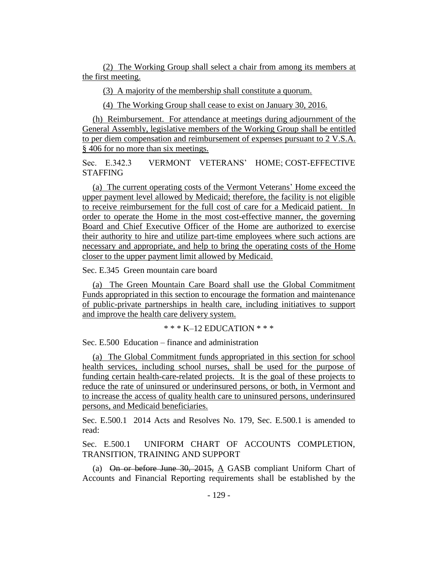(2) The Working Group shall select a chair from among its members at the first meeting.

(3) A majority of the membership shall constitute a quorum.

(4) The Working Group shall cease to exist on January 30, 2016.

(h) Reimbursement. For attendance at meetings during adjournment of the General Assembly, legislative members of the Working Group shall be entitled to per diem compensation and reimbursement of expenses pursuant to 2 V.S.A. § 406 for no more than six meetings.

Sec. E.342.3 VERMONT VETERANS' HOME; COST-EFFECTIVE STAFFING

(a) The current operating costs of the Vermont Veterans' Home exceed the upper payment level allowed by Medicaid; therefore, the facility is not eligible to receive reimbursement for the full cost of care for a Medicaid patient. In order to operate the Home in the most cost-effective manner, the governing Board and Chief Executive Officer of the Home are authorized to exercise their authority to hire and utilize part-time employees where such actions are necessary and appropriate, and help to bring the operating costs of the Home closer to the upper payment limit allowed by Medicaid.

Sec. E.345 Green mountain care board

(a) The Green Mountain Care Board shall use the Global Commitment Funds appropriated in this section to encourage the formation and maintenance of public-private partnerships in health care, including initiatives to support and improve the health care delivery system.

\* \* \* K–12 EDUCATION \* \* \*

Sec. E.500 Education – finance and administration

(a) The Global Commitment funds appropriated in this section for school health services, including school nurses, shall be used for the purpose of funding certain health-care-related projects. It is the goal of these projects to reduce the rate of uninsured or underinsured persons, or both, in Vermont and to increase the access of quality health care to uninsured persons, underinsured persons, and Medicaid beneficiaries.

Sec. E.500.1 2014 Acts and Resolves No. 179, Sec. E.500.1 is amended to read:

Sec. E.500.1 UNIFORM CHART OF ACCOUNTS COMPLETION, TRANSITION, TRAINING AND SUPPORT

(a) On or before June 30, 2015,  $\underline{A}$  GASB compliant Uniform Chart of Accounts and Financial Reporting requirements shall be established by the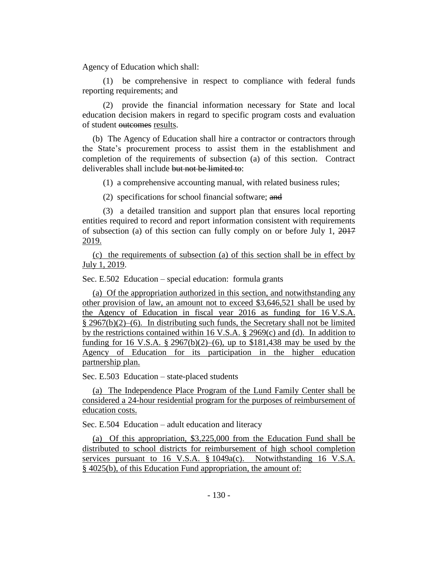Agency of Education which shall:

(1) be comprehensive in respect to compliance with federal funds reporting requirements; and

(2) provide the financial information necessary for State and local education decision makers in regard to specific program costs and evaluation of student outcomes results.

(b) The Agency of Education shall hire a contractor or contractors through the State's procurement process to assist them in the establishment and completion of the requirements of subsection (a) of this section. Contract deliverables shall include but not be limited to:

(1) a comprehensive accounting manual, with related business rules;

(2) specifications for school financial software; and

(3) a detailed transition and support plan that ensures local reporting entities required to record and report information consistent with requirements of subsection (a) of this section can fully comply on or before July 1, 2017 2019.

(c) the requirements of subsection (a) of this section shall be in effect by July 1, 2019.

Sec. E.502 Education – special education: formula grants

(a) Of the appropriation authorized in this section, and notwithstanding any other provision of law, an amount not to exceed \$3,646,521 shall be used by the Agency of Education in fiscal year 2016 as funding for 16 V.S.A. § 2967(b)(2)–(6). In distributing such funds, the Secretary shall not be limited by the restrictions contained within 16 V.S.A. § 2969(c) and (d). In addition to funding for 16 V.S.A.  $\S 2967(b)(2)–(6)$ , up to  $\S 181,438$  may be used by the Agency of Education for its participation in the higher education partnership plan.

Sec. E.503 Education – state-placed students

(a) The Independence Place Program of the Lund Family Center shall be considered a 24-hour residential program for the purposes of reimbursement of education costs.

Sec. E.504 Education – adult education and literacy

(a) Of this appropriation, \$3,225,000 from the Education Fund shall be distributed to school districts for reimbursement of high school completion services pursuant to 16 V.S.A. § 1049a(c). Notwithstanding 16 V.S.A. § 4025(b), of this Education Fund appropriation, the amount of: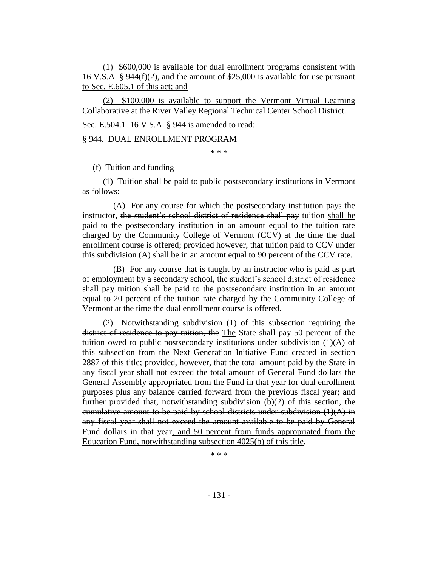(1) \$600,000 is available for dual enrollment programs consistent with 16 V.S.A. § 944(f)(2), and the amount of \$25,000 is available for use pursuant to Sec. E.605.1 of this act; and

(2) \$100,000 is available to support the Vermont Virtual Learning Collaborative at the River Valley Regional Technical Center School District.

Sec. E.504.1 16 V.S.A. § 944 is amended to read:

§ 944. DUAL ENROLLMENT PROGRAM

\* \* \*

(f) Tuition and funding

(1) Tuition shall be paid to public postsecondary institutions in Vermont as follows:

(A) For any course for which the postsecondary institution pays the instructor, the student's school district of residence shall pay tuition shall be paid to the postsecondary institution in an amount equal to the tuition rate charged by the Community College of Vermont (CCV) at the time the dual enrollment course is offered; provided however, that tuition paid to CCV under this subdivision (A) shall be in an amount equal to 90 percent of the CCV rate.

(B) For any course that is taught by an instructor who is paid as part of employment by a secondary school, the student's school district of residence shall pay tuition shall be paid to the postsecondary institution in an amount equal to 20 percent of the tuition rate charged by the Community College of Vermont at the time the dual enrollment course is offered.

(2) Notwithstanding subdivision (1) of this subsection requiring the district of residence to pay tuition, the The State shall pay 50 percent of the tuition owed to public postsecondary institutions under subdivision (1)(A) of this subsection from the Next Generation Initiative Fund created in section 2887 of this title; provided, however, that the total amount paid by the State in any fiscal year shall not exceed the total amount of General Fund dollars the General Assembly appropriated from the Fund in that year for dual enrollment purposes plus any balance carried forward from the previous fiscal year; and further provided that, notwithstanding subdivision (b)(2) of this section, the cumulative amount to be paid by school districts under subdivision  $(1)(A)$  in any fiscal year shall not exceed the amount available to be paid by General Fund dollars in that year, and 50 percent from funds appropriated from the Education Fund, notwithstanding subsection 4025(b) of this title.

\* \* \*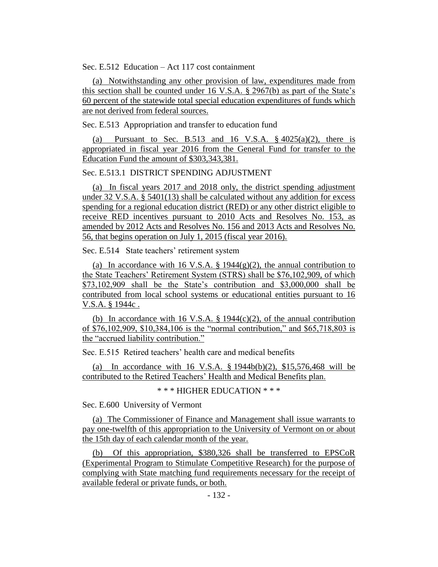Sec. E.512 Education – Act 117 cost containment

(a) Notwithstanding any other provision of law, expenditures made from this section shall be counted under 16 V.S.A.  $\S$  2967(b) as part of the State's 60 percent of the statewide total special education expenditures of funds which are not derived from federal sources.

Sec. E.513 Appropriation and transfer to education fund

(a) Pursuant to Sec. B.513 and 16 V.S.A.  $\S$  4025(a)(2), there is appropriated in fiscal year 2016 from the General Fund for transfer to the Education Fund the amount of \$303,343,381.

### Sec. E.513.1 DISTRICT SPENDING ADJUSTMENT

(a) In fiscal years 2017 and 2018 only, the district spending adjustment under 32 V.S.A. § 5401(13) shall be calculated without any addition for excess spending for a regional education district (RED) or any other district eligible to receive RED incentives pursuant to 2010 Acts and Resolves No. 153, as amended by 2012 Acts and Resolves No. 156 and 2013 Acts and Resolves No. 56, that begins operation on July 1, 2015 (fiscal year 2016).

Sec. E.514 State teachers' retirement system

(a) In accordance with 16 V.S.A.  $\S$  1944(g)(2), the annual contribution to the State Teachers' Retirement System (STRS) shall be \$76,102,909, of which \$73,102,909 shall be the State's contribution and \$3,000,000 shall be contributed from local school systems or educational entities pursuant to 16 V.S.A. § 1944c .

(b) In accordance with 16 V.S.A.  $\S$  1944(c)(2), of the annual contribution of \$76,102,909, \$10,384,106 is the "normal contribution," and \$65,718,803 is the "accrued liability contribution."

Sec. E.515 Retired teachers' health care and medical benefits

(a) In accordance with 16 V.S.A. § 1944b(b)(2), \$15,576,468 will be contributed to the Retired Teachers' Health and Medical Benefits plan.

\* \* \* HIGHER EDUCATION \* \* \*

Sec. E.600 University of Vermont

(a) The Commissioner of Finance and Management shall issue warrants to pay one-twelfth of this appropriation to the University of Vermont on or about the 15th day of each calendar month of the year.

(b) Of this appropriation, \$380,326 shall be transferred to EPSCoR (Experimental Program to Stimulate Competitive Research) for the purpose of complying with State matching fund requirements necessary for the receipt of available federal or private funds, or both.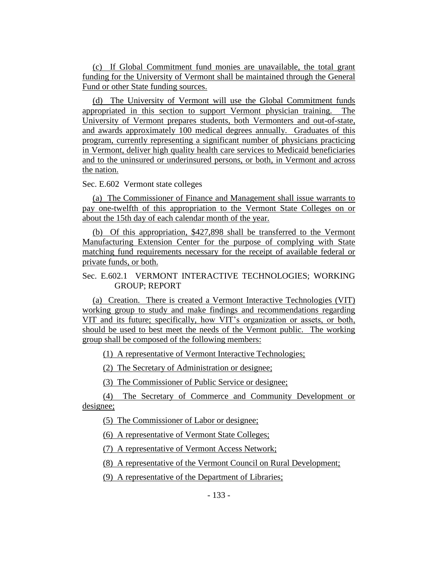(c) If Global Commitment fund monies are unavailable, the total grant funding for the University of Vermont shall be maintained through the General Fund or other State funding sources.

(d) The University of Vermont will use the Global Commitment funds appropriated in this section to support Vermont physician training. The University of Vermont prepares students, both Vermonters and out-of-state, and awards approximately 100 medical degrees annually. Graduates of this program, currently representing a significant number of physicians practicing in Vermont, deliver high quality health care services to Medicaid beneficiaries and to the uninsured or underinsured persons, or both, in Vermont and across the nation.

Sec. E.602 Vermont state colleges

(a) The Commissioner of Finance and Management shall issue warrants to pay one-twelfth of this appropriation to the Vermont State Colleges on or about the 15th day of each calendar month of the year.

(b) Of this appropriation, \$427,898 shall be transferred to the Vermont Manufacturing Extension Center for the purpose of complying with State matching fund requirements necessary for the receipt of available federal or private funds, or both.

# Sec. E.602.1 VERMONT INTERACTIVE TECHNOLOGIES; WORKING GROUP; REPORT

(a) Creation. There is created a Vermont Interactive Technologies (VIT) working group to study and make findings and recommendations regarding VIT and its future; specifically, how VIT's organization or assets, or both, should be used to best meet the needs of the Vermont public. The working group shall be composed of the following members:

(1) A representative of Vermont Interactive Technologies;

(2) The Secretary of Administration or designee;

(3) The Commissioner of Public Service or designee;

(4) The Secretary of Commerce and Community Development or designee;

(5) The Commissioner of Labor or designee;

(6) A representative of Vermont State Colleges;

(7) A representative of Vermont Access Network;

(8) A representative of the Vermont Council on Rural Development;

(9) A representative of the Department of Libraries;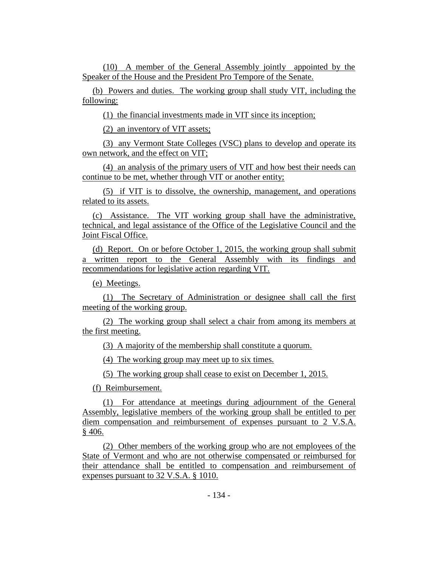(10) A member of the General Assembly jointly appointed by the Speaker of the House and the President Pro Tempore of the Senate.

(b) Powers and duties. The working group shall study VIT, including the following:

(1) the financial investments made in VIT since its inception;

(2) an inventory of VIT assets;

(3) any Vermont State Colleges (VSC) plans to develop and operate its own network, and the effect on VIT;

(4) an analysis of the primary users of VIT and how best their needs can continue to be met, whether through VIT or another entity;

(5) if VIT is to dissolve, the ownership, management, and operations related to its assets.

(c) Assistance. The VIT working group shall have the administrative, technical, and legal assistance of the Office of the Legislative Council and the Joint Fiscal Office.

(d) Report. On or before October 1, 2015, the working group shall submit a written report to the General Assembly with its findings and recommendations for legislative action regarding VIT.

(e) Meetings.

(1) The Secretary of Administration or designee shall call the first meeting of the working group.

(2) The working group shall select a chair from among its members at the first meeting.

(3) A majority of the membership shall constitute a quorum.

(4) The working group may meet up to six times.

(5) The working group shall cease to exist on December 1, 2015.

(f) Reimbursement.

(1) For attendance at meetings during adjournment of the General Assembly, legislative members of the working group shall be entitled to per diem compensation and reimbursement of expenses pursuant to 2 V.S.A. § 406.

(2) Other members of the working group who are not employees of the State of Vermont and who are not otherwise compensated or reimbursed for their attendance shall be entitled to compensation and reimbursement of expenses pursuant to 32 V.S.A. § 1010.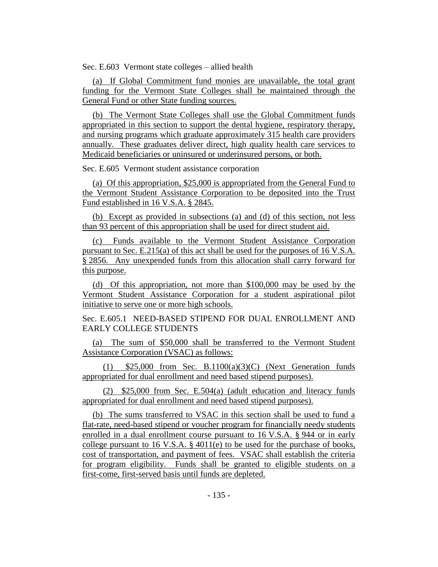Sec. E.603 Vermont state colleges – allied health

(a) If Global Commitment fund monies are unavailable, the total grant funding for the Vermont State Colleges shall be maintained through the General Fund or other State funding sources.

(b) The Vermont State Colleges shall use the Global Commitment funds appropriated in this section to support the dental hygiene, respiratory therapy, and nursing programs which graduate approximately 315 health care providers annually. These graduates deliver direct, high quality health care services to Medicaid beneficiaries or uninsured or underinsured persons, or both.

Sec. E.605 Vermont student assistance corporation

(a) Of this appropriation, \$25,000 is appropriated from the General Fund to the Vermont Student Assistance Corporation to be deposited into the Trust Fund established in 16 V.S.A. § 2845.

(b) Except as provided in subsections (a) and (d) of this section, not less than 93 percent of this appropriation shall be used for direct student aid.

(c) Funds available to the Vermont Student Assistance Corporation pursuant to Sec. E.215(a) of this act shall be used for the purposes of 16 V.S.A. § 2856. Any unexpended funds from this allocation shall carry forward for this purpose.

(d) Of this appropriation, not more than \$100,000 may be used by the Vermont Student Assistance Corporation for a student aspirational pilot initiative to serve one or more high schools.

Sec. E.605.1 NEED-BASED STIPEND FOR DUAL ENROLLMENT AND EARLY COLLEGE STUDENTS

(a) The sum of \$50,000 shall be transferred to the Vermont Student Assistance Corporation (VSAC) as follows:

(1)  $$25,000$  from Sec. B.1100(a)(3)(C) (Next Generation funds appropriated for dual enrollment and need based stipend purposes).

(2) \$25,000 from Sec. E.504(a) (adult education and literacy funds appropriated for dual enrollment and need based stipend purposes).

(b) The sums transferred to VSAC in this section shall be used to fund a flat-rate, need-based stipend or voucher program for financially needy students enrolled in a dual enrollment course pursuant to 16 V.S.A. § 944 or in early college pursuant to 16 V.S.A. § 4011(e) to be used for the purchase of books, cost of transportation, and payment of fees. VSAC shall establish the criteria for program eligibility. Funds shall be granted to eligible students on a first-come, first-served basis until funds are depleted.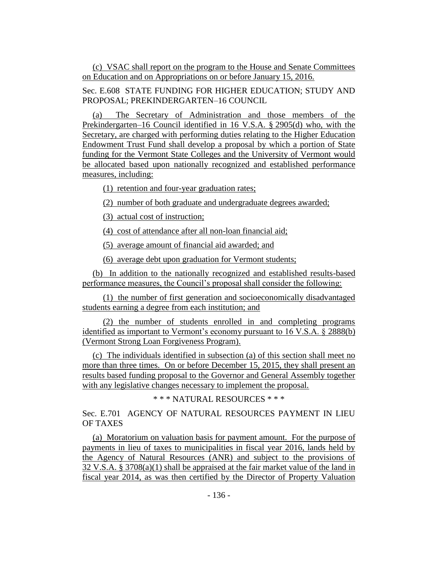(c) VSAC shall report on the program to the House and Senate Committees on Education and on Appropriations on or before January 15, 2016.

Sec. E.608 STATE FUNDING FOR HIGHER EDUCATION; STUDY AND PROPOSAL; PREKINDERGARTEN–16 COUNCIL

(a) The Secretary of Administration and those members of the Prekindergarten–16 Council identified in 16 V.S.A. § 2905(d) who, with the Secretary, are charged with performing duties relating to the Higher Education Endowment Trust Fund shall develop a proposal by which a portion of State funding for the Vermont State Colleges and the University of Vermont would be allocated based upon nationally recognized and established performance measures, including:

(1) retention and four-year graduation rates;

(2) number of both graduate and undergraduate degrees awarded;

(3) actual cost of instruction;

(4) cost of attendance after all non-loan financial aid;

(5) average amount of financial aid awarded; and

(6) average debt upon graduation for Vermont students;

(b) In addition to the nationally recognized and established results-based performance measures, the Council's proposal shall consider the following:

(1) the number of first generation and socioeconomically disadvantaged students earning a degree from each institution; and

(2) the number of students enrolled in and completing programs identified as important to Vermont's economy pursuant to 16 V.S.A. § 2888(b) (Vermont Strong Loan Forgiveness Program).

(c) The individuals identified in subsection (a) of this section shall meet no more than three times. On or before December 15, 2015, they shall present an results based funding proposal to the Governor and General Assembly together with any legislative changes necessary to implement the proposal.

\* \* \* NATURAL RESOURCES \* \* \*

Sec. E.701 AGENCY OF NATURAL RESOURCES PAYMENT IN LIEU OF TAXES

(a) Moratorium on valuation basis for payment amount. For the purpose of payments in lieu of taxes to municipalities in fiscal year 2016, lands held by the Agency of Natural Resources (ANR) and subject to the provisions of 32 V.S.A. § 3708(a)(1) shall be appraised at the fair market value of the land in fiscal year 2014, as was then certified by the Director of Property Valuation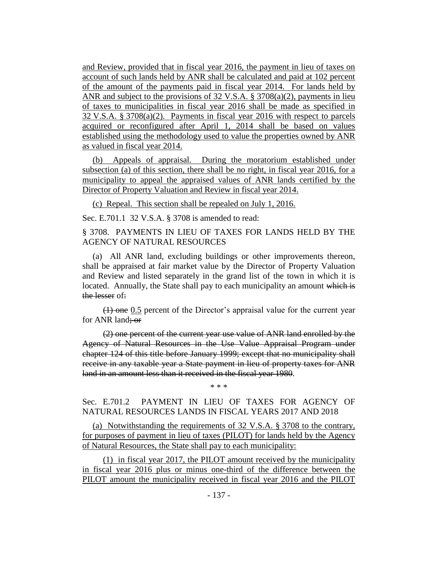and Review, provided that in fiscal year 2016, the payment in lieu of taxes on account of such lands held by ANR shall be calculated and paid at 102 percent of the amount of the payments paid in fiscal year 2014. For lands held by ANR and subject to the provisions of 32 V.S.A. § 3708(a)(2), payments in lieu of taxes to municipalities in fiscal year 2016 shall be made as specified in 32 V.S.A. § 3708(a)(2). Payments in fiscal year 2016 with respect to parcels acquired or reconfigured after April 1, 2014 shall be based on values established using the methodology used to value the properties owned by ANR as valued in fiscal year 2014.

(b) Appeals of appraisal. During the moratorium established under subsection (a) of this section, there shall be no right, in fiscal year 2016, for a municipality to appeal the appraised values of ANR lands certified by the Director of Property Valuation and Review in fiscal year 2014.

(c) Repeal. This section shall be repealed on July 1, 2016.

Sec. E.701.1 32 V.S.A. § 3708 is amended to read:

§ 3708. PAYMENTS IN LIEU OF TAXES FOR LANDS HELD BY THE AGENCY OF NATURAL RESOURCES

(a) All ANR land, excluding buildings or other improvements thereon, shall be appraised at fair market value by the Director of Property Valuation and Review and listed separately in the grand list of the town in which it is located. Annually, the State shall pay to each municipality an amount which is the lesser of:

(1) one 0.5 percent of the Director's appraisal value for the current year for ANR land; or

(2) one percent of the current year use value of ANR land enrolled by the Agency of Natural Resources in the Use Value Appraisal Program under chapter 124 of this title before January 1999; except that no municipality shall receive in any taxable year a State payment in lieu of property taxes for ANR land in an amount less than it received in the fiscal year 1980.

Sec. E.701.2 PAYMENT IN LIEU OF TAXES FOR AGENCY OF NATURAL RESOURCES LANDS IN FISCAL YEARS 2017 AND 2018

\* \* \*

(a) Notwithstanding the requirements of 32 V.S.A. § 3708 to the contrary, for purposes of payment in lieu of taxes (PILOT) for lands held by the Agency of Natural Resources, the State shall pay to each municipality:

(1) in fiscal year 2017, the PILOT amount received by the municipality in fiscal year 2016 plus or minus one-third of the difference between the PILOT amount the municipality received in fiscal year 2016 and the PILOT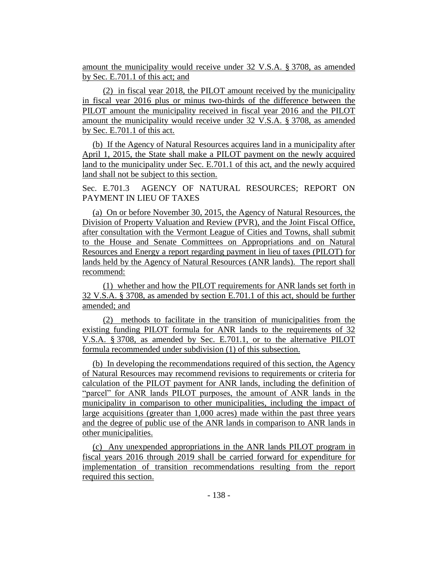amount the municipality would receive under 32 V.S.A. § 3708, as amended by Sec. E.701.1 of this act; and

(2) in fiscal year 2018, the PILOT amount received by the municipality in fiscal year 2016 plus or minus two-thirds of the difference between the PILOT amount the municipality received in fiscal year 2016 and the PILOT amount the municipality would receive under 32 V.S.A. § 3708, as amended by Sec. E.701.1 of this act.

(b) If the Agency of Natural Resources acquires land in a municipality after April 1, 2015, the State shall make a PILOT payment on the newly acquired land to the municipality under Sec. E.701.1 of this act, and the newly acquired land shall not be subject to this section.

Sec. E.701.3 AGENCY OF NATURAL RESOURCES; REPORT ON PAYMENT IN LIEU OF TAXES

(a) On or before November 30, 2015, the Agency of Natural Resources, the Division of Property Valuation and Review (PVR), and the Joint Fiscal Office, after consultation with the Vermont League of Cities and Towns, shall submit to the House and Senate Committees on Appropriations and on Natural Resources and Energy a report regarding payment in lieu of taxes (PILOT) for lands held by the Agency of Natural Resources (ANR lands). The report shall recommend:

(1) whether and how the PILOT requirements for ANR lands set forth in 32 V.S.A. § 3708, as amended by section E.701.1 of this act, should be further amended; and

(2) methods to facilitate in the transition of municipalities from the existing funding PILOT formula for ANR lands to the requirements of 32 V.S.A. § 3708, as amended by Sec. E.701.1, or to the alternative PILOT formula recommended under subdivision (1) of this subsection.

(b) In developing the recommendations required of this section, the Agency of Natural Resources may recommend revisions to requirements or criteria for calculation of the PILOT payment for ANR lands, including the definition of "parcel" for ANR lands PILOT purposes, the amount of ANR lands in the municipality in comparison to other municipalities, including the impact of large acquisitions (greater than 1,000 acres) made within the past three years and the degree of public use of the ANR lands in comparison to ANR lands in other municipalities.

(c) Any unexpended appropriations in the ANR lands PILOT program in fiscal years 2016 through 2019 shall be carried forward for expenditure for implementation of transition recommendations resulting from the report required this section.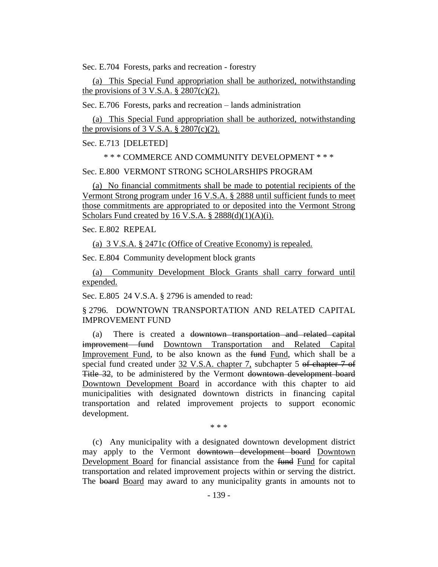Sec. E.704 Forests, parks and recreation - forestry

(a) This Special Fund appropriation shall be authorized, notwithstanding the provisions of 3 V.S.A.  $\S$  2807(c)(2).

Sec. E.706 Forests, parks and recreation – lands administration

(a) This Special Fund appropriation shall be authorized, notwithstanding the provisions of  $3$  V.S.A.  $\S 2807(c)(2)$ .

Sec. E.713 [DELETED]

\* \* \* COMMERCE AND COMMUNITY DEVELOPMENT \* \* \*

Sec. E.800 VERMONT STRONG SCHOLARSHIPS PROGRAM

(a) No financial commitments shall be made to potential recipients of the Vermont Strong program under 16 V.S.A. § 2888 until sufficient funds to meet those commitments are appropriated to or deposited into the Vermont Strong Scholars Fund created by 16 V.S.A.  $\S$  2888(d)(1)(A)(i).

Sec. E.802 REPEAL

(a) 3 V.S.A. § 2471c (Office of Creative Economy) is repealed.

Sec. E.804 Community development block grants

(a) Community Development Block Grants shall carry forward until expended.

Sec. E.805 24 V.S.A. § 2796 is amended to read:

§ 2796. DOWNTOWN TRANSPORTATION AND RELATED CAPITAL IMPROVEMENT FUND

(a) There is created a downtown transportation and related capital improvement fund Downtown Transportation and Related Capital Improvement Fund, to be also known as the fund Fund, which shall be a special fund created under 32 V.S.A. chapter 7, subchapter 5 of chapter 7 of Title 32, to be administered by the Vermont downtown development board Downtown Development Board in accordance with this chapter to aid municipalities with designated downtown districts in financing capital transportation and related improvement projects to support economic development.

\* \* \*

(c) Any municipality with a designated downtown development district may apply to the Vermont downtown development board Downtown Development Board for financial assistance from the fund Fund for capital transportation and related improvement projects within or serving the district. The board Board may award to any municipality grants in amounts not to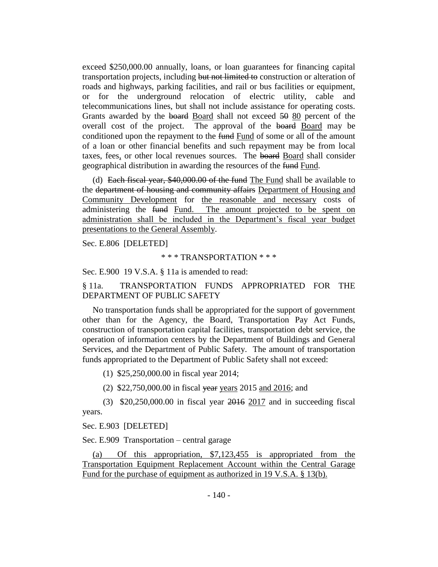exceed \$250,000.00 annually, loans, or loan guarantees for financing capital transportation projects, including but not limited to construction or alteration of roads and highways, parking facilities, and rail or bus facilities or equipment, or for the underground relocation of electric utility, cable and telecommunications lines, but shall not include assistance for operating costs. Grants awarded by the board Board shall not exceed 50 80 percent of the overall cost of the project. The approval of the board Board may be conditioned upon the repayment to the fund Fund of some or all of the amount of a loan or other financial benefits and such repayment may be from local taxes, fees, or other local revenues sources. The board Board shall consider geographical distribution in awarding the resources of the fund Fund.

(d) Each fiscal year, \$40,000.00 of the fund The Fund shall be available to the department of housing and community affairs Department of Housing and Community Development for the reasonable and necessary costs of administering the fund Fund. The amount projected to be spent on administration shall be included in the Department's fiscal year budget presentations to the General Assembly.

Sec. E.806 [DELETED]

#### \* \* \* TRANSPORTATION \* \* \*

Sec. E.900 19 V.S.A. § 11a is amended to read:

§ 11a. TRANSPORTATION FUNDS APPROPRIATED FOR THE DEPARTMENT OF PUBLIC SAFETY

No transportation funds shall be appropriated for the support of government other than for the Agency, the Board, Transportation Pay Act Funds, construction of transportation capital facilities, transportation debt service, the operation of information centers by the Department of Buildings and General Services, and the Department of Public Safety. The amount of transportation funds appropriated to the Department of Public Safety shall not exceed:

(1) \$25,250,000.00 in fiscal year 2014;

(2) \$22,750,000.00 in fiscal year years 2015 and 2016; and

(3) \$20,250,000.00 in fiscal year 2016 2017 and in succeeding fiscal years.

Sec. E.903 [DELETED]

Sec. E.909 Transportation – central garage

(a) Of this appropriation, \$7,123,455 is appropriated from the Transportation Equipment Replacement Account within the Central Garage Fund for the purchase of equipment as authorized in 19 V.S.A. § 13(b).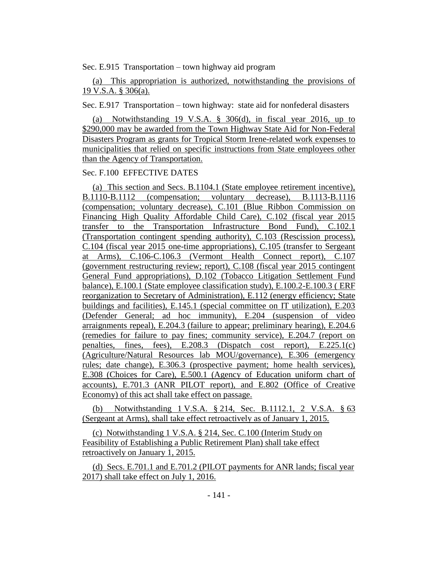Sec. E.915 Transportation – town highway aid program

(a) This appropriation is authorized, notwithstanding the provisions of 19 V.S.A. § 306(a).

Sec. E.917 Transportation – town highway: state aid for nonfederal disasters

(a) Notwithstanding 19 V.S.A. § 306(d), in fiscal year 2016, up to \$290,000 may be awarded from the Town Highway State Aid for Non-Federal Disasters Program as grants for Tropical Storm Irene-related work expenses to municipalities that relied on specific instructions from State employees other than the Agency of Transportation.

#### Sec. F.100 EFFECTIVE DATES

(a) This section and Secs. B.1104.1 (State employee retirement incentive), B.1110-B.1112 (compensation; voluntary decrease), B.1113-B.1116 (compensation; voluntary decrease), C.101 (Blue Ribbon Commission on Financing High Quality Affordable Child Care), C.102 (fiscal year 2015 transfer to the Transportation Infrastructure Bond Fund), C.102.1 (Transportation contingent spending authority), C.103 (Rescission process), C.104 (fiscal year 2015 one-time appropriations), C.105 (transfer to Sergeant at Arms), C.106-C.106.3 (Vermont Health Connect report), C.107 (government restructuring review; report), C.108 (fiscal year 2015 contingent General Fund appropriations), D.102 (Tobacco Litigation Settlement Fund balance), E.100.1 (State employee classification study), E.100.2-E.100.3 ( ERF reorganization to Secretary of Administration), E.112 (energy efficiency; State buildings and facilities), E.145.1 (special committee on IT utilization), E.203 (Defender General; ad hoc immunity), E.204 (suspension of video arraignments repeal), E.204.3 (failure to appear; preliminary hearing), E.204.6 (remedies for failure to pay fines; community service), E.204.7 (report on penalties, fines, fees), E.208.3 (Dispatch cost report), E.225.1(c) (Agriculture/Natural Resources lab MOU/governance), E.306 (emergency rules; date change), E.306.3 (prospective payment; home health services), E.308 (Choices for Care), E.500.1 (Agency of Education uniform chart of accounts), E.701.3 (ANR PILOT report), and E.802 (Office of Creative Economy) of this act shall take effect on passage.

(b) Notwithstanding 1 V.S.A. § 214, Sec. B.1112.1, 2 V.S.A. § 63 (Sergeant at Arms), shall take effect retroactively as of January 1, 2015.

(c) Notwithstanding 1 V.S.A. § 214, Sec. C.100 (Interim Study on Feasibility of Establishing a Public Retirement Plan) shall take effect retroactively on January 1, 2015.

(d) Secs. E.701.1 and E.701.2 (PILOT payments for ANR lands; fiscal year 2017) shall take effect on July 1, 2016.